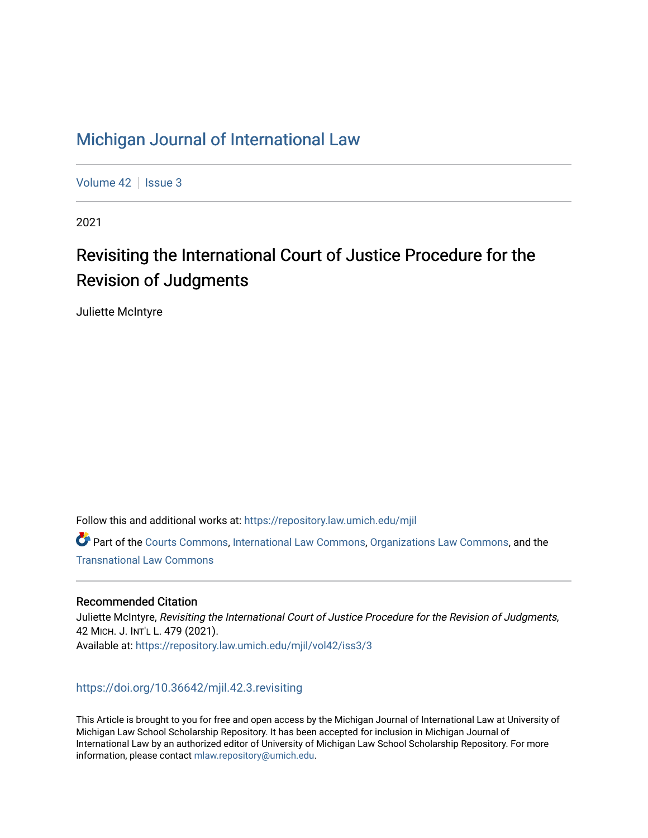# [Michigan Journal of International Law](https://repository.law.umich.edu/mjil)

[Volume 42](https://repository.law.umich.edu/mjil/vol42) | [Issue 3](https://repository.law.umich.edu/mjil/vol42/iss3)

2021

# Revisiting the International Court of Justice Procedure for the Revision of Judgments

Juliette McIntyre

Follow this and additional works at: [https://repository.law.umich.edu/mjil](https://repository.law.umich.edu/mjil?utm_source=repository.law.umich.edu%2Fmjil%2Fvol42%2Fiss3%2F3&utm_medium=PDF&utm_campaign=PDFCoverPages) 

Part of the [Courts Commons,](http://network.bepress.com/hgg/discipline/839?utm_source=repository.law.umich.edu%2Fmjil%2Fvol42%2Fiss3%2F3&utm_medium=PDF&utm_campaign=PDFCoverPages) [International Law Commons](http://network.bepress.com/hgg/discipline/609?utm_source=repository.law.umich.edu%2Fmjil%2Fvol42%2Fiss3%2F3&utm_medium=PDF&utm_campaign=PDFCoverPages), [Organizations Law Commons,](http://network.bepress.com/hgg/discipline/865?utm_source=repository.law.umich.edu%2Fmjil%2Fvol42%2Fiss3%2F3&utm_medium=PDF&utm_campaign=PDFCoverPages) and the [Transnational Law Commons](http://network.bepress.com/hgg/discipline/1123?utm_source=repository.law.umich.edu%2Fmjil%2Fvol42%2Fiss3%2F3&utm_medium=PDF&utm_campaign=PDFCoverPages)

### Recommended Citation

Juliette McIntyre, Revisiting the International Court of Justice Procedure for the Revision of Judgments, 42 MICH. J. INT'L L. 479 (2021). Available at: [https://repository.law.umich.edu/mjil/vol42/iss3/3](https://repository.law.umich.edu/mjil/vol42/iss3/3?utm_source=repository.law.umich.edu%2Fmjil%2Fvol42%2Fiss3%2F3&utm_medium=PDF&utm_campaign=PDFCoverPages) 

## <https://doi.org/10.36642/mjil.42.3.revisiting>

This Article is brought to you for free and open access by the Michigan Journal of International Law at University of Michigan Law School Scholarship Repository. It has been accepted for inclusion in Michigan Journal of International Law by an authorized editor of University of Michigan Law School Scholarship Repository. For more information, please contact [mlaw.repository@umich.edu](mailto:mlaw.repository@umich.edu).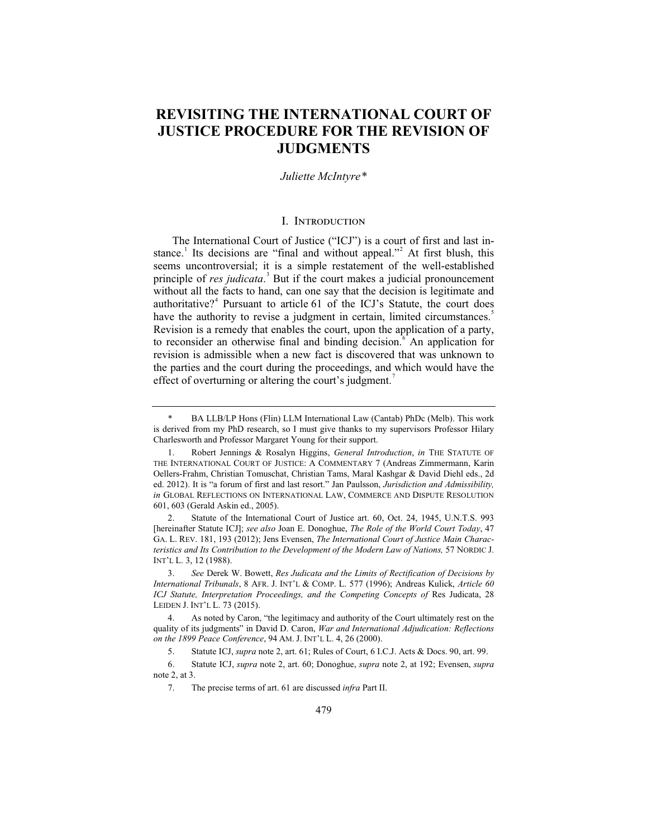## **REVISITING THE INTERNATIONAL COURT OF JUSTICE PROCEDURE FOR THE REVISION OF JUDGMENTS**

#### *Juliette McIntyre\**

#### I. Introduction

The International Court of Justice ("ICJ") is a court of first and last instance.<sup>1</sup> Its decisions are "final and without appeal."<sup>2</sup> At first blush, this seems uncontroversial; it is a simple restatement of the well-established principle of *res judicata*. 3 But if the court makes a judicial pronouncement without all the facts to hand, can one say that the decision is legitimate and authoritative?<sup>4</sup> Pursuant to article 61 of the ICJ's Statute, the court does have the authority to revise a judgment in certain, limited circumstances.<sup>5</sup> Revision is a remedy that enables the court, upon the application of a party, to reconsider an otherwise final and binding decision.<sup>6</sup> An application for revision is admissible when a new fact is discovered that was unknown to the parties and the court during the proceedings, and which would have the effect of overturning or altering the court's judgment.

2. Statute of the International Court of Justice art. 60, Oct. 24, 1945, U.N.T.S. 993 [hereinafter Statute ICJ]; *see also* Joan E. Donoghue, *The Role of the World Court Today*, 47 GA. L. REV. 181, 193 (2012); Jens Evensen, *The International Court of Justice Main Characteristics and Its Contribution to the Development of the Modern Law of Nations,* 57 NORDIC J. INT'L L. 3, 12 (1988).

<sup>\*</sup> BA LLB/LP Hons (Flin) LLM International Law (Cantab) PhDc (Melb). This work is derived from my PhD research, so I must give thanks to my supervisors Professor Hilary Charlesworth and Professor Margaret Young for their support.

<sup>1.</sup> Robert Jennings & Rosalyn Higgins, *General Introduction*, *in* THE STATUTE OF THE INTERNATIONAL COURT OF JUSTICE: A COMMENTARY 7 (Andreas Zimmermann, Karin Oellers-Frahm, Christian Tomuschat, Christian Tams, Maral Kashgar & David Diehl eds., 2d ed. 2012). It is "a forum of first and last resort." Jan Paulsson, *Jurisdiction and Admissibility, in* GLOBAL REFLECTIONS ON INTERNATIONAL LAW, COMMERCE AND DISPUTE RESOLUTION 601, 603 (Gerald Askin ed., 2005).

<sup>3.</sup> *See* Derek W. Bowett, *Res Judicata and the Limits of Rectification of Decisions by International Tribunals*, 8 AFR. J. INT'L & COMP. L. 577 (1996); Andreas Kulick, *Article 60*  ICJ Statute, Interpretation Proceedings, and the Competing Concepts of Res Judicata, 28 LEIDEN J. INT'L L. 73 (2015).

<sup>4.</sup> As noted by Caron, "the legitimacy and authority of the Court ultimately rest on the quality of its judgments" in David D. Caron, *War and International Adjudication: Reflections on the 1899 Peace Conference*, 94 AM. J. INT'L L. 4, 26 (2000).

<sup>5.</sup> Statute ICJ, *supra* note 2, art. 61; Rules of Court, 6 I.C.J. Acts & Docs. 90, art. 99.

<sup>6.</sup> Statute ICJ, *supra* note 2, art. 60; Donoghue, *supra* note 2, at 192; Evensen, *supra*  note 2, at 3.

<sup>7.</sup> The precise terms of art. 61 are discussed *infra* Part II.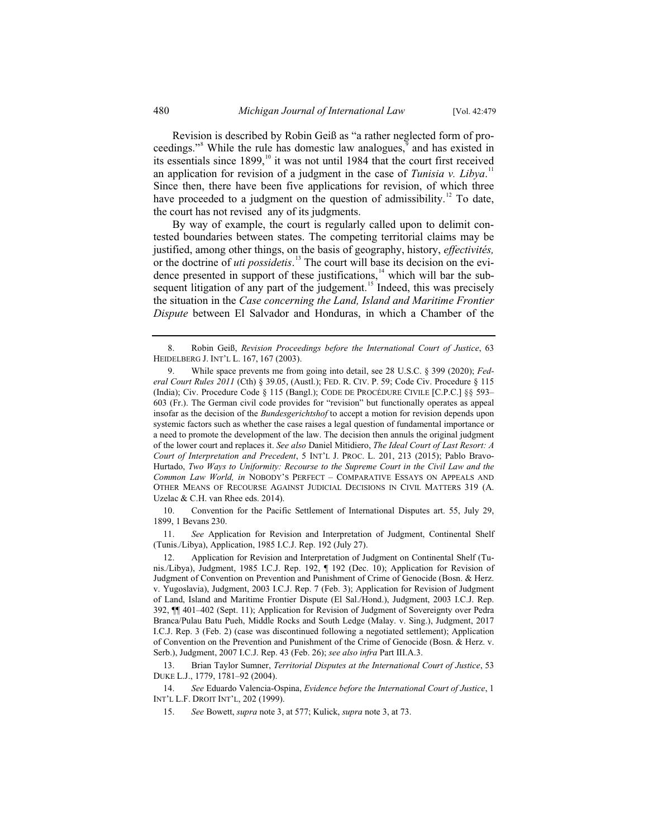Revision is described by Robin Geiß as "a rather neglected form of proceedings."<sup>8</sup> While the rule has domestic law analogues,<sup>9</sup> and has existed in its essentials since  $1899$ ,<sup>10</sup> it was not until 1984 that the court first received an application for revision of a judgment in the case of *Tunisia v. Libya*.<sup>11</sup> Since then, there have been five applications for revision, of which three have proceeded to a judgment on the question of admissibility.<sup>12</sup> To date, the court has not revised any of its judgments.

By way of example, the court is regularly called upon to delimit contested boundaries between states. The competing territorial claims may be justified, among other things, on the basis of geography, history, *effectivités,* or the doctrine of *uti possidetis*. 13 The court will base its decision on the evidence presented in support of these justifications, $14$  which will bar the subsequent litigation of any part of the judgement.<sup>15</sup> Indeed, this was precisely the situation in the *Case concerning the Land, Island and Maritime Frontier Dispute* between El Salvador and Honduras, in which a Chamber of the

 10. Convention for the Pacific Settlement of International Disputes art. 55, July 29, 1899, 1 Bevans 230.

 11. *See* Application for Revision and Interpretation of Judgment, Continental Shelf (Tunis./Libya), Application, 1985 I.C.J. Rep. 192 (July 27).

 <sup>8.</sup> Robin Geiß, *Revision Proceedings before the International Court of Justice*, 63 HEIDELBERG J. INT'L L. 167, 167 (2003).

 <sup>9.</sup> While space prevents me from going into detail, see 28 U.S.C. § 399 (2020); *Federal Court Rules 2011* (Cth) § 39.05, (Austl.); FED. R. CIV. P. 59; Code Civ. Procedure § 115 (India); Civ. Procedure Code § 115 (Bangl.); CODE DE PROCÉDURE CIVILE [C.P.C.] §§ 593– 603 (Fr.). The German civil code provides for "revision" but functionally operates as appeal insofar as the decision of the *Bundesgerichtshof* to accept a motion for revision depends upon systemic factors such as whether the case raises a legal question of fundamental importance or a need to promote the development of the law. The decision then annuls the original judgment of the lower court and replaces it. *See also* Daniel Mitidiero, *The Ideal Court of Last Resort: A Court of Interpretation and Precedent*, 5 INT'L J. PROC. L. 201, 213 (2015); Pablo Bravo-Hurtado, *Two Ways to Uniformity: Recourse to the Supreme Court in the Civil Law and the Common Law World, in* NOBODY'S PERFECT – COMPARATIVE ESSAYS ON APPEALS AND OTHER MEANS OF RECOURSE AGAINST JUDICIAL DECISIONS IN CIVIL MATTERS 319 (A. Uzelac & C.H. van Rhee eds. 2014).

 <sup>12.</sup> Application for Revision and Interpretation of Judgment on Continental Shelf (Tunis./Libya), Judgment, 1985 I.C.J. Rep. 192, ¶ 192 (Dec. 10); Application for Revision of Judgment of Convention on Prevention and Punishment of Crime of Genocide (Bosn. & Herz. v. Yugoslavia), Judgment, 2003 I.C.J. Rep. 7 (Feb. 3); Application for Revision of Judgment of Land, Island and Maritime Frontier Dispute (El Sal./Hond.), Judgment, 2003 I.C.J. Rep. 392, ¶¶ 401–402 (Sept. 11); Application for Revision of Judgment of Sovereignty over Pedra Branca/Pulau Batu Pueh, Middle Rocks and South Ledge (Malay. v. Sing.), Judgment, 2017 I.C.J. Rep. 3 (Feb. 2) (case was discontinued following a negotiated settlement); Application of Convention on the Prevention and Punishment of the Crime of Genocide (Bosn. & Herz. v. Serb.), Judgment, 2007 I.C.J. Rep. 43 (Feb. 26); *see also infra* Part III.A.3.

 <sup>13.</sup> Brian Taylor Sumner, *Territorial Disputes at the International Court of Justice*, 53 DUKE L.J., 1779, 1781–92 (2004).

 <sup>14.</sup> *See* Eduardo Valencia-Ospina, *Evidence before the International Court of Justice*, 1 INT'L L.F. DROIT INT'L, 202 (1999).

 <sup>15.</sup> *See* Bowett, *supra* note 3, at 577; Kulick, *supra* note 3, at 73.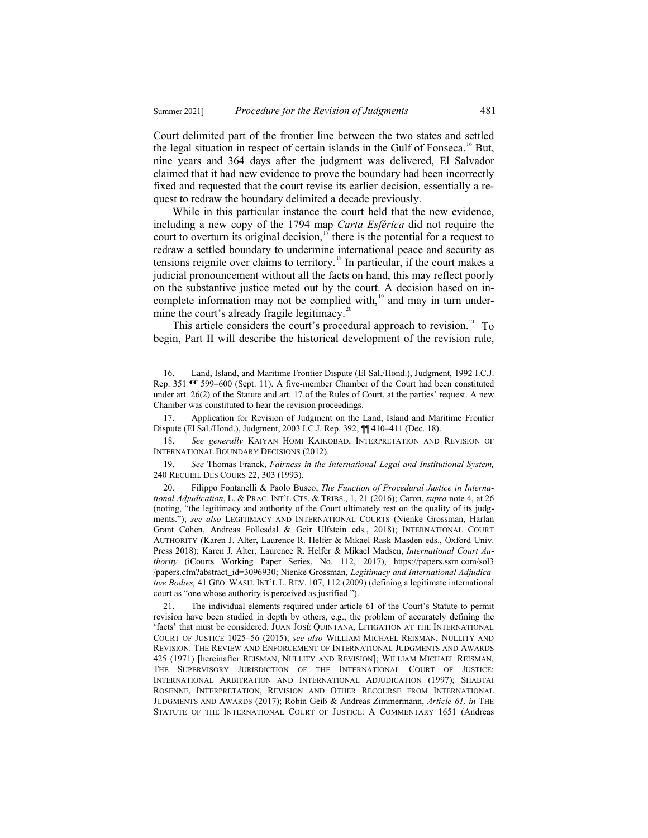Court delimited part of the frontier line between the two states and settled the legal situation in respect of certain islands in the Gulf of Fonseca.<sup>16</sup> But, nine years and 364 days after the judgment was delivered, El Salvador claimed that it had new evidence to prove the boundary had been incorrectly fixed and requested that the court revise its earlier decision, essentially a request to redraw the boundary delimited a decade previously.

While in this particular instance the court held that the new evidence, including a new copy of the 1794 map *Carta Esférica* did not require the court to overturn its original decision,<sup>17</sup> there is the potential for a request to redraw a settled boundary to undermine international peace and security as tensions reignite over claims to territory.<sup>18</sup> In particular, if the court makes a judicial pronouncement without all the facts on hand, this may reflect poorly on the substantive justice meted out by the court. A decision based on incomplete information may not be complied with, $19$  and may in turn undermine the court's already fragile legitimacy. $20$ 

This article considers the court's procedural approach to revision.<sup>21</sup> To begin, Part II will describe the historical development of the revision rule,

17. Application for Revision of Judgment on the Land, Island and Maritime Frontier Dispute (El Sal./Hond.), Judgment, 2003 I.C.J. Rep. 392, ¶¶ 410–411 (Dec. 18).

18. *See generally* KAIYAN HOMI KAIKOBAD, INTERPRETATION AND REVISION OF INTERNATIONAL BOUNDARY DECISIONS (2012).

19. *See* Thomas Franck, *Fairness in the International Legal and Institutional System,*  240 RECUEIL DES COURS 22, 303 (1993).

20. Filippo Fontanelli & Paolo Busco, *The Function of Procedural Justice in International Adjudication*, L. & PRAC. INT'L CTS.&TRIBS., 1, 21 (2016); Caron, *supra* note 4, at 26 (noting, "the legitimacy and authority of the Court ultimately rest on the quality of its judgments."); *see also* LEGITIMACY AND INTERNATIONAL COURTS (Nienke Grossman, Harlan Grant Cohen, Andreas Follesdal & Geir Ulfstein eds., 2018); INTERNATIONAL COURT AUTHORITY (Karen J. Alter, Laurence R. Helfer & Mikael Rask Masden eds., Oxford Univ. Press 2018); Karen J. Alter, Laurence R. Helfer & Mikael Madsen, *International Court Authority* (iCourts Working Paper Series, No. 112, 2017), https://papers.ssrn.com/sol3 /papers.cfm?abstract\_id=3096930; Nienke Grossman, *Legitimacy and International Adjudicative Bodies,* 41 GEO. WASH. INT'L L. REV. 107, 112 (2009) (defining a legitimate international court as "one whose authority is perceived as justified.").

21. The individual elements required under article 61 of the Court's Statute to permit revision have been studied in depth by others, e.g., the problem of accurately defining the 'facts' that must be considered. JUAN JOSÉ QUINTANA, LITIGATION AT THE INTERNATIONAL COURT OF JUSTICE 1025–56 (2015); *see also* WILLIAM MICHAEL REISMAN, NULLITY AND REVISION: THE REVIEW AND ENFORCEMENT OF INTERNATIONAL JUDGMENTS AND AWARDS 425 (1971) [hereinafter REISMAN, NULLITY AND REVISION]; WILLIAM MICHAEL REISMAN, THE SUPERVISORY JURISDICTION OF THE INTERNATIONAL COURT OF JUSTICE: INTERNATIONAL ARBITRATION AND INTERNATIONAL ADJUDICATION (1997); SHABTAI ROSENNE, INTERPRETATION, REVISION AND OTHER RECOURSE FROM INTERNATIONAL JUDGMENTS AND AWARDS (2017); Robin Geiß & Andreas Zimmermann, *Article 61, in* THE STATUTE OF THE INTERNATIONAL COURT OF JUSTICE: A COMMENTARY 1651 (Andreas

<sup>16.</sup> Land, Island, and Maritime Frontier Dispute (El Sal./Hond.), Judgment, 1992 I.C.J. Rep. 351 ¶¶ 599–600 (Sept. 11). A five-member Chamber of the Court had been constituted under art. 26(2) of the Statute and art. 17 of the Rules of Court, at the parties' request. A new Chamber was constituted to hear the revision proceedings.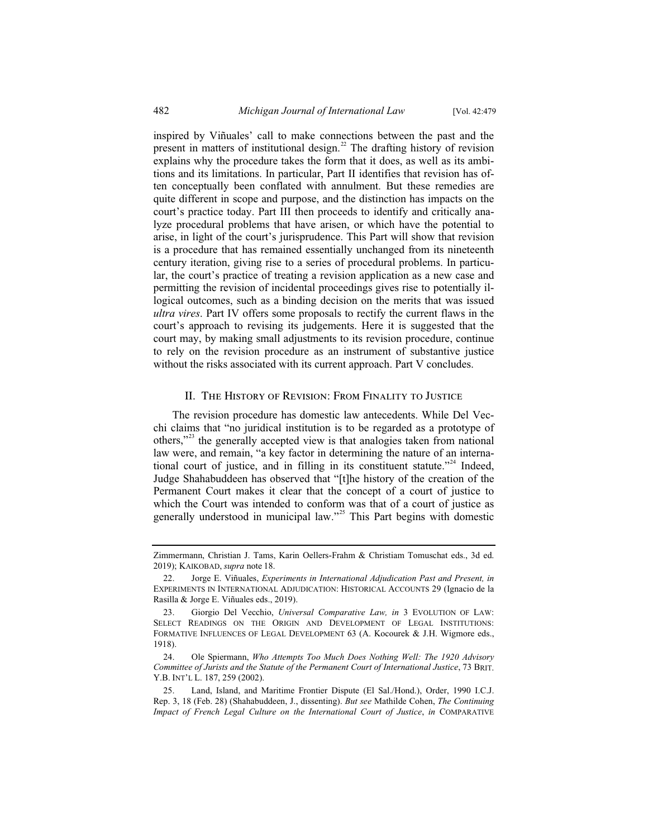inspired by Viñuales' call to make connections between the past and the present in matters of institutional design.<sup>22</sup> The drafting history of revision explains why the procedure takes the form that it does, as well as its ambitions and its limitations. In particular, Part II identifies that revision has often conceptually been conflated with annulment. But these remedies are quite different in scope and purpose, and the distinction has impacts on the court's practice today. Part III then proceeds to identify and critically analyze procedural problems that have arisen, or which have the potential to arise, in light of the court's jurisprudence. This Part will show that revision is a procedure that has remained essentially unchanged from its nineteenth century iteration, giving rise to a series of procedural problems. In particular, the court's practice of treating a revision application as a new case and permitting the revision of incidental proceedings gives rise to potentially illogical outcomes, such as a binding decision on the merits that was issued *ultra vires*. Part IV offers some proposals to rectify the current flaws in the court's approach to revising its judgements. Here it is suggested that the court may, by making small adjustments to its revision procedure, continue to rely on the revision procedure as an instrument of substantive justice without the risks associated with its current approach. Part V concludes.

#### II. The History of Revision: From Finality to Justice

The revision procedure has domestic law antecedents. While Del Vecchi claims that "no juridical institution is to be regarded as a prototype of others,"<sup>23</sup> the generally accepted view is that analogies taken from national law were, and remain, "a key factor in determining the nature of an international court of justice, and in filling in its constituent statute."<sup>24</sup> Indeed, Judge Shahabuddeen has observed that "[t]he history of the creation of the Permanent Court makes it clear that the concept of a court of justice to which the Court was intended to conform was that of a court of justice as generally understood in municipal law."<sup>25</sup> This Part begins with domestic

Zimmermann, Christian J. Tams, Karin Oellers-Frahm & Christiam Tomuschat eds., 3d ed. 2019); KAIKOBAD, *supra* note 18.

<sup>22.</sup> Jorge E. Viñuales, *Experiments in International Adjudication Past and Present, in*  EXPERIMENTS IN INTERNATIONAL ADJUDICATION: HISTORICAL ACCOUNTS 29 (Ignacio de la Rasilla & Jorge E. Viñuales eds., 2019).

<sup>23.</sup> Giorgio Del Vecchio, *Universal Comparative Law, in* 3 EVOLUTION OF LAW: SELECT READINGS ON THE ORIGIN AND DEVELOPMENT OF LEGAL INSTITUTIONS: FORMATIVE INFLUENCES OF LEGAL DEVELOPMENT 63 (A. Kocourek & J.H. Wigmore eds., 1918).

<sup>24.</sup> Ole Spiermann, *Who Attempts Too Much Does Nothing Well: The 1920 Advisory Committee of Jurists and the Statute of the Permanent Court of International Justice*, 73 BRIT. Y.B. INT'L L. 187, 259 (2002).

<sup>25.</sup> Land, Island, and Maritime Frontier Dispute (El Sal./Hond.), Order, 1990 I.C.J. Rep. 3, 18 (Feb. 28) (Shahabuddeen, J., dissenting). *But see* Mathilde Cohen, *The Continuing Impact of French Legal Culture on the International Court of Justice*, *in* COMPARATIVE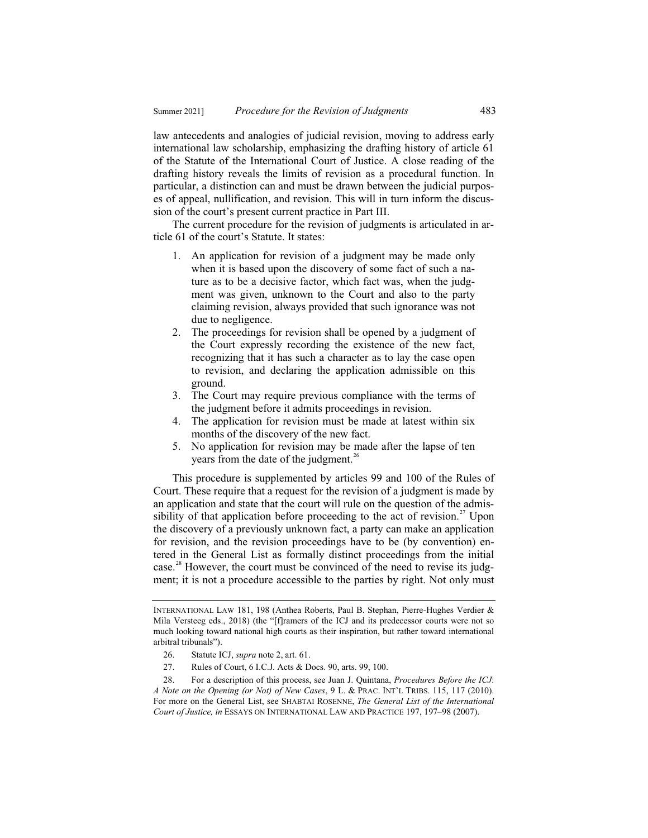law antecedents and analogies of judicial revision, moving to address early international law scholarship, emphasizing the drafting history of article 61 of the Statute of the International Court of Justice. A close reading of the drafting history reveals the limits of revision as a procedural function. In particular, a distinction can and must be drawn between the judicial purposes of appeal, nullification, and revision. This will in turn inform the discussion of the court's present current practice in Part III.

The current procedure for the revision of judgments is articulated in article 61 of the court's Statute. It states:

- 1. An application for revision of a judgment may be made only when it is based upon the discovery of some fact of such a nature as to be a decisive factor, which fact was, when the judgment was given, unknown to the Court and also to the party claiming revision, always provided that such ignorance was not due to negligence.
- 2. The proceedings for revision shall be opened by a judgment of the Court expressly recording the existence of the new fact, recognizing that it has such a character as to lay the case open to revision, and declaring the application admissible on this ground.
- 3. The Court may require previous compliance with the terms of the judgment before it admits proceedings in revision.
- 4. The application for revision must be made at latest within six months of the discovery of the new fact.
- 5. No application for revision may be made after the lapse of ten years from the date of the judgment.<sup>26</sup>

This procedure is supplemented by articles 99 and 100 of the Rules of Court. These require that a request for the revision of a judgment is made by an application and state that the court will rule on the question of the admissibility of that application before proceeding to the act of revision.<sup>27</sup> Upon the discovery of a previously unknown fact, a party can make an application for revision, and the revision proceedings have to be (by convention) entered in the General List as formally distinct proceedings from the initial case.<sup>28</sup> However, the court must be convinced of the need to revise its judgment; it is not a procedure accessible to the parties by right. Not only must

INTERNATIONAL LAW 181, 198 (Anthea Roberts, Paul B. Stephan, Pierre-Hughes Verdier & Mila Versteeg eds., 2018) (the "[f]ramers of the ICJ and its predecessor courts were not so much looking toward national high courts as their inspiration, but rather toward international arbitral tribunals").

<sup>26.</sup> Statute ICJ, *supra* note 2, art. 61.

<sup>27.</sup> Rules of Court, 6 I.C.J. Acts & Docs. 90, arts. 99, 100.

<sup>28.</sup> For a description of this process, see Juan J. Quintana, *Procedures Before the ICJ*: *A Note on the Opening (or Not) of New Cases*, 9 L. & PRAC. INT'L TRIBS. 115, 117 (2010). For more on the General List, see SHABTAI ROSENNE, *The General List of the International Court of Justice, in* ESSAYS ON INTERNATIONAL LAW AND PRACTICE 197, 197–98 (2007).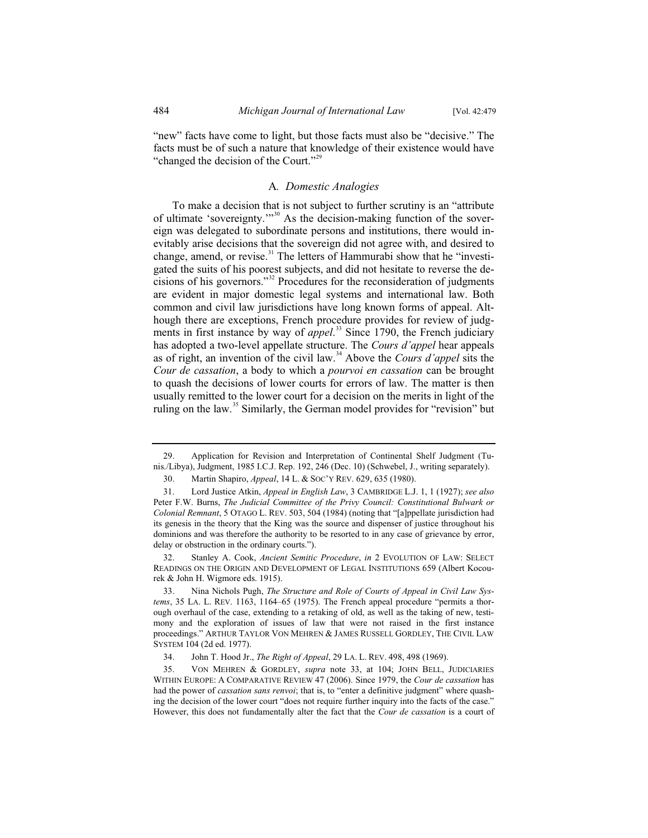"new" facts have come to light, but those facts must also be "decisive." The facts must be of such a nature that knowledge of their existence would have "changed the decision of the Court."<sup>29</sup>

#### A*. Domestic Analogies*

To make a decision that is not subject to further scrutiny is an "attribute of ultimate 'sovereignty.'"<sup>30</sup> As the decision-making function of the sovereign was delegated to subordinate persons and institutions, there would inevitably arise decisions that the sovereign did not agree with, and desired to change, amend, or revise.<sup>31</sup> The letters of Hammurabi show that he "investigated the suits of his poorest subjects, and did not hesitate to reverse the decisions of his governors."<sup>32</sup> Procedures for the reconsideration of judgments are evident in major domestic legal systems and international law. Both common and civil law jurisdictions have long known forms of appeal. Although there are exceptions, French procedure provides for review of judgments in first instance by way of *appel*. <sup>33</sup> Since 1790, the French judiciary has adopted a two-level appellate structure. The *Cours d'appel* hear appeals as of right, an invention of the civil law.<sup>34</sup> Above the *Cours d'appel* sits the *Cour de cassation*, a body to which a *pourvoi en cassation* can be brought to quash the decisions of lower courts for errors of law. The matter is then usually remitted to the lower court for a decision on the merits in light of the ruling on the law.<sup>35</sup> Similarly, the German model provides for "revision" but

<sup>29.</sup> Application for Revision and Interpretation of Continental Shelf Judgment (Tunis./Libya), Judgment, 1985 I.C.J. Rep. 192, 246 (Dec. 10) (Schwebel, J., writing separately).

<sup>30.</sup> Martin Shapiro, *Appeal*, 14 L. & SOC'Y REV. 629, 635 (1980).

<sup>31.</sup> Lord Justice Atkin, *Appeal in English Law*, 3 CAMBRIDGE L.J. 1, 1 (1927); *see also*  Peter F.W. Burns, *The Judicial Committee of the Privy Council: Constitutional Bulwark or Colonial Remnant*, 5 OTAGO L. REV. 503, 504 (1984) (noting that "[a]ppellate jurisdiction had its genesis in the theory that the King was the source and dispenser of justice throughout his dominions and was therefore the authority to be resorted to in any case of grievance by error, delay or obstruction in the ordinary courts.").

<sup>32.</sup> Stanley A. Cook, *Ancient Semitic Procedure*, *in* 2 EVOLUTION OF LAW: SELECT READINGS ON THE ORIGIN AND DEVELOPMENT OF LEGAL INSTITUTIONS 659 (Albert Kocourek & John H. Wigmore eds. 1915).

<sup>33.</sup> Nina Nichols Pugh, *The Structure and Role of Courts of Appeal in Civil Law Systems*, 35 LA. L. REV. 1163, 1164–65 (1975). The French appeal procedure "permits a thorough overhaul of the case, extending to a retaking of old, as well as the taking of new, testimony and the exploration of issues of law that were not raised in the first instance proceedings." ARTHUR TAYLOR VON MEHREN & JAMES RUSSELL GORDLEY, THE CIVIL LAW SYSTEM 104 (2d ed. 1977).

<sup>34.</sup> John T. Hood Jr., *The Right of Appeal*, 29 LA. L. REV. 498, 498 (1969).

<sup>35.</sup> VON MEHREN & GORDLEY, *supra* note 33, at 104; JOHN BELL, JUDICIARIES WITHIN EUROPE:ACOMPARATIVE REVIEW 47 (2006). Since 1979, the *Cour de cassation* has had the power of *cassation sans renvoi*; that is, to "enter a definitive judgment" where quashing the decision of the lower court "does not require further inquiry into the facts of the case." However, this does not fundamentally alter the fact that the *Cour de cassation* is a court of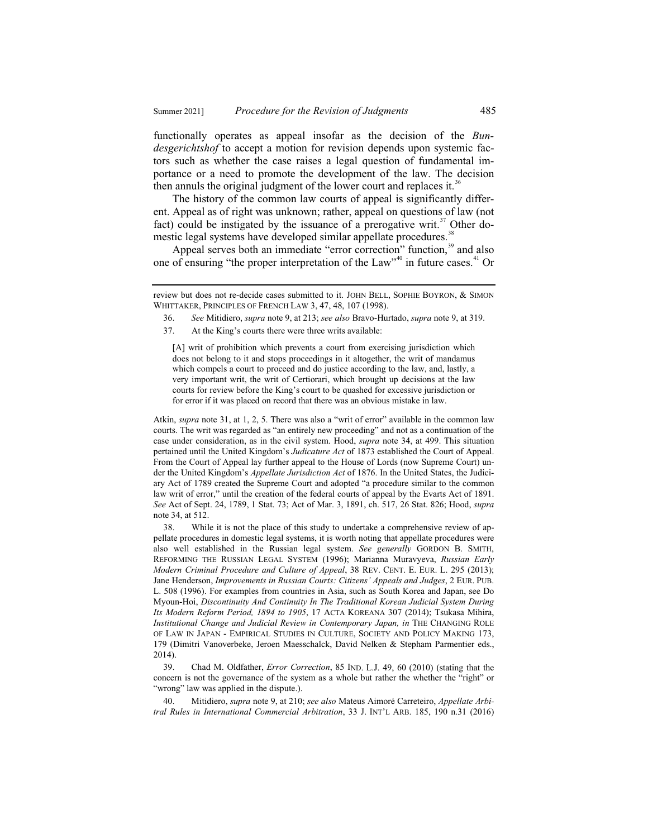functionally operates as appeal insofar as the decision of the *Bundesgerichtshof* to accept a motion for revision depends upon systemic factors such as whether the case raises a legal question of fundamental importance or a need to promote the development of the law. The decision then annuls the original judgment of the lower court and replaces it.<sup>36</sup>

The history of the common law courts of appeal is significantly different. Appeal as of right was unknown; rather, appeal on questions of law (not fact) could be instigated by the issuance of a prerogative writ.<sup>37</sup> Other domestic legal systems have developed similar appellate procedures.<sup>38</sup>

Appeal serves both an immediate "error correction" function,<sup>39</sup> and also one of ensuring "the proper interpretation of the  $Law''^{40}$  in future cases.<sup>41</sup> Or

37. At the King's courts there were three writs available:

Atkin, *supra* note 31, at 1, 2, 5. There was also a "writ of error" available in the common law courts. The writ was regarded as "an entirely new proceeding" and not as a continuation of the case under consideration, as in the civil system. Hood, *supra* note 34, at 499. This situation pertained until the United Kingdom's *Judicature Act* of 1873 established the Court of Appeal. From the Court of Appeal lay further appeal to the House of Lords (now Supreme Court) under the United Kingdom's *Appellate Jurisdiction Act* of 1876. In the United States, the Judiciary Act of 1789 created the Supreme Court and adopted "a procedure similar to the common law writ of error," until the creation of the federal courts of appeal by the Evarts Act of 1891. *See* Act of Sept. 24, 1789, 1 Stat. 73; Act of Mar. 3, 1891, ch. 517, 26 Stat. 826; Hood, *supra* note 34, at 512.

38. While it is not the place of this study to undertake a comprehensive review of appellate procedures in domestic legal systems, it is worth noting that appellate procedures were also well established in the Russian legal system. *See generally* GORDON B. SMITH, REFORMING THE RUSSIAN LEGAL SYSTEM (1996); Marianna Muravyeva, *Russian Early Modern Criminal Procedure and Culture of Appeal*, 38 REV. CENT. E. EUR. L. 295 (2013); Jane Henderson, *Improvements in Russian Courts: Citizens' Appeals and Judges*, 2 EUR. PUB. L. 508 (1996). For examples from countries in Asia, such as South Korea and Japan, see Do Myoun-Hoi, *Discontinuity And Continuity In The Traditional Korean Judicial System During Its Modern Reform Period, 1894 to 1905*, 17 ACTA KOREANA 307 (2014); Tsukasa Mihira, *Institutional Change and Judicial Review in Contemporary Japan, in* THE CHANGING ROLE OF LAW IN JAPAN - EMPIRICAL STUDIES IN CULTURE, SOCIETY AND POLICY MAKING 173, 179 (Dimitri Vanoverbeke, Jeroen Maesschalck, David Nelken & Stepham Parmentier eds., 2014).

39. Chad M. Oldfather, *Error Correction*, 85 IND. L.J. 49, 60 (2010) (stating that the concern is not the governance of the system as a whole but rather the whether the "right" or "wrong" law was applied in the dispute.).

40. Mitidiero, *supra* note 9, at 210; *see also* Mateus Aimoré Carreteiro, *Appellate Arbitral Rules in International Commercial Arbitration*, 33 J. INT'L ARB. 185, 190 n.31 (2016)

review but does not re-decide cases submitted to it. JOHN BELL, SOPHIE BOYRON, & SIMON WHITTAKER, PRINCIPLES OF FRENCH LAW 3, 47, 48, 107 (1998).

<sup>36.</sup> *See* Mitidiero, *supra* note 9, at 213; *see also* Bravo-Hurtado, *supra* note 9, at 319.

<sup>[</sup>A] writ of prohibition which prevents a court from exercising jurisdiction which does not belong to it and stops proceedings in it altogether, the writ of mandamus which compels a court to proceed and do justice according to the law, and, lastly, a very important writ, the writ of Certiorari, which brought up decisions at the law courts for review before the King's court to be quashed for excessive jurisdiction or for error if it was placed on record that there was an obvious mistake in law.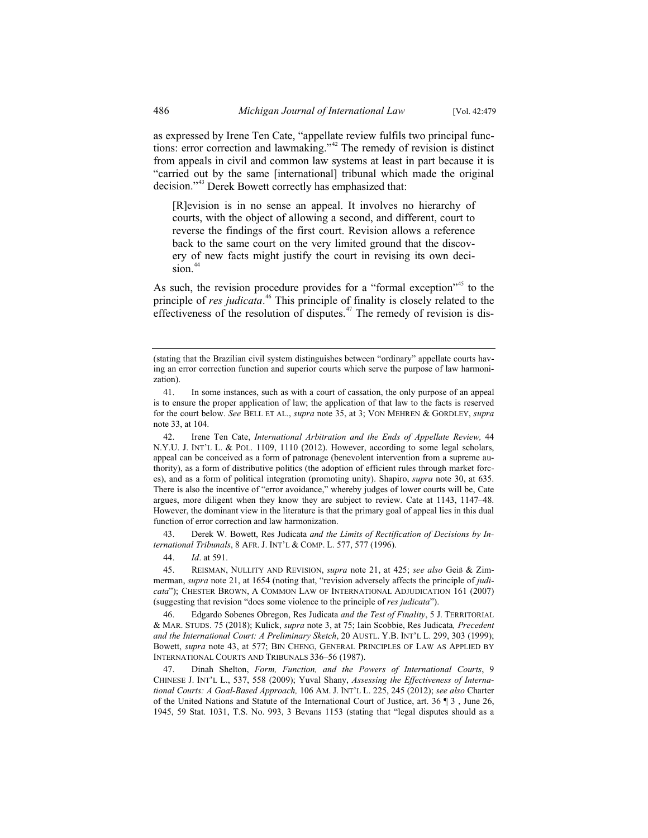as expressed by Irene Ten Cate, "appellate review fulfils two principal functions: error correction and lawmaking."<sup>42</sup> The remedy of revision is distinct from appeals in civil and common law systems at least in part because it is "carried out by the same [international] tribunal which made the original decision."<sup>43</sup> Derek Bowett correctly has emphasized that:

[R]evision is in no sense an appeal. It involves no hierarchy of courts, with the object of allowing a second, and different, court to reverse the findings of the first court. Revision allows a reference back to the same court on the very limited ground that the discovery of new facts might justify the court in revising its own deci $sion.<sup>44</sup>$ 

As such, the revision procedure provides for a "formal exception"<sup>45</sup> to the principle of *res judicata*. <sup>46</sup> This principle of finality is closely related to the effectiveness of the resolution of disputes.<sup>47</sup> The remedy of revision is dis-

43. Derek W. Bowett, Res Judicata *and the Limits of Rectification of Decisions by International Tribunals*, 8 AFR. J. INT'L & COMP. L. 577, 577 (1996).

44. *Id*. at 591.

45. REISMAN, NULLITY AND REVISION, *supra* note 21, at 425; *see also* Geiß & Zimmerman, *supra* note 21, at 1654 (noting that, "revision adversely affects the principle of *judicata*"); CHESTER BROWN, A COMMON LAW OF INTERNATIONAL ADJUDICATION 161 (2007) (suggesting that revision "does some violence to the principle of *res judicata*").

46. Edgardo Sobenes Obregon, Res Judicata *and the Test of Finality*, 5 J. TERRITORIAL & MAR. STUDS. 75 (2018); Kulick, *supra* note 3, at 75; Iain Scobbie, Res Judicata*, Precedent and the International Court: A Preliminary Sketch*, 20 AUSTL. Y.B. INT'L L. 299, 303 (1999); Bowett, *supra* note 43, at 577; BIN CHENG, GENERAL PRINCIPLES OF LAW AS APPLIED BY INTERNATIONAL COURTS AND TRIBUNALS 336–56 (1987).

47. Dinah Shelton, *Form, Function, and the Powers of International Courts*, 9 CHINESE J. INT'L L., 537, 558 (2009); Yuval Shany, *Assessing the Effectiveness of International Courts: A Goal-Based Approach,* 106 AM. J. INT'L L. 225, 245 (2012); *see also* Charter of the United Nations and Statute of the International Court of Justice, art. 36 ¶ 3 , June 26, 1945, 59 Stat. 1031, T.S. No. 993, 3 Bevans 1153 (stating that "legal disputes should as a

<sup>(</sup>stating that the Brazilian civil system distinguishes between "ordinary" appellate courts having an error correction function and superior courts which serve the purpose of law harmonization).

<sup>41.</sup> In some instances, such as with a court of cassation, the only purpose of an appeal is to ensure the proper application of law; the application of that law to the facts is reserved for the court below. *See* BELL ET AL., *supra* note 35, at 3; VON MEHREN & GORDLEY, *supra* note 33, at 104.

<sup>42.</sup> Irene Ten Cate, *International Arbitration and the Ends of Appellate Review,* 44 N.Y.U. J. INT'L L. & POL. 1109, 1110 (2012). However, according to some legal scholars, appeal can be conceived as a form of patronage (benevolent intervention from a supreme authority), as a form of distributive politics (the adoption of efficient rules through market forces), and as a form of political integration (promoting unity). Shapiro, *supra* note 30, at 635. There is also the incentive of "error avoidance," whereby judges of lower courts will be, Cate argues, more diligent when they know they are subject to review. Cate at 1143, 1147–48. However, the dominant view in the literature is that the primary goal of appeal lies in this dual function of error correction and law harmonization.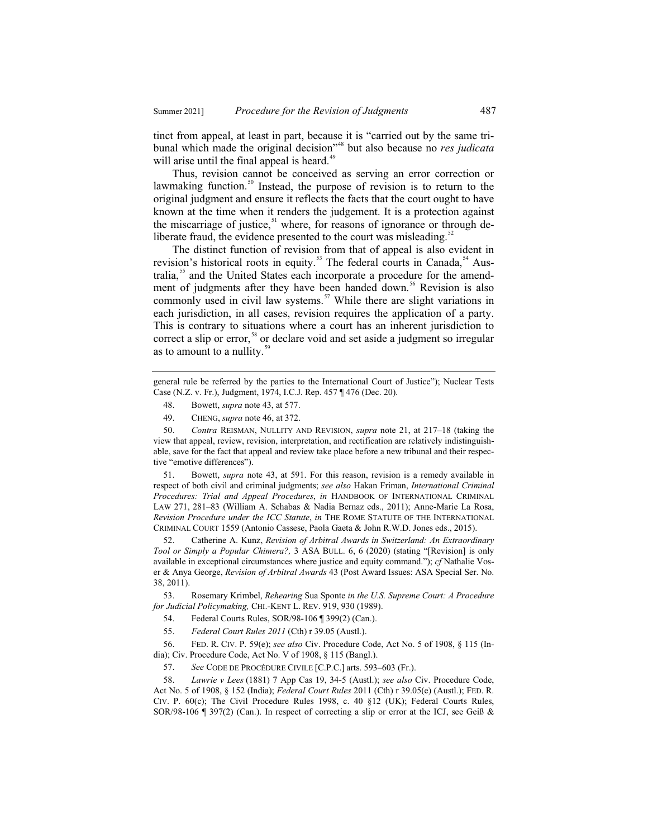tinct from appeal, at least in part, because it is "carried out by the same tribunal which made the original decision"48 but also because no *res judicata* will arise until the final appeal is heard.<sup>49</sup>

Thus, revision cannot be conceived as serving an error correction or lawmaking function.<sup>50</sup> Instead, the purpose of revision is to return to the original judgment and ensure it reflects the facts that the court ought to have known at the time when it renders the judgement. It is a protection against the miscarriage of justice,  $51$  where, for reasons of ignorance or through deliberate fraud, the evidence presented to the court was misleading. $52$ 

The distinct function of revision from that of appeal is also evident in revision's historical roots in equity.<sup>53</sup> The federal courts in Canada,<sup>54</sup> Australia,<sup>55</sup> and the United States each incorporate a procedure for the amendment of judgments after they have been handed down.<sup>56</sup> Revision is also commonly used in civil law systems.<sup>57</sup> While there are slight variations in each jurisdiction, in all cases, revision requires the application of a party. This is contrary to situations where a court has an inherent jurisdiction to correct a slip or error,<sup>58</sup> or declare void and set aside a judgment so irregular as to amount to a nullity. $\frac{59}{2}$ 

- 48. Bowett, *supra* note 43, at 577.
- 49. CHENG, *supra* note 46, at 372.

 50. *Contra* REISMAN, NULLITY AND REVISION, *supra* note 21, at 217–18 (taking the view that appeal, review, revision, interpretation, and rectification are relatively indistinguishable, save for the fact that appeal and review take place before a new tribunal and their respective "emotive differences").

 51. Bowett, *supra* note 43, at 591. For this reason, revision is a remedy available in respect of both civil and criminal judgments; *see also* Hakan Friman, *International Criminal Procedures: Trial and Appeal Procedures*, *in* HANDBOOK OF INTERNATIONAL CRIMINAL LAW 271, 281–83 (William A. Schabas & Nadia Bernaz eds., 2011); Anne-Marie La Rosa, *Revision Procedure under the ICC Statute*, *in* THE ROME STATUTE OF THE INTERNATIONAL CRIMINAL COURT 1559 (Antonio Cassese, Paola Gaeta & John R.W.D. Jones eds., 2015).

 52. Catherine A. Kunz, *Revision of Arbitral Awards in Switzerland: An Extraordinary Tool or Simply a Popular Chimera?,* 3 ASA BULL. 6, 6 (2020) (stating "[Revision] is only available in exceptional circumstances where justice and equity command."); *cf* Nathalie Voser & Anya George, *Revision of Arbitral Awards* 43 (Post Award Issues: ASA Special Ser. No. 38, 2011).

 53. Rosemary Krimbel, *Rehearing* Sua Sponte *in the U.S. Supreme Court: A Procedure for Judicial Policymaking,* CHI.-KENT L. REV. 919, 930 (1989).

54. Federal Courts Rules, SOR/98-106 ¶ 399(2) (Can.).

55. *Federal Court Rules 2011* (Cth) r 39.05 (Austl.).

 56. FED. R. CIV. P. 59(e); *see also* Civ. Procedure Code, Act No. 5 of 1908, § 115 (India); Civ. Procedure Code, Act No. V of 1908, § 115 (Bangl.).

57. *See* CODE DE PROCÉDURE CIVILE [C.P.C.] arts. 593–603 (Fr.).

 58. *Lawrie v Lees* (1881) 7 App Cas 19, 34-5 (Austl.); *see also* Civ. Procedure Code, Act No. 5 of 1908, § 152 (India); *Federal Court Rules* 2011 (Cth) r 39.05(e) (Austl.); FED. R. CIV. P. 60(c); The Civil Procedure Rules 1998, c. 40 §12 (UK); Federal Courts Rules, SOR/98-106 ¶ 397(2) (Can.). In respect of correcting a slip or error at the ICJ, see Geiß &

general rule be referred by the parties to the International Court of Justice"); Nuclear Tests Case (N.Z. v. Fr.), Judgment, 1974, I.C.J. Rep. 457 ¶ 476 (Dec. 20).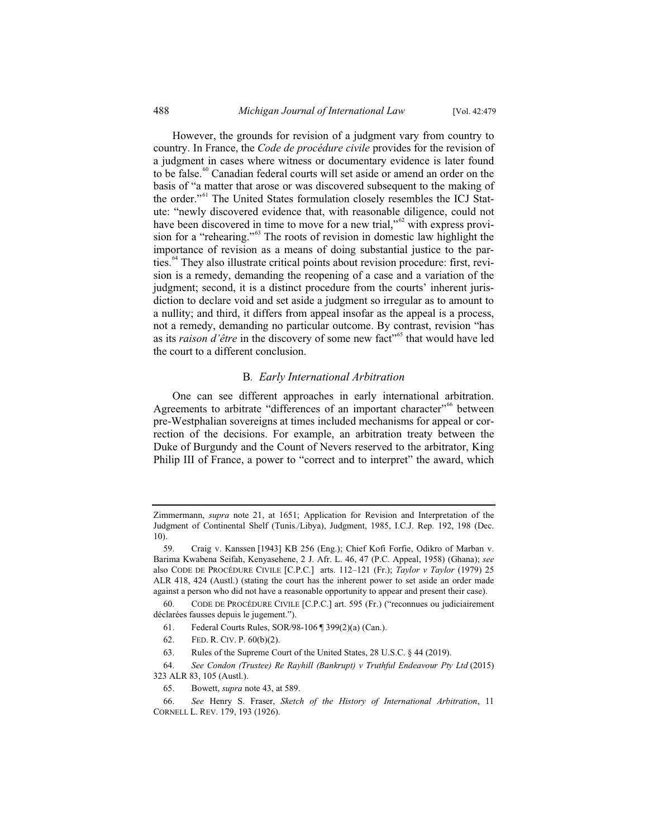However, the grounds for revision of a judgment vary from country to country. In France, the *Code de procédure civile* provides for the revision of a judgment in cases where witness or documentary evidence is later found to be false.<sup>60</sup> Canadian federal courts will set aside or amend an order on the basis of "a matter that arose or was discovered subsequent to the making of the order."<sup>61</sup> The United States formulation closely resembles the ICJ Statute: "newly discovered evidence that, with reasonable diligence, could not have been discovered in time to move for a new trial," $62$  with express provision for a "rehearing."<sup>63</sup> The roots of revision in domestic law highlight the importance of revision as a means of doing substantial justice to the parties.<sup>64</sup> They also illustrate critical points about revision procedure: first, revision is a remedy, demanding the reopening of a case and a variation of the judgment; second, it is a distinct procedure from the courts' inherent jurisdiction to declare void and set aside a judgment so irregular as to amount to a nullity; and third, it differs from appeal insofar as the appeal is a process, not a remedy, demanding no particular outcome. By contrast, revision "has as its *raison d'être* in the discovery of some new fact<sup>"65</sup> that would have led the court to a different conclusion.

#### B*. Early International Arbitration*

One can see different approaches in early international arbitration. Agreements to arbitrate "differences of an important character"<sup>66</sup> between pre-Westphalian sovereigns at times included mechanisms for appeal or correction of the decisions. For example, an arbitration treaty between the Duke of Burgundy and the Count of Nevers reserved to the arbitrator, King Philip III of France, a power to "correct and to interpret" the award, which

65. Bowett, *supra* note 43, at 589.

Zimmermann, *supra* note 21, at 1651; Application for Revision and Interpretation of the Judgment of Continental Shelf (Tunis./Libya), Judgment, 1985, I.C.J. Rep. 192, 198 (Dec. 10).

<sup>59.</sup> Craig v. Kanssen [1943] KB 256 (Eng.); Chief Kofi Forfie, Odikro of Marban v. Barima Kwabena Seifah, Kenyasehene, 2 J. Afr. L. 46, 47 (P.C. Appeal, 1958) (Ghana); *see*  also CODE DE PROCÉDURE CIVILE [C.P.C.] arts. 112–121 (Fr.); *Taylor v Taylor* (1979) 25 ALR 418, 424 (Austl.) (stating the court has the inherent power to set aside an order made against a person who did not have a reasonable opportunity to appear and present their case).

<sup>60.</sup> CODE DE PROCÉDURE CIVILE [C.P.C.] art. 595 (Fr.) ("reconnues ou judiciairement déclarées fausses depuis le jugement.").

<sup>61.</sup> Federal Courts Rules, SOR/98-106 ¶ 399(2)(a) (Can.).

<sup>62.</sup> FED. R. CIV. P. 60(b)(2).

<sup>63.</sup> Rules of the Supreme Court of the United States, 28 U.S.C. § 44 (2019).

<sup>64.</sup> *See Condon (Trustee) Re Rayhill (Bankrupt) v Truthful Endeavour Pty Ltd* (2015) 323 ALR 83, 105 (Austl.).

<sup>66.</sup> *See* Henry S. Fraser, *Sketch of the History of International Arbitration*, 11 CORNELL L. REV. 179, 193 (1926).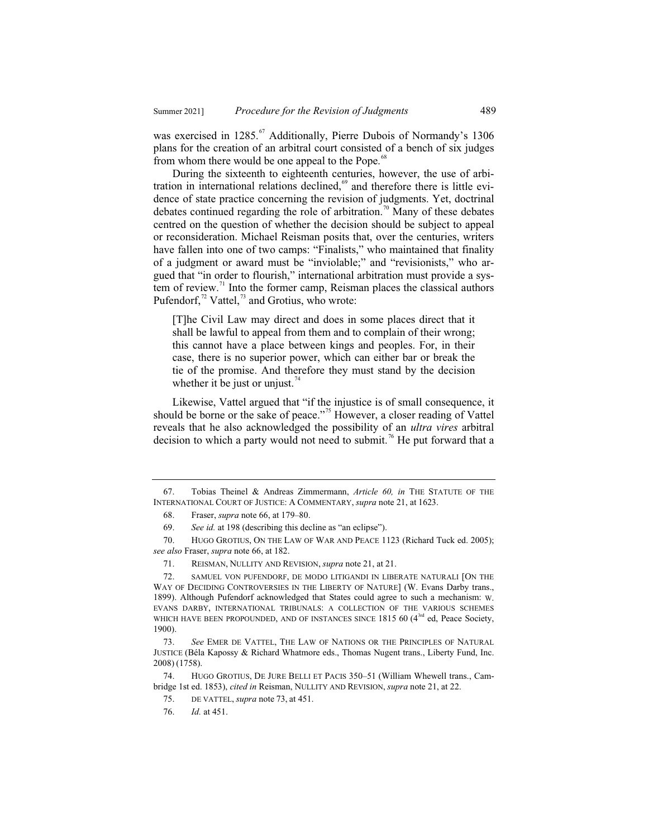was exercised in 1285.<sup>67</sup> Additionally, Pierre Dubois of Normandy's 1306 plans for the creation of an arbitral court consisted of a bench of six judges from whom there would be one appeal to the Pope.<sup>68</sup>

During the sixteenth to eighteenth centuries, however, the use of arbitration in international relations declined, $69$  and therefore there is little evidence of state practice concerning the revision of judgments. Yet, doctrinal debates continued regarding the role of arbitration.<sup>70</sup> Many of these debates centred on the question of whether the decision should be subject to appeal or reconsideration. Michael Reisman posits that, over the centuries, writers have fallen into one of two camps: "Finalists," who maintained that finality of a judgment or award must be "inviolable;" and "revisionists," who argued that "in order to flourish," international arbitration must provide a system of review. $\frac{71}{1}$  Into the former camp, Reisman places the classical authors Pufendorf, $^{72}$  Vattel, $^{73}$  and Grotius, who wrote:

[T]he Civil Law may direct and does in some places direct that it shall be lawful to appeal from them and to complain of their wrong; this cannot have a place between kings and peoples. For, in their case, there is no superior power, which can either bar or break the tie of the promise. And therefore they must stand by the decision whether it be just or unjust.<sup>74</sup>

Likewise, Vattel argued that "if the injustice is of small consequence, it should be borne or the sake of peace."<sup>75</sup> However, a closer reading of Vattel reveals that he also acknowledged the possibility of an *ultra vires* arbitral decision to which a party would not need to submit.<sup>76</sup> He put forward that a

72. SAMUEL VON PUFENDORF, DE MODO LITIGANDI IN LIBERATE NATURALI [ON THE WAY OF DECIDING CONTROVERSIES IN THE LIBERTY OF NATURE] (W. Evans Darby trans., 1899). Although Pufendorf acknowledged that States could agree to such a mechanism: W. EVANS DARBY, INTERNATIONAL TRIBUNALS: A COLLECTION OF THE VARIOUS SCHEMES WHICH HAVE BEEN PROPOUNDED, AND OF INSTANCES SINCE 1815 60 (4<sup>3rd</sup> ed, Peace Society, 1900).

74. HUGO GROTIUS, DE JURE BELLI ET PACIS 350–51 (William Whewell trans., Cambridge 1st ed. 1853), *cited in* Reisman, NULLITY AND REVISION, *supra* note 21, at 22.

<sup>67.</sup> Tobias Theinel & Andreas Zimmermann, *Article 60, in* THE STATUTE OF THE INTERNATIONAL COURT OF JUSTICE:ACOMMENTARY, *supra* note 21, at 1623.

<sup>68.</sup> Fraser, *supra* note 66, at 179–80.

<sup>69.</sup> *See id.* at 198 (describing this decline as "an eclipse").

<sup>70.</sup> HUGO GROTIUS, ON THE LAW OF WAR AND PEACE 1123 (Richard Tuck ed. 2005); *see also* Fraser, *supra* note 66, at 182.

<sup>71.</sup> REISMAN, NULLITY AND REVISION, *supra* note 21, at 21.

<sup>73.</sup> *See* EMER DE VATTEL, THE LAW OF NATIONS OR THE PRINCIPLES OF NATURAL JUSTICE (Béla Kapossy & Richard Whatmore eds., Thomas Nugent trans., Liberty Fund, Inc. 2008) (1758).

<sup>75.</sup> DE VATTEL, *supra* note 73, at 451.

<sup>76.</sup> *Id.* at 451.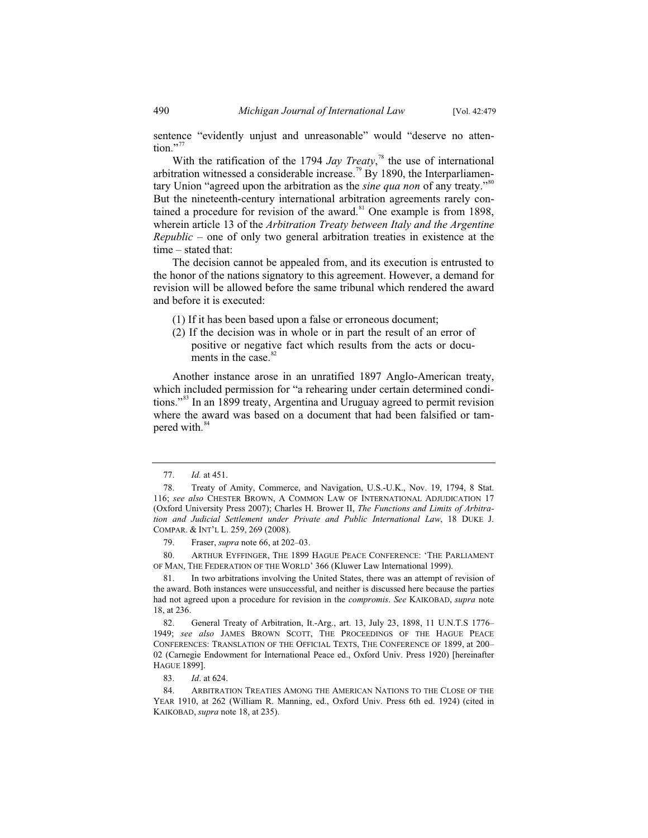sentence "evidently unjust and unreasonable" would "deserve no atten- $\frac{1}{100}$ ."

With the ratification of the 1794 *Jay Treaty*,<sup>78</sup> the use of international arbitration witnessed a considerable increase.<sup>79</sup> By 1890, the Interparliamentary Union "agreed upon the arbitration as the *sine qua non* of any treaty."<sup>80</sup> But the nineteenth-century international arbitration agreements rarely contained a procedure for revision of the award.<sup>81</sup> One example is from 1898, wherein article 13 of the *Arbitration Treaty between Italy and the Argentine Republic* – one of only two general arbitration treaties in existence at the time – stated that:

The decision cannot be appealed from, and its execution is entrusted to the honor of the nations signatory to this agreement. However, a demand for revision will be allowed before the same tribunal which rendered the award and before it is executed:

- (1) If it has been based upon a false or erroneous document;
- (2) If the decision was in whole or in part the result of an error of positive or negative fact which results from the acts or documents in the case.<sup>82</sup>

Another instance arose in an unratified 1897 Anglo-American treaty, which included permission for "a rehearing under certain determined conditions."<sup>83</sup> In an 1899 treaty, Argentina and Uruguay agreed to permit revision where the award was based on a document that had been falsified or tampered with.<sup>84</sup>

80. ARTHUR EYFFINGER, THE 1899 HAGUE PEACE CONFERENCE: 'THE PARLIAMENT OF MAN, THE FEDERATION OF THE WORLD' 366 (Kluwer Law International 1999).

<sup>77.</sup> *Id.* at 451.

<sup>78.</sup> Treaty of Amity, Commerce, and Navigation, U.S.-U.K., Nov. 19, 1794, 8 Stat. 116; see also CHESTER BROWN, A COMMON LAW OF INTERNATIONAL ADJUDICATION 17 (Oxford University Press 2007); Charles H. Brower II, *The Functions and Limits of Arbitration and Judicial Settlement under Private and Public International Law*, 18 DUKE J. COMPAR.&INT'L L. 259, 269 (2008).

<sup>79.</sup> Fraser, *supra* note 66, at 202–03.

<sup>81.</sup> In two arbitrations involving the United States, there was an attempt of revision of the award. Both instances were unsuccessful, and neither is discussed here because the parties had not agreed upon a procedure for revision in the *compromis*. *See* KAIKOBAD, *supra* note 18, at 236.

<sup>82.</sup> General Treaty of Arbitration, It.-Arg., art. 13, July 23, 1898, 11 U.N.T.S 1776– 1949; *see also* JAMES BROWN SCOTT, THE PROCEEDINGS OF THE HAGUE PEACE CONFERENCES: TRANSLATION OF THE OFFICIAL TEXTS, THE CONFERENCE OF 1899, at 200– 02 (Carnegie Endowment for International Peace ed., Oxford Univ. Press 1920) [hereinafter HAGUE 1899].

<sup>83.</sup> *Id*. at 624.

<sup>84.</sup> ARBITRATION TREATIES AMONG THE AMERICAN NATIONS TO THE CLOSE OF THE YEAR 1910, at 262 (William R. Manning, ed., Oxford Univ. Press 6th ed. 1924) (cited in KAIKOBAD, *supra* note 18, at 235).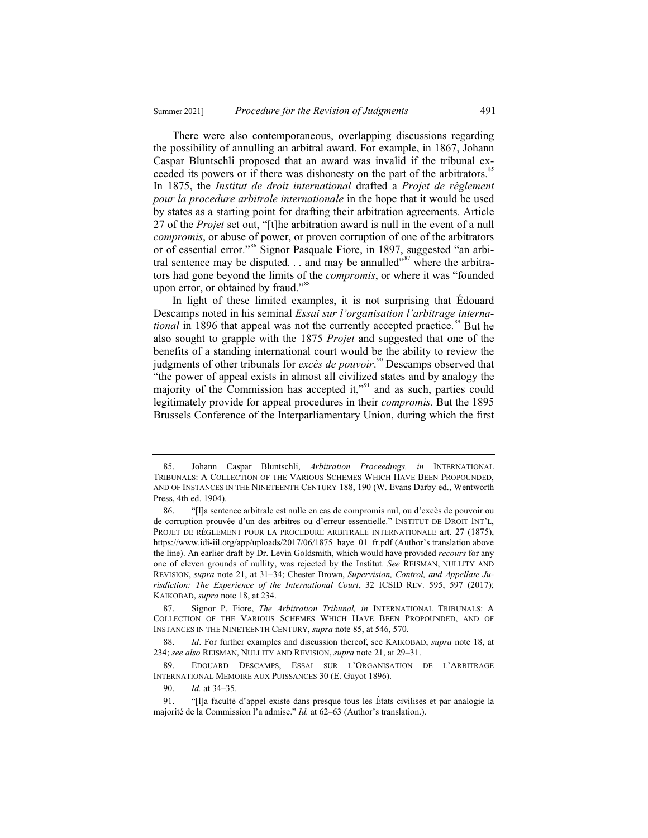There were also contemporaneous, overlapping discussions regarding the possibility of annulling an arbitral award. For example, in 1867, Johann Caspar Bluntschli proposed that an award was invalid if the tribunal exceeded its powers or if there was dishonesty on the part of the arbitrators.<sup>85</sup> In 1875, the *Institut de droit international* drafted a *Projet de règlement pour la procedure arbitrale internationale* in the hope that it would be used by states as a starting point for drafting their arbitration agreements. Article 27 of the *Projet* set out, "[t]he arbitration award is null in the event of a null *compromis*, or abuse of power, or proven corruption of one of the arbitrators or of essential error."<sup>86</sup> Signor Pasquale Fiore, in 1897, suggested "an arbitral sentence may be disputed. . . and may be annulled"<sup>87</sup> where the arbitrators had gone beyond the limits of the *compromis*, or where it was "founded upon error, or obtained by fraud."<sup>88</sup>

In light of these limited examples, it is not surprising that Édouard Descamps noted in his seminal *Essai sur l'organisation l'arbitrage international* in 1896 that appeal was not the currently accepted practice.<sup>89</sup> But he also sought to grapple with the 1875 *Projet* and suggested that one of the benefits of a standing international court would be the ability to review the judgments of other tribunals for *excès de pouvoir*.<sup>90</sup> Descamps observed that "the power of appeal exists in almost all civilized states and by analogy the majority of the Commission has accepted it,"<sup>91</sup> and as such, parties could legitimately provide for appeal procedures in their *compromis*. But the 1895 Brussels Conference of the Interparliamentary Union, during which the first

<sup>85.</sup> Johann Caspar Bluntschli, *Arbitration Proceedings, in* INTERNATIONAL TRIBUNALS:ACOLLECTION OF THE VARIOUS SCHEMES WHICH HAVE BEEN PROPOUNDED, AND OF INSTANCES IN THE NINETEENTH CENTURY 188, 190 (W. Evans Darby ed., Wentworth Press, 4th ed. 1904).

<sup>86. &</sup>quot;[l]a sentence arbitrale est nulle en cas de compromis nul, ou d'excès de pouvoir ou de corruption prouvée d'un des arbitres ou d'erreur essentielle." INSTITUT DE DROIT INT'L, PROJET DE RÈGLEMENT POUR LA PROCEDURE ARBITRALE INTERNATIONALE art. 27 (1875), https://www.idi-iil.org/app/uploads/2017/06/1875\_haye\_01\_fr.pdf (Author's translation above the line). An earlier draft by Dr. Levin Goldsmith, which would have provided *recours* for any one of eleven grounds of nullity, was rejected by the Institut. *See* REISMAN, NULLITY AND REVISION, *supra* note 21, at 31–34; Chester Brown, *Supervision, Control, and Appellate Jurisdiction: The Experience of the International Court*, 32 ICSID REV. 595, 597 (2017); KAIKOBAD, *supra* note 18, at 234.

<sup>87.</sup> Signor P. Fiore, *The Arbitration Tribunal, in* INTERNATIONAL TRIBUNALS: A COLLECTION OF THE VARIOUS SCHEMES WHICH HAVE BEEN PROPOUNDED, AND OF INSTANCES IN THE NINETEENTH CENTURY, *supra* note 85, at 546, 570.

<sup>88.</sup> *Id*. For further examples and discussion thereof, see KAIKOBAD, *supra* note 18, at 234; *see also* REISMAN, NULLITY AND REVISION, *supra* note 21, at 29–31.

<sup>89.</sup> EDOUARD DESCAMPS, ESSAI SUR L'ORGANISATION DE L'ARBITRAGE INTERNATIONAL MEMOIRE AUX PUISSANCES 30 (E. Guyot 1896).

<sup>90.</sup> *Id.* at 34–35.

<sup>91. &</sup>quot;[l]a faculté d'appel existe dans presque tous les États civilises et par analogie la majorité de la Commission l'a admise." *Id.* at 62–63 (Author's translation.).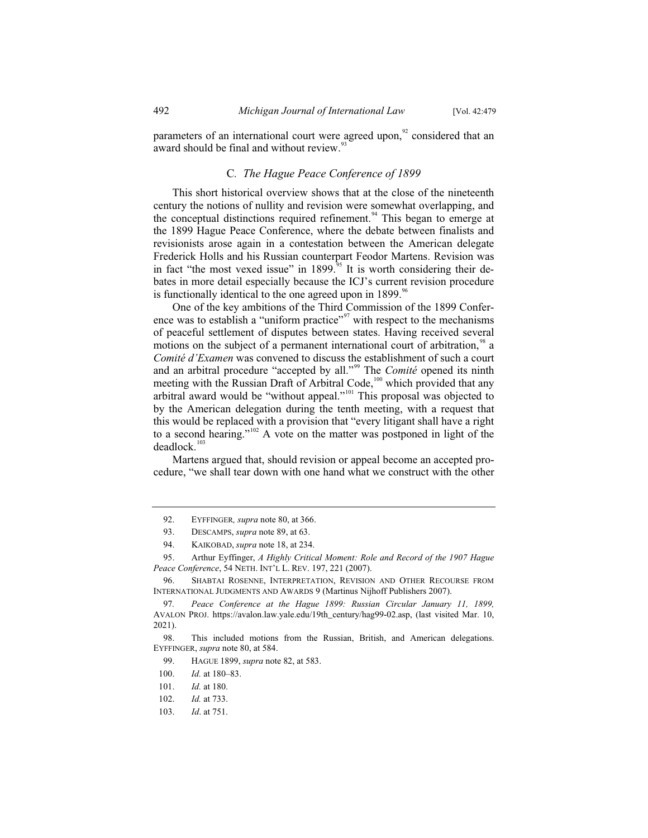parameters of an international court were agreed upon, $\frac{92}{2}$  considered that an award should be final and without review. $93$ 

#### C*. The Hague Peace Conference of 1899*

This short historical overview shows that at the close of the nineteenth century the notions of nullity and revision were somewhat overlapping, and the conceptual distinctions required refinement.<sup>94</sup> This began to emerge at the 1899 Hague Peace Conference, where the debate between finalists and revisionists arose again in a contestation between the American delegate Frederick Holls and his Russian counterpart Feodor Martens. Revision was in fact "the most vexed issue" in 1899.<sup> $\frac{5}{5}$ </sup> It is worth considering their debates in more detail especially because the ICJ's current revision procedure is functionally identical to the one agreed upon in  $1899$ .<sup>96</sup>

One of the key ambitions of the Third Commission of the 1899 Conference was to establish a "uniform practice"<sup>97</sup> with respect to the mechanisms of peaceful settlement of disputes between states. Having received several motions on the subject of a permanent international court of arbitration,<sup>98</sup> a *Comité d'Examen* was convened to discuss the establishment of such a court and an arbitral procedure "accepted by all."<sup>99</sup> The *Comité* opened its ninth meeting with the Russian Draft of Arbitral Code,<sup>100</sup> which provided that any arbitral award would be "without appeal."<sup>101</sup> This proposal was objected to by the American delegation during the tenth meeting, with a request that this would be replaced with a provision that "every litigant shall have a right to a second hearing."<sup>102</sup> A vote on the matter was postponed in light of the  $deadlock.<sup>103</sup>$ 

Martens argued that, should revision or appeal become an accepted procedure, "we shall tear down with one hand what we construct with the other

<sup>92.</sup> EYFFINGER*, supra* note 80, at 366.

<sup>93.</sup> DESCAMPS, *supra* note 89, at 63.

<sup>94.</sup> KAIKOBAD, *supra* note 18, at 234.

<sup>95.</sup> Arthur Eyffinger, *A Highly Critical Moment: Role and Record of the 1907 Hague Peace Conference*, 54 NETH. INT'L L. REV. 197, 221 (2007).

<sup>96.</sup> SHABTAI ROSENNE, INTERPRETATION, REVISION AND OTHER RECOURSE FROM INTERNATIONAL JUDGMENTS AND AWARDS 9 (Martinus Nijhoff Publishers 2007).

<sup>97</sup>*. Peace Conference at the Hague 1899: Russian Circular January 11, 1899,*  AVALON PROJ. https://avalon.law.yale.edu/19th\_century/hag99-02.asp, (last visited Mar. 10, 2021).

<sup>98.</sup> This included motions from the Russian, British, and American delegations. EYFFINGER, *supra* note 80, at 584.

<sup>99.</sup> HAGUE 1899, *supra* note 82, at 583.

<sup>100.</sup> *Id.* at 180–83.

<sup>101.</sup> *Id.* at 180.

<sup>102.</sup> *Id.* at 733.

<sup>103.</sup> *Id*. at 751.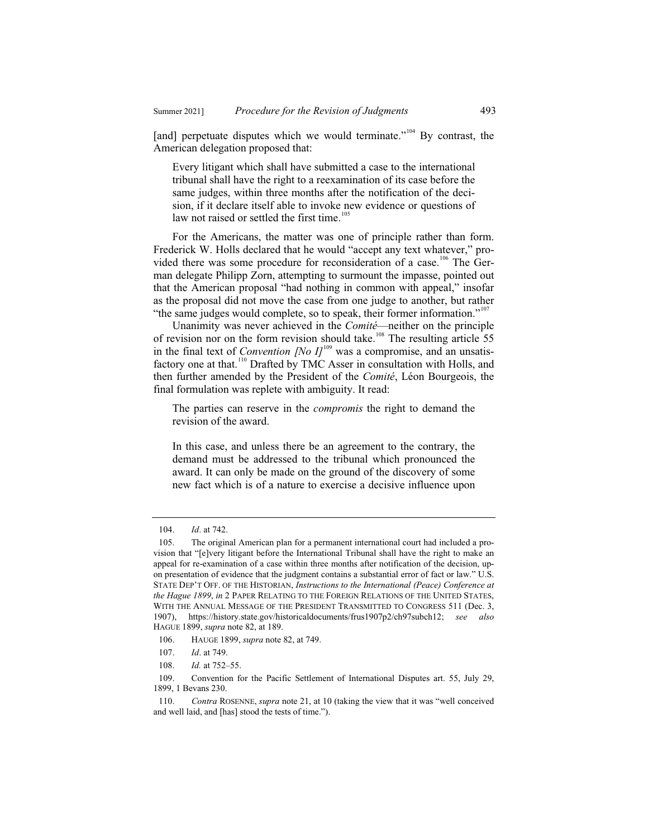[and] perpetuate disputes which we would terminate."<sup>104</sup> By contrast, the American delegation proposed that:

Every litigant which shall have submitted a case to the international tribunal shall have the right to a reexamination of its case before the same judges, within three months after the notification of the decision, if it declare itself able to invoke new evidence or questions of law not raised or settled the first time.<sup>105</sup>

For the Americans, the matter was one of principle rather than form. Frederick W. Holls declared that he would "accept any text whatever," provided there was some procedure for reconsideration of a case.<sup>106</sup> The German delegate Philipp Zorn, attempting to surmount the impasse, pointed out that the American proposal "had nothing in common with appeal," insofar as the proposal did not move the case from one judge to another, but rather "the same judges would complete, so to speak, their former information."<sup>107</sup>

Unanimity was never achieved in the *Comité*—neither on the principle of revision nor on the form revision should take.<sup>108</sup> The resulting article 55 in the final text of *Convention [No I]*<sup>109</sup> was a compromise, and an unsatisfactory one at that.<sup>110</sup> Drafted by TMC Asser in consultation with Holls, and then further amended by the President of the *Comité*, Léon Bourgeois, the final formulation was replete with ambiguity. It read:

The parties can reserve in the *compromis* the right to demand the revision of the award.

In this case, and unless there be an agreement to the contrary, the demand must be addressed to the tribunal which pronounced the award. It can only be made on the ground of the discovery of some new fact which is of a nature to exercise a decisive influence upon

109. Convention for the Pacific Settlement of International Disputes art. 55, July 29, 1899, 1 Bevans 230.

<sup>104.</sup> *Id*. at 742.

<sup>105.</sup> The original American plan for a permanent international court had included a provision that "[e]very litigant before the International Tribunal shall have the right to make an appeal for re-examination of a case within three months after notification of the decision, upon presentation of evidence that the judgment contains a substantial error of fact or law." U.S. STATE DEP'T OFF. OF THE HISTORIAN, *Instructions to the International (Peace) Conference at the Hague 1899*, *in* 2 PAPER RELATING TO THE FOREIGN RELATIONS OF THE UNITED STATES, WITH THE ANNUAL MESSAGE OF THE PRESIDENT TRANSMITTED TO CONGRESS 511 (Dec. 3, 1907), https://history.state.gov/historicaldocuments/frus1907p2/ch97subch12; *see also* HAGUE 1899, *supra* note 82, at 189.

<sup>106.</sup> HAUGE 1899, *supra* note 82, at 749.

<sup>107.</sup> *Id*. at 749.

<sup>108.</sup> *Id.* at 752–55.

<sup>110.</sup> *Contra* ROSENNE, *supra* note 21, at 10 (taking the view that it was "well conceived and well laid, and [has] stood the tests of time.").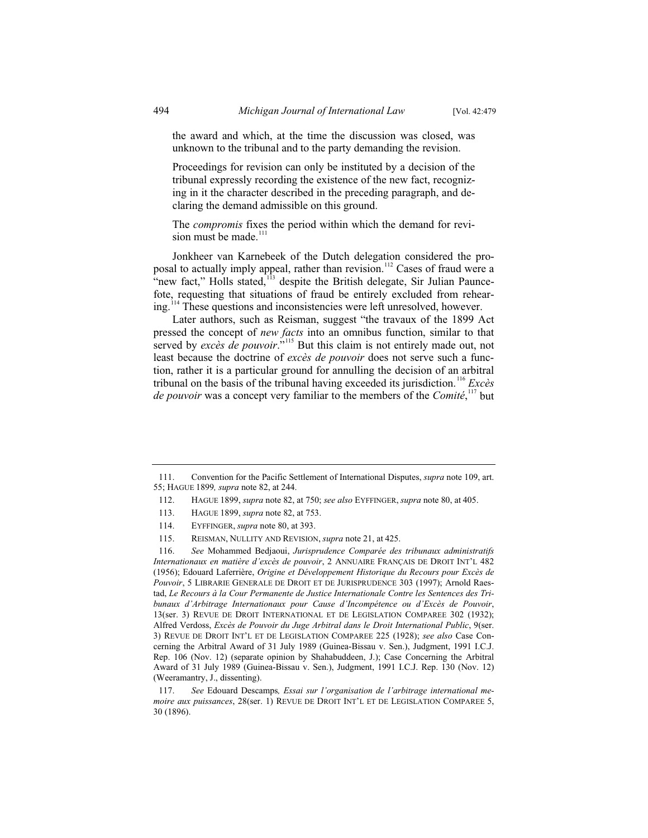the award and which, at the time the discussion was closed, was unknown to the tribunal and to the party demanding the revision.

Proceedings for revision can only be instituted by a decision of the tribunal expressly recording the existence of the new fact, recognizing in it the character described in the preceding paragraph, and declaring the demand admissible on this ground.

The *compromis* fixes the period within which the demand for revision must be made. $111$ 

Jonkheer van Karnebeek of the Dutch delegation considered the proposal to actually imply appeal, rather than revision.<sup>112</sup> Cases of fraud were a mew fact," Holls stated, <sup>113</sup> despite the British delegate, Sir Julian Pauncefote, requesting that situations of fraud be entirely excluded from rehearing.<sup>114</sup> These questions and inconsistencies were left unresolved, however.

Later authors, such as Reisman, suggest "the travaux of the 1899 Act pressed the concept of *new facts* into an omnibus function, similar to that served by *excès de pouvoir*."<sup>115</sup> But this claim is not entirely made out, not least because the doctrine of *excès de pouvoir* does not serve such a function, rather it is a particular ground for annulling the decision of an arbitral tribunal on the basis of the tribunal having exceeded its jurisdiction.<sup>116</sup> *Excès de pouvoir* was a concept very familiar to the members of the *Comité*, <sup>117</sup> but

115. REISMAN, NULLITY AND REVISION, *supra* note 21, at 425.

<sup>111.</sup> Convention for the Pacific Settlement of International Disputes, *supra* note 109, art. 55; HAGUE 1899*, supra* note 82, at 244.

<sup>112.</sup> HAGUE 1899, *supra* note 82, at 750; *see also* EYFFINGER, *supra* note 80, at 405.

<sup>113.</sup> HAGUE 1899, *supra* note 82, at 753.

<sup>114.</sup> EYFFINGER, *supra* note 80, at 393.

<sup>116.</sup> *See* Mohammed Bedjaoui, *Jurisprudence Comparée des tribunaux administratifs Internationaux en matière d'excès de pouvoir*, 2 ANNUAIRE FRANÇAIS DE DROIT INT'L 482 (1956); Edouard Laferrière, *Origine et Développement Historique du Recours pour Excès de Pouvoir*, 5 LIBRARIE GENERALE DE DROIT ET DE JURISPRUDENCE 303 (1997); Arnold Raestad, *Le Recours à la Cour Permanente de Justice Internationale Contre les Sentences des Tribunaux d'Arbitrage Internationaux pour Cause d'Incompétence ou d'Excès de Pouvoir*, 13(ser. 3) REVUE DE DROIT INTERNATIONAL ET DE LEGISLATION COMPAREE 302 (1932); Alfred Verdoss, *Excès de Pouvoir du Juge Arbitral dans le Droit International Public*, 9(ser. 3) REVUE DE DROIT INT'L ET DE LEGISLATION COMPAREE 225 (1928); *see also* Case Concerning the Arbitral Award of 31 July 1989 (Guinea-Bissau v. Sen.), Judgment, 1991 I.C.J. Rep. 106 (Nov. 12) (separate opinion by Shahabuddeen, J.); Case Concerning the Arbitral Award of 31 July 1989 (Guinea-Bissau v. Sen.), Judgment, 1991 I.C.J. Rep. 130 (Nov. 12) (Weeramantry, J., dissenting).

<sup>117.</sup> *See* Edouard Descamps*, Essai sur l'organisation de l'arbitrage international memoire aux puissances*, 28(ser. 1) REVUE DE DROIT INT'L ET DE LEGISLATION COMPAREE 5, 30 (1896).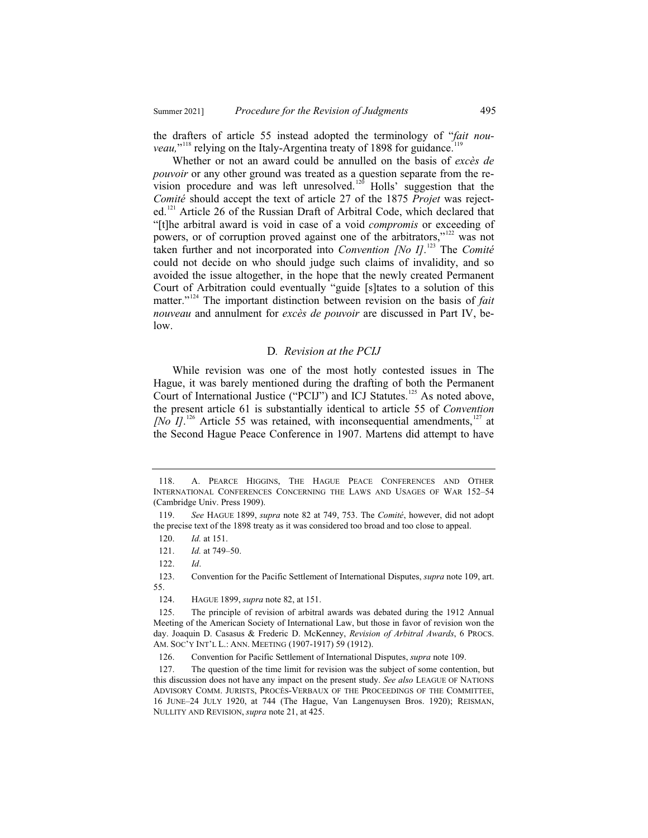the drafters of article 55 instead adopted the terminology of "*fait nou*veau,"<sup>118</sup> relying on the Italy-Argentina treaty of 1898 for guidance.<sup>119</sup>

Whether or not an award could be annulled on the basis of *excès de pouvoir* or any other ground was treated as a question separate from the revision procedure and was left unresolved.<sup>120</sup> Holls' suggestion that the *Comité* should accept the text of article 27 of the 1875 *Projet* was rejected.<sup>121</sup> Article 26 of the Russian Draft of Arbitral Code, which declared that "[t]he arbitral award is void in case of a void *compromis* or exceeding of powers, or of corruption proved against one of the arbitrators,"<sup>122</sup> was not taken further and not incorporated into *Convention [No I]*. <sup>123</sup> The *Comité* could not decide on who should judge such claims of invalidity, and so avoided the issue altogether, in the hope that the newly created Permanent Court of Arbitration could eventually "guide [s]tates to a solution of this matter."<sup>124</sup> The important distinction between revision on the basis of *fait nouveau* and annulment for *excès de pouvoir* are discussed in Part IV, below.

#### D*. Revision at the PCIJ*

While revision was one of the most hotly contested issues in The Hague, it was barely mentioned during the drafting of both the Permanent Court of International Justice ("PCIJ") and ICJ Statutes.<sup>125</sup> As noted above, the present article 61 is substantially identical to article 55 of *Convention [No I]*.<sup>126</sup> Article 55 was retained, with inconsequential amendments,<sup>127</sup> at the Second Hague Peace Conference in 1907. Martens did attempt to have

<sup>118.</sup> A. PEARCE HIGGINS, THE HAGUE PEACE CONFERENCES AND OTHER INTERNATIONAL CONFERENCES CONCERNING THE LAWS AND USAGES OF WAR 152–54 (Cambridge Univ. Press 1909).

<sup>119.</sup> *See* HAGUE 1899, *supra* note 82 at 749, 753. The *Comité*, however, did not adopt the precise text of the 1898 treaty as it was considered too broad and too close to appeal.

<sup>120.</sup> *Id.* at 151.

<sup>121.</sup> *Id.* at 749–50.

<sup>122.</sup> *Id*.

<sup>123.</sup> Convention for the Pacific Settlement of International Disputes, *supra* note 109, art. 55.

<sup>124.</sup> HAGUE 1899, *supra* note 82, at 151.

<sup>125.</sup> The principle of revision of arbitral awards was debated during the 1912 Annual Meeting of the American Society of International Law, but those in favor of revision won the day. Joaquin D. Casasus & Frederic D. McKenney, *Revision of Arbitral Awards*, 6 PROCS. AM. SOC'Y INT'L L.: ANN. MEETING (1907-1917) 59 (1912).

<sup>126.</sup> Convention for Pacific Settlement of International Disputes, *supra* note 109.

<sup>127.</sup> The question of the time limit for revision was the subject of some contention, but this discussion does not have any impact on the present study. *See also* LEAGUE OF NATIONS ADVISORY COMM. JURISTS, PROCÈS-VERBAUX OF THE PROCEEDINGS OF THE COMMITTEE, 16 JUNE–24 JULY 1920, at 744 (The Hague, Van Langenuysen Bros. 1920); REISMAN, NULLITY AND REVISION, *supra* note 21, at 425.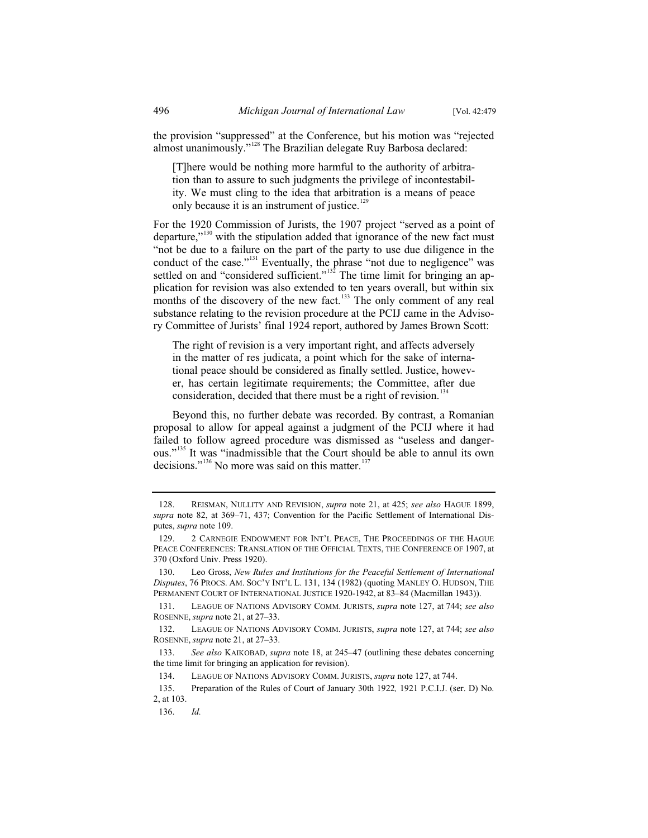the provision "suppressed" at the Conference, but his motion was "rejected almost unanimously."<sup>128</sup> The Brazilian delegate Ruy Barbosa declared:

[T]here would be nothing more harmful to the authority of arbitration than to assure to such judgments the privilege of incontestability. We must cling to the idea that arbitration is a means of peace only because it is an instrument of justice.<sup>129</sup>

For the 1920 Commission of Jurists, the 1907 project "served as a point of departure,"<sup>130</sup> with the stipulation added that ignorance of the new fact must "not be due to a failure on the part of the party to use due diligence in the conduct of the case."<sup>131</sup> Eventually, the phrase "not due to negligence" was settled on and "considered sufficient."<sup>132</sup> The time limit for bringing an application for revision was also extended to ten years overall, but within six months of the discovery of the new fact.<sup>133</sup> The only comment of any real substance relating to the revision procedure at the PCIJ came in the Advisory Committee of Jurists' final 1924 report, authored by James Brown Scott:

The right of revision is a very important right, and affects adversely in the matter of res judicata, a point which for the sake of international peace should be considered as finally settled. Justice, however, has certain legitimate requirements; the Committee, after due consideration, decided that there must be a right of revision.<sup>134</sup>

Beyond this, no further debate was recorded. By contrast, a Romanian proposal to allow for appeal against a judgment of the PCIJ where it had failed to follow agreed procedure was dismissed as "useless and dangerous."<sup>135</sup> It was "inadmissible that the Court should be able to annul its own decisions."<sup>136</sup> No more was said on this matter. $137$ 

136. *Id.*

<sup>128.</sup> REISMAN, NULLITY AND REVISION, *supra* note 21, at 425; *see also* HAGUE 1899, *supra* note 82, at 369–71, 437; Convention for the Pacific Settlement of International Disputes, *supra* note 109.

<sup>129. 2</sup> CARNEGIE ENDOWMENT FOR INT'L PEACE, THE PROCEEDINGS OF THE HAGUE PEACE CONFERENCES: TRANSLATION OF THE OFFICIAL TEXTS, THE CONFERENCE OF 1907, at 370 (Oxford Univ. Press 1920).

<sup>130.</sup> Leo Gross, *New Rules and Institutions for the Peaceful Settlement of International Disputes*, 76 PROCS. AM. SOC'Y INT'L L. 131, 134 (1982) (quoting MANLEY O. HUDSON, THE PERMANENT COURT OF INTERNATIONAL JUSTICE 1920-1942, at 83–84 (Macmillan 1943)).

<sup>131.</sup> LEAGUE OF NATIONS ADVISORY COMM. JURISTS, *supra* note 127, at 744; *see also* ROSENNE, *supra* note 21, at 27–33.

<sup>132.</sup> LEAGUE OF NATIONS ADVISORY COMM. JURISTS, *supra* note 127, at 744; *see also*  ROSENNE, *supra* note 21, at 27–33.

<sup>133.</sup> *See also* KAIKOBAD, *supra* note 18, at 245–47 (outlining these debates concerning the time limit for bringing an application for revision).

<sup>134.</sup> LEAGUE OF NATIONS ADVISORY COMM. JURISTS, *supra* note 127, at 744.

<sup>135.</sup> Preparation of the Rules of Court of January 30th 1922*,* 1921 P.C.I.J. (ser. D) No. 2, at 103.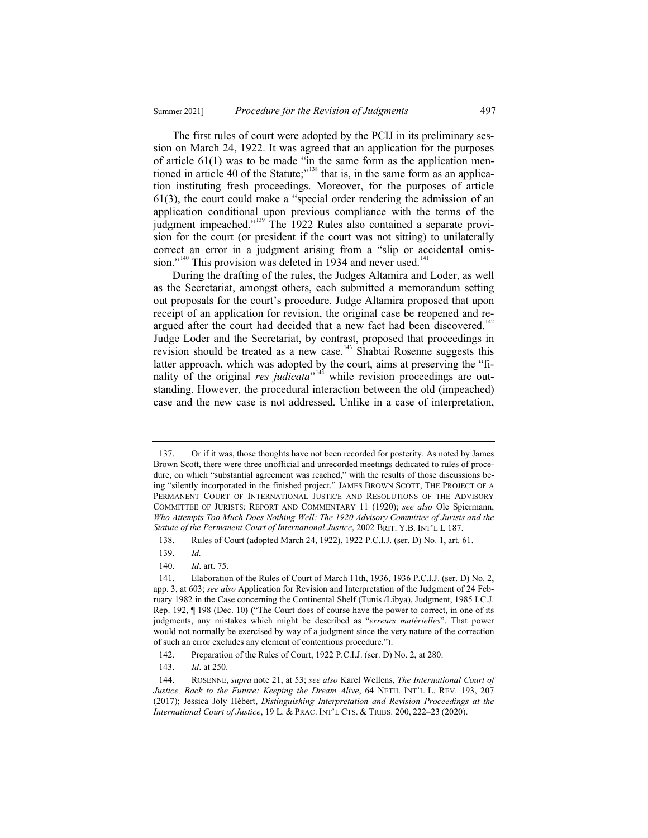The first rules of court were adopted by the PCIJ in its preliminary session on March 24, 1922. It was agreed that an application for the purposes of article 61(1) was to be made "in the same form as the application mentioned in article 40 of the Statute;<sup> $138$ </sup> that is, in the same form as an application instituting fresh proceedings. Moreover, for the purposes of article 61(3), the court could make a "special order rendering the admission of an application conditional upon previous compliance with the terms of the judgment impeached."<sup>139</sup> The 1922 Rules also contained a separate provision for the court (or president if the court was not sitting) to unilaterally correct an error in a judgment arising from a "slip or accidental omission."<sup>140</sup> This provision was deleted in 1934 and never used.<sup>141</sup>

During the drafting of the rules, the Judges Altamira and Loder, as well as the Secretariat, amongst others, each submitted a memorandum setting out proposals for the court's procedure. Judge Altamira proposed that upon receipt of an application for revision, the original case be reopened and reargued after the court had decided that a new fact had been discovered.<sup>142</sup> Judge Loder and the Secretariat, by contrast, proposed that proceedings in revision should be treated as a new case.<sup>143</sup> Shabtai Rosenne suggests this latter approach, which was adopted by the court, aims at preserving the "finality of the original *res judicata*"<sup>144</sup> while revision proceedings are outstanding. However, the procedural interaction between the old (impeached) case and the new case is not addressed. Unlike in a case of interpretation,

140. *Id*. art. 75.

<sup>137.</sup> Or if it was, those thoughts have not been recorded for posterity. As noted by James Brown Scott, there were three unofficial and unrecorded meetings dedicated to rules of procedure, on which "substantial agreement was reached," with the results of those discussions being "silently incorporated in the finished project." JAMES BROWN SCOTT, THE PROJECT OF A PERMANENT COURT OF INTERNATIONAL JUSTICE AND RESOLUTIONS OF THE ADVISORY COMMITTEE OF JURISTS: REPORT AND COMMENTARY 11 (1920); *see also* Ole Spiermann, *Who Attempts Too Much Does Nothing Well: The 1920 Advisory Committee of Jurists and the Statute of the Permanent Court of International Justice*, 2002 BRIT. Y.B. INT'L L 187.

<sup>138.</sup> Rules of Court (adopted March 24, 1922), 1922 P.C.I.J. (ser. D) No. 1, art. 61.

<sup>139.</sup> *Id.* 

<sup>141.</sup> Elaboration of the Rules of Court of March 11th, 1936, 1936 P.C.I.J. (ser. D) No. 2, app. 3, at 603; *see also* Application for Revision and Interpretation of the Judgment of 24 February 1982 in the Case concerning the Continental Shelf (Tunis./Libya), Judgment, 1985 I.C.J. Rep. 192, ¶ 198 (Dec. 10**) (**"The Court does of course have the power to correct, in one of its judgments, any mistakes which might be described as "*erreurs matérielles*". That power would not normally be exercised by way of a judgment since the very nature of the correction of such an error excludes any element of contentious procedure.").

<sup>142.</sup> Preparation of the Rules of Court, 1922 P.C.I.J. (ser. D) No. 2, at 280.

<sup>143.</sup> *Id*. at 250.

<sup>144.</sup> ROSENNE, *supra* note 21, at 53; *see also* Karel Wellens, *The International Court of Justice, Back to the Future: Keeping the Dream Alive*, 64 NETH. INT'L L. REV. 193, 207 (2017); Jessica Joly Hébert, *Distinguishing Interpretation and Revision Proceedings at the International Court of Justice*, 19 L. & PRAC. INT'L CTS.&TRIBS. 200, 222–23 (2020).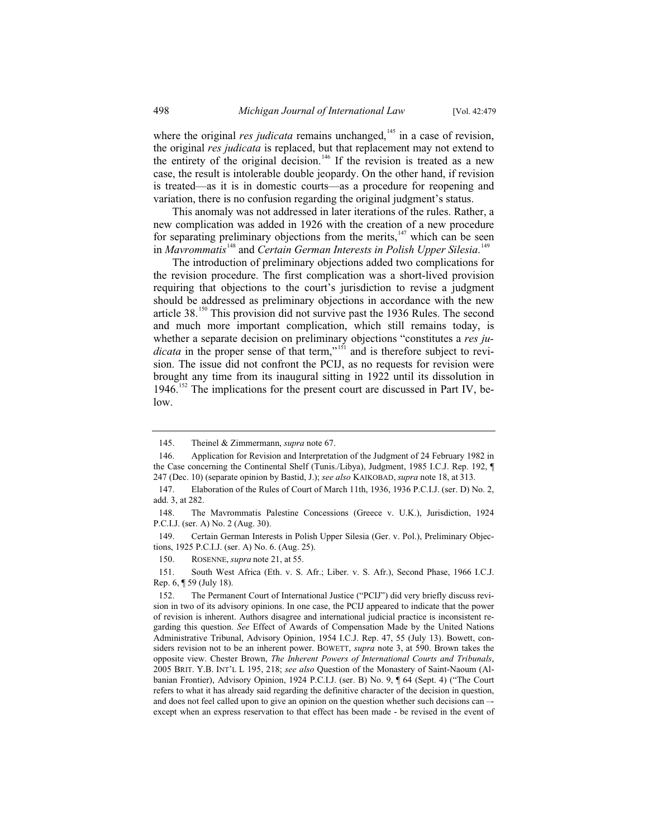where the original *res judicata* remains unchanged,<sup>145</sup> in a case of revision, the original *res judicata* is replaced, but that replacement may not extend to the entirety of the original decision.<sup>146</sup> If the revision is treated as a new case, the result is intolerable double jeopardy. On the other hand, if revision is treated—as it is in domestic courts—as a procedure for reopening and variation, there is no confusion regarding the original judgment's status.

This anomaly was not addressed in later iterations of the rules. Rather, a new complication was added in 1926 with the creation of a new procedure for separating preliminary objections from the merits, $147$  which can be seen in *Mavrommatis*<sup>148</sup> and *Certain German Interests in Polish Upper Silesia*.<sup>149</sup>

The introduction of preliminary objections added two complications for the revision procedure. The first complication was a short-lived provision requiring that objections to the court's jurisdiction to revise a judgment should be addressed as preliminary objections in accordance with the new article 38.<sup>150</sup> This provision did not survive past the 1936 Rules. The second and much more important complication, which still remains today, is whether a separate decision on preliminary objections "constitutes a *res judicata* in the proper sense of that term,"<sup>151</sup> and is therefore subject to revision. The issue did not confront the PCIJ, as no requests for revision were brought any time from its inaugural sitting in 1922 until its dissolution in 1946.<sup>152</sup> The implications for the present court are discussed in Part IV, below.

<sup>145.</sup> Theinel & Zimmermann, *supra* note 67.

<sup>146.</sup> Application for Revision and Interpretation of the Judgment of 24 February 1982 in the Case concerning the Continental Shelf (Tunis./Libya), Judgment, 1985 I.C.J. Rep. 192, ¶ 247 (Dec. 10) (separate opinion by Bastid, J.); *see also* KAIKOBAD, *supra* note 18, at 313.

<sup>147.</sup> Elaboration of the Rules of Court of March 11th, 1936, 1936 P.C.I.J. (ser. D) No. 2, add. 3, at 282.

<sup>148.</sup> The Mavrommatis Palestine Concessions (Greece v. U.K.), Jurisdiction, 1924 P.C.I.J. (ser. A) No. 2 (Aug. 30).

<sup>149.</sup> Certain German Interests in Polish Upper Silesia (Ger. v. Pol.), Preliminary Objections, 1925 P.C.I.J. (ser. A) No. 6. (Aug. 25).

<sup>150.</sup> ROSENNE, *supra* note 21, at 55.

<sup>151.</sup> South West Africa (Eth. v. S. Afr.; Liber. v. S. Afr.), Second Phase, 1966 I.C.J. Rep. 6, ¶ 59 (July 18).

<sup>152.</sup> The Permanent Court of International Justice ("PCIJ") did very briefly discuss revision in two of its advisory opinions. In one case, the PCIJ appeared to indicate that the power of revision is inherent. Authors disagree and international judicial practice is inconsistent regarding this question. *See* Effect of Awards of Compensation Made by the United Nations Administrative Tribunal, Advisory Opinion, 1954 I.C.J. Rep. 47, 55 (July 13). Bowett, considers revision not to be an inherent power. BOWETT, *supra* note 3, at 590. Brown takes the opposite view. Chester Brown, *The Inherent Powers of International Courts and Tribunals*, 2005 BRIT. Y.B. INT'L L 195, 218; *see also* Question of the Monastery of Saint-Naoum (Albanian Frontier), Advisory Opinion, 1924 P.C.I.J. (ser. B) No. 9, ¶ 64 (Sept. 4) ("The Court refers to what it has already said regarding the definitive character of the decision in question, and does not feel called upon to give an opinion on the question whether such decisions can -except when an express reservation to that effect has been made - be revised in the event of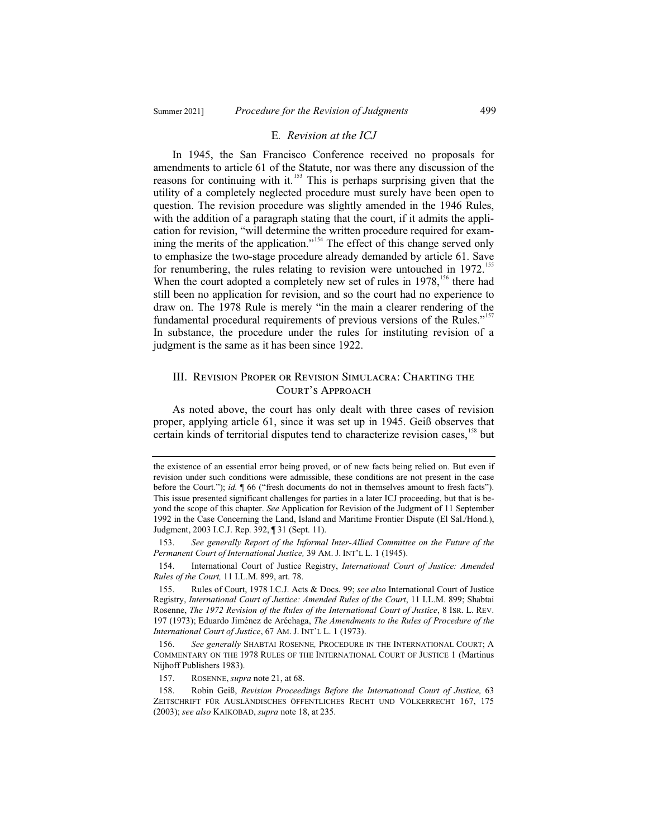#### E*. Revision at the ICJ*

In 1945, the San Francisco Conference received no proposals for amendments to article 61 of the Statute, nor was there any discussion of the reasons for continuing with it.<sup>153</sup> This is perhaps surprising given that the utility of a completely neglected procedure must surely have been open to question. The revision procedure was slightly amended in the 1946 Rules, with the addition of a paragraph stating that the court, if it admits the application for revision, "will determine the written procedure required for examining the merits of the application."<sup>154</sup> The effect of this change served only to emphasize the two-stage procedure already demanded by article 61. Save for renumbering, the rules relating to revision were untouched in  $1972$ <sup>15</sup> When the court adopted a completely new set of rules in  $1978$ ,<sup>156</sup> there had still been no application for revision, and so the court had no experience to draw on. The 1978 Rule is merely "in the main a clearer rendering of the fundamental procedural requirements of previous versions of the Rules."<sup>157</sup> In substance, the procedure under the rules for instituting revision of a judgment is the same as it has been since 1922.

#### III. Revision Proper or Revision Simulacra: Charting the Court's Approach

As noted above, the court has only dealt with three cases of revision proper, applying article 61, since it was set up in 1945. Geiß observes that certain kinds of territorial disputes tend to characterize revision cases,<sup>158</sup> but

the existence of an essential error being proved, or of new facts being relied on. But even if revision under such conditions were admissible, these conditions are not present in the case before the Court*.*"); *id.* ¶ 66 ("fresh documents do not in themselves amount to fresh facts"). This issue presented significant challenges for parties in a later ICJ proceeding, but that is beyond the scope of this chapter. *See* Application for Revision of the Judgment of 11 September 1992 in the Case Concerning the Land, Island and Maritime Frontier Dispute (El Sal./Hond.), Judgment, 2003 I.C.J. Rep. 392, ¶ 31 (Sept. 11).

<sup>153.</sup> *See generally Report of the Informal Inter-Allied Committee on the Future of the Permanent Court of International Justice,* 39 AM. J. INT'L L. 1 (1945).

<sup>154.</sup> International Court of Justice Registry, *International Court of Justice: Amended Rules of the Court,* 11 I.L.M. 899, art. 78.

<sup>155.</sup> Rules of Court, 1978 I.C.J. Acts & Docs. 99; *see also* International Court of Justice Registry, *International Court of Justice: Amended Rules of the Court*, 11 I.L.M. 899; Shabtai Rosenne, *The 1972 Revision of the Rules of the International Court of Justice*, 8 ISR. L. REV. 197 (1973); Eduardo Jiménez de Aréchaga, *The Amendments to the Rules of Procedure of the International Court of Justice*, 67 AM. J. INT'L L. 1 (1973).

<sup>156.</sup> *See generally* SHABTAI ROSENNE*,* PROCEDURE IN THE INTERNATIONAL COURT; A COMMENTARY ON THE 1978 RULES OF THE INTERNATIONAL COURT OF JUSTICE 1 (Martinus Nijhoff Publishers 1983).

<sup>157.</sup> ROSENNE, *supra* note 21, at 68.

<sup>158.</sup> Robin Geiß, *Revision Proceedings Before the International Court of Justice,* 63 ZEITSCHRIFT FÜR AUSLÄNDISCHES ÖFFENTLICHES RECHT UND VÖLKERRECHT 167, 175 (2003); *see also* KAIKOBAD, *supra* note 18, at 235.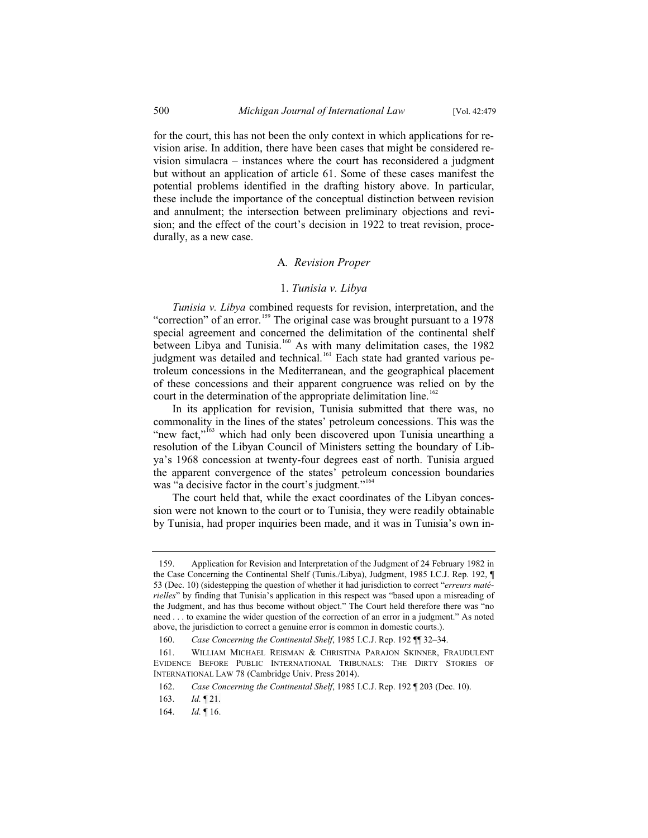for the court, this has not been the only context in which applications for revision arise. In addition, there have been cases that might be considered revision simulacra – instances where the court has reconsidered a judgment but without an application of article 61. Some of these cases manifest the potential problems identified in the drafting history above. In particular, these include the importance of the conceptual distinction between revision and annulment; the intersection between preliminary objections and revision; and the effect of the court's decision in 1922 to treat revision, procedurally, as a new case.

#### A*. Revision Proper*

#### 1. *Tunisia v. Libya*

*Tunisia v. Libya* combined requests for revision, interpretation, and the "correction" of an error.<sup>159</sup> The original case was brought pursuant to a 1978 special agreement and concerned the delimitation of the continental shelf between Libya and Tunisia.<sup>160</sup> As with many delimitation cases, the 1982 judgment was detailed and technical.<sup>161</sup> Each state had granted various petroleum concessions in the Mediterranean, and the geographical placement of these concessions and their apparent congruence was relied on by the court in the determination of the appropriate delimitation line.<sup>162</sup>

In its application for revision, Tunisia submitted that there was, no commonality in the lines of the states' petroleum concessions. This was the "new fact,"<sup>163</sup> which had only been discovered upon Tunisia unearthing a resolution of the Libyan Council of Ministers setting the boundary of Libya's 1968 concession at twenty-four degrees east of north. Tunisia argued the apparent convergence of the states' petroleum concession boundaries was "a decisive factor in the court's judgment."<sup>164</sup>

The court held that, while the exact coordinates of the Libyan concession were not known to the court or to Tunisia, they were readily obtainable by Tunisia, had proper inquiries been made, and it was in Tunisia's own in-

<sup>159.</sup> Application for Revision and Interpretation of the Judgment of 24 February 1982 in the Case Concerning the Continental Shelf (Tunis./Libya), Judgment, 1985 I.C.J. Rep. 192, ¶ 53 (Dec. 10) (sidestepping the question of whether it had jurisdiction to correct "*erreurs matérielles*" by finding that Tunisia's application in this respect was "based upon a misreading of the Judgment, and has thus become without object." The Court held therefore there was "no need . . . to examine the wider question of the correction of an error in a judgment." As noted above, the jurisdiction to correct a genuine error is common in domestic courts.).

<sup>160.</sup> *Case Concerning the Continental Shelf*, 1985 I.C.J. Rep. 192 ¶¶ 32–34.

<sup>161.</sup> WILLIAM MICHAEL REISMAN & CHRISTINA PARAJON SKINNER, FRAUDULENT EVIDENCE BEFORE PUBLIC INTERNATIONAL TRIBUNALS: THE DIRTY STORIES OF INTERNATIONAL LAW 78 (Cambridge Univ. Press 2014).

<sup>162.</sup> *Case Concerning the Continental Shelf*, 1985 I.C.J. Rep. 192 ¶ 203 (Dec. 10).

<sup>163.</sup> *Id.* ¶ 21.

<sup>164.</sup> *Id.* ¶ 16.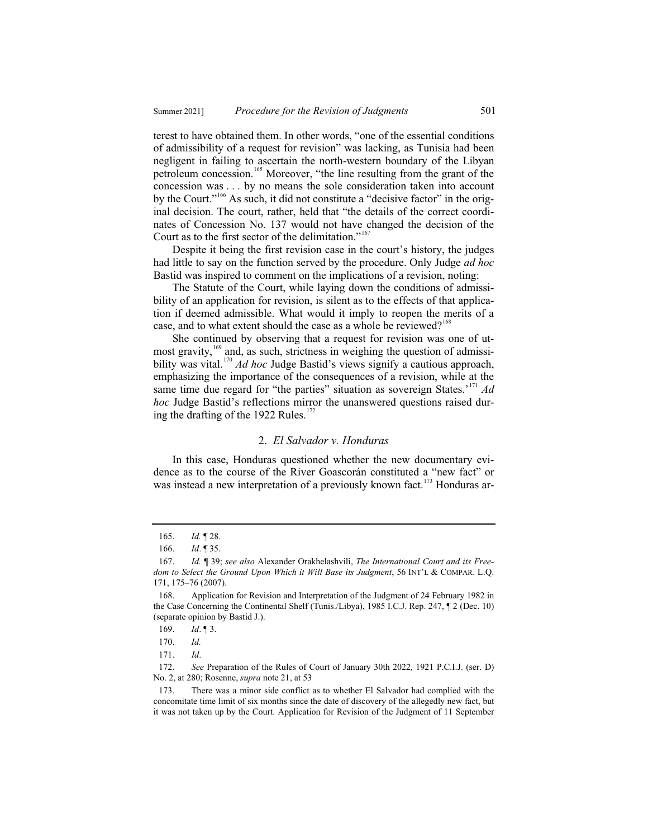terest to have obtained them. In other words, "one of the essential conditions of admissibility of a request for revision" was lacking, as Tunisia had been negligent in failing to ascertain the north-western boundary of the Libyan petroleum concession.<sup>165</sup> Moreover, "the line resulting from the grant of the concession was . . . by no means the sole consideration taken into account by the Court."<sup>166</sup> As such, it did not constitute a "decisive factor" in the original decision. The court, rather, held that "the details of the correct coordinates of Concession No. 137 would not have changed the decision of the Court as to the first sector of the delimitation."<sup>167</sup>

Despite it being the first revision case in the court's history, the judges had little to say on the function served by the procedure. Only Judge *ad hoc* Bastid was inspired to comment on the implications of a revision, noting:

The Statute of the Court, while laying down the conditions of admissibility of an application for revision, is silent as to the effects of that application if deemed admissible. What would it imply to reopen the merits of a case, and to what extent should the case as a whole be reviewed?<sup>168</sup>

She continued by observing that a request for revision was one of utmost gravity,<sup>169</sup> and, as such, strictness in weighing the question of admissibility was vital.<sup>170</sup> *Ad hoc* Judge Bastid's views signify a cautious approach, emphasizing the importance of the consequences of a revision, while at the same time due regard for "the parties" situation as sovereign States.'<sup>171</sup>  $Ad$ *hoc* Judge Bastid's reflections mirror the unanswered questions raised during the drafting of the 1922 Rules. $172$ 

#### 2. *El Salvador v. Honduras*

In this case, Honduras questioned whether the new documentary evidence as to the course of the River Goascorán constituted a "new fact" or was instead a new interpretation of a previously known fact.<sup>173</sup> Honduras ar-

<sup>165.</sup> *Id.* ¶ 28.

<sup>166.</sup> *Id*. ¶ 35.

<sup>167.</sup> *Id.* ¶ 39; *see also* Alexander Orakhelashvili, *The International Court and its Freedom to Select the Ground Upon Which it Will Base its Judgment*, 56 INT'L & COMPAR. L.Q. 171, 175–76 (2007).

<sup>168.</sup> Application for Revision and Interpretation of the Judgment of 24 February 1982 in the Case Concerning the Continental Shelf (Tunis./Libya), 1985 I.C.J. Rep. 247, ¶ 2 (Dec. 10) (separate opinion by Bastid J.).

<sup>169.</sup> *Id*. ¶ 3.

<sup>170.</sup> *Id.* 

<sup>171.</sup> *Id*.

<sup>172.</sup> *See* Preparation of the Rules of Court of January 30th 2022*,* 1921 P.C.I.J. (ser. D) No. 2, at 280; Rosenne, *supra* note 21, at 53

<sup>173.</sup> There was a minor side conflict as to whether El Salvador had complied with the concomitate time limit of six months since the date of discovery of the allegedly new fact, but it was not taken up by the Court. Application for Revision of the Judgment of 11 September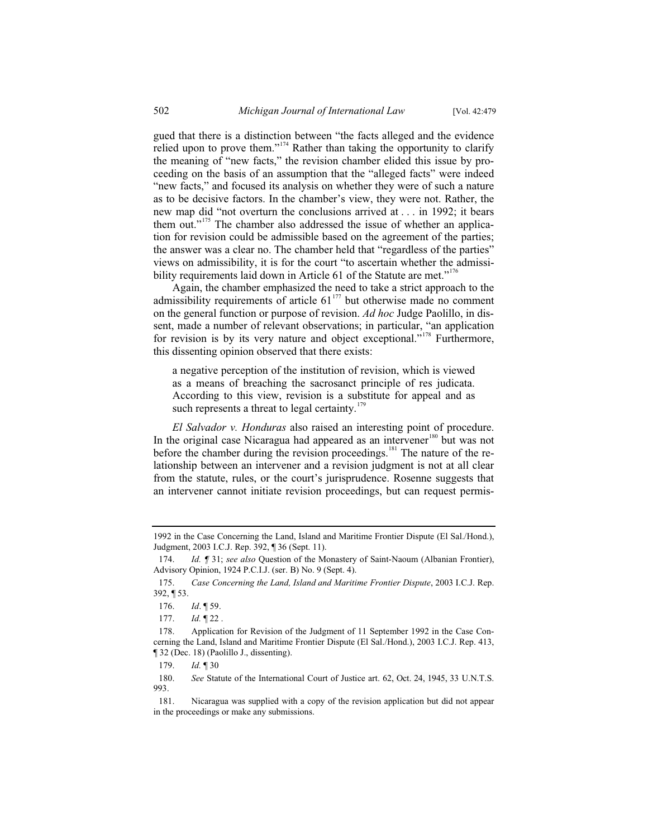gued that there is a distinction between "the facts alleged and the evidence relied upon to prove them."<sup>174</sup> Rather than taking the opportunity to clarify the meaning of "new facts," the revision chamber elided this issue by proceeding on the basis of an assumption that the "alleged facts" were indeed "new facts," and focused its analysis on whether they were of such a nature as to be decisive factors. In the chamber's view, they were not. Rather, the new map did "not overturn the conclusions arrived at . . . in 1992; it bears them out."<sup>175</sup> The chamber also addressed the issue of whether an application for revision could be admissible based on the agreement of the parties; the answer was a clear no. The chamber held that "regardless of the parties" views on admissibility, it is for the court "to ascertain whether the admissibility requirements laid down in Article 61 of the Statute are met."<sup>176</sup>

Again, the chamber emphasized the need to take a strict approach to the admissibility requirements of article  $61<sup>177</sup>$  but otherwise made no comment on the general function or purpose of revision. *Ad hoc* Judge Paolillo, in dissent, made a number of relevant observations; in particular, "an application for revision is by its very nature and object exceptional."<sup>178</sup> Furthermore, this dissenting opinion observed that there exists:

a negative perception of the institution of revision, which is viewed as a means of breaching the sacrosanct principle of res judicata. According to this view, revision is a substitute for appeal and as such represents a threat to legal certainty.<sup>179</sup>

*El Salvador v. Honduras* also raised an interesting point of procedure. In the original case Nicaragua had appeared as an intervener<sup>180</sup> but was not before the chamber during the revision proceedings.<sup>181</sup> The nature of the relationship between an intervener and a revision judgment is not at all clear from the statute, rules, or the court's jurisprudence. Rosenne suggests that an intervener cannot initiate revision proceedings, but can request permis-

180. *See* Statute of the International Court of Justice art. 62, Oct. 24, 1945, 33 U.N.T.S. 993.

<sup>1992</sup> in the Case Concerning the Land, Island and Maritime Frontier Dispute (El Sal./Hond.), Judgment, 2003 I.C.J. Rep. 392, ¶ 36 (Sept. 11).

<sup>174.</sup> *Id. ¶* 31; *see also* Question of the Monastery of Saint-Naoum (Albanian Frontier), Advisory Opinion, 1924 P.C.I.J. (ser. B) No. 9 (Sept. 4).

<sup>175.</sup> *Case Concerning the Land, Island and Maritime Frontier Dispute*, 2003 I.C.J. Rep. 392, ¶ 53.

<sup>176.</sup> *Id*. ¶ 59.

<sup>177.</sup> *Id.* ¶ 22 .

<sup>178.</sup> Application for Revision of the Judgment of 11 September 1992 in the Case Concerning the Land, Island and Maritime Frontier Dispute (El Sal./Hond.), 2003 I.C.J. Rep. 413, ¶ 32 (Dec. 18) (Paolillo J., dissenting).

<sup>179.</sup> *Id.* ¶ 30

<sup>181.</sup> Nicaragua was supplied with a copy of the revision application but did not appear in the proceedings or make any submissions.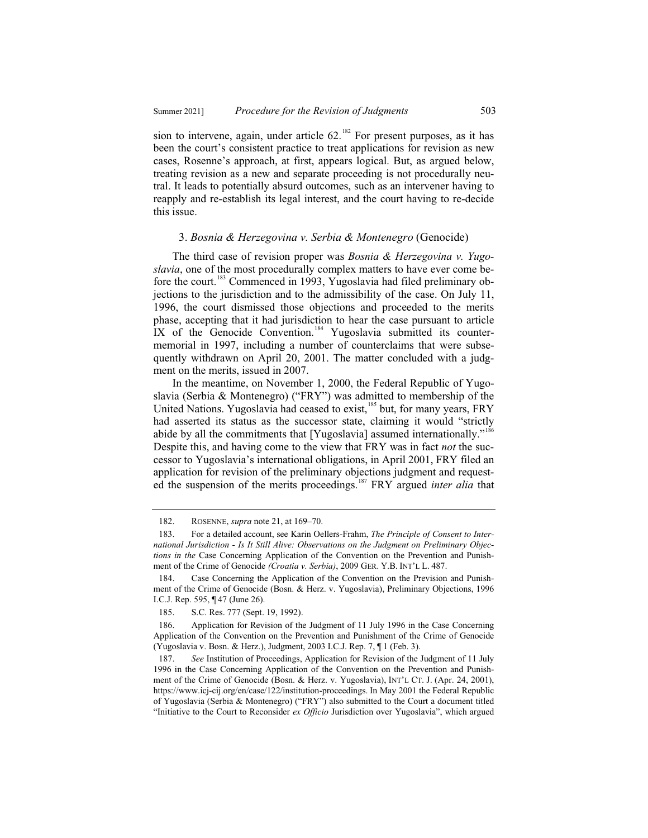sion to intervene, again, under article  $62$ .<sup>182</sup> For present purposes, as it has been the court's consistent practice to treat applications for revision as new cases, Rosenne's approach, at first, appears logical. But, as argued below, treating revision as a new and separate proceeding is not procedurally neutral. It leads to potentially absurd outcomes, such as an intervener having to reapply and re-establish its legal interest, and the court having to re-decide this issue.

#### 3. *Bosnia & Herzegovina v. Serbia & Montenegro* (Genocide)

The third case of revision proper was *Bosnia & Herzegovina v. Yugoslavia*, one of the most procedurally complex matters to have ever come before the court.<sup>183</sup> Commenced in 1993, Yugoslavia had filed preliminary objections to the jurisdiction and to the admissibility of the case. On July 11, 1996, the court dismissed those objections and proceeded to the merits phase, accepting that it had jurisdiction to hear the case pursuant to article IX of the Genocide Convention.<sup>184</sup> Yugoslavia submitted its countermemorial in 1997, including a number of counterclaims that were subsequently withdrawn on April 20, 2001. The matter concluded with a judgment on the merits, issued in 2007.

In the meantime, on November 1, 2000, the Federal Republic of Yugoslavia (Serbia & Montenegro) ("FRY") was admitted to membership of the United Nations. Yugoslavia had ceased to exist,<sup>185</sup> but, for many years, FRY had asserted its status as the successor state, claiming it would "strictly abide by all the commitments that [Yugoslavia] assumed internationally."<sup>186</sup> Despite this, and having come to the view that FRY was in fact *not* the successor to Yugoslavia's international obligations, in April 2001, FRY filed an application for revision of the preliminary objections judgment and requested the suspension of the merits proceedings.<sup>187</sup> FRY argued *inter alia* that

<sup>182.</sup> ROSENNE, *supra* note 21, at 169–70.

<sup>183.</sup> For a detailed account, see Karin Oellers-Frahm, *The Principle of Consent to International Jurisdiction - Is It Still Alive: Observations on the Judgment on Preliminary Objections in the* Case Concerning Application of the Convention on the Prevention and Punishment of the Crime of Genocide *(Croatia v. Serbia)*, 2009 GER. Y.B. INT'L L. 487.

<sup>184.</sup> Case Concerning the Application of the Convention on the Prevision and Punishment of the Crime of Genocide (Bosn. & Herz. v. Yugoslavia), Preliminary Objections, 1996 I.C.J. Rep. 595, ¶ 47 (June 26).

<sup>185.</sup> S.C. Res. 777 (Sept. 19, 1992).

Application for Revision of the Judgment of 11 July 1996 in the Case Concerning Application of the Convention on the Prevention and Punishment of the Crime of Genocide (Yugoslavia v. Bosn. & Herz.), Judgment, 2003 I.C.J. Rep. 7, ¶ 1 (Feb. 3).

<sup>187.</sup> *See* Institution of Proceedings, Application for Revision of the Judgment of 11 July 1996 in the Case Concerning Application of the Convention on the Prevention and Punishment of the Crime of Genocide (Bosn. & Herz. v. Yugoslavia), INT'L CT. J. (Apr. 24, 2001), https://www.icj-cij.org/en/case/122/institution-proceedings. In May 2001 the Federal Republic of Yugoslavia (Serbia & Montenegro) ("FRY") also submitted to the Court a document titled "Initiative to the Court to Reconsider *ex Officio* Jurisdiction over Yugoslavia", which argued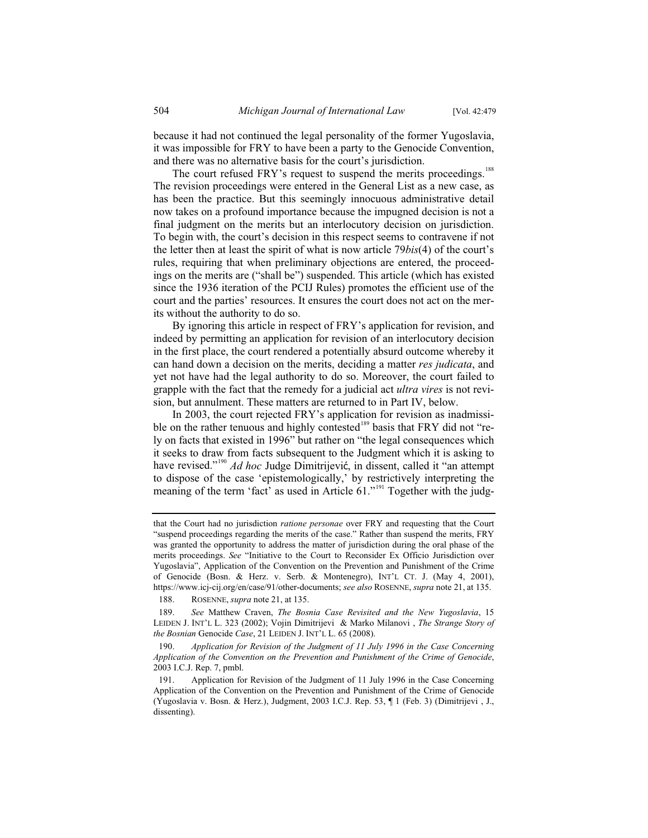because it had not continued the legal personality of the former Yugoslavia, it was impossible for FRY to have been a party to the Genocide Convention, and there was no alternative basis for the court's jurisdiction.

The court refused FRY's request to suspend the merits proceedings.<sup>188</sup> The revision proceedings were entered in the General List as a new case, as has been the practice. But this seemingly innocuous administrative detail now takes on a profound importance because the impugned decision is not a final judgment on the merits but an interlocutory decision on jurisdiction. To begin with, the court's decision in this respect seems to contravene if not the letter then at least the spirit of what is now article 79*bis*(4) of the court's rules, requiring that when preliminary objections are entered, the proceedings on the merits are ("shall be") suspended. This article (which has existed since the 1936 iteration of the PCIJ Rules) promotes the efficient use of the court and the parties' resources. It ensures the court does not act on the merits without the authority to do so.

By ignoring this article in respect of FRY's application for revision, and indeed by permitting an application for revision of an interlocutory decision in the first place, the court rendered a potentially absurd outcome whereby it can hand down a decision on the merits, deciding a matter *res judicata*, and yet not have had the legal authority to do so. Moreover, the court failed to grapple with the fact that the remedy for a judicial act *ultra vires* is not revision, but annulment. These matters are returned to in Part IV, below.

In 2003, the court rejected FRY's application for revision as inadmissible on the rather tenuous and highly contested<sup>189</sup> basis that FRY did not "rely on facts that existed in 1996" but rather on "the legal consequences which it seeks to draw from facts subsequent to the Judgment which it is asking to have revised."<sup>190</sup> *Ad hoc* Judge Dimitrijević, in dissent, called it "an attempt to dispose of the case 'epistemologically,' by restrictively interpreting the meaning of the term 'fact' as used in Article 61."<sup>191</sup> Together with the judg-

188. ROSENNE, *supra* note 21, at 135.

that the Court had no jurisdiction *ratione personae* over FRY and requesting that the Court "suspend proceedings regarding the merits of the case." Rather than suspend the merits, FRY was granted the opportunity to address the matter of jurisdiction during the oral phase of the merits proceedings. *See* "Initiative to the Court to Reconsider Ex Officio Jurisdiction over Yugoslavia", Application of the Convention on the Prevention and Punishment of the Crime of Genocide (Bosn. & Herz. v. Serb. & Montenegro), INT'L CT. J. (May 4, 2001), https://www.icj-cij.org/en/case/91/other-documents; *see also* ROSENNE, *supra* note 21, at 135.

<sup>189.</sup> *See* Matthew Craven, *The Bosnia Case Revisited and the New Yugoslavia*, 15 LEIDEN J. INT'L L. 323 (2002); Vojin Dimitrijevi & Marko Milanovi , *The Strange Story of the Bosnian* Genocide *Case*, 21 LEIDEN J. INT'L L. 65 (2008).

<sup>190.</sup> *Application for Revision of the Judgment of 11 July 1996 in the Case Concerning Application of the Convention on the Prevention and Punishment of the Crime of Genocide*, 2003 I.C.J. Rep. 7, pmbl.

<sup>191.</sup> Application for Revision of the Judgment of 11 July 1996 in the Case Concerning Application of the Convention on the Prevention and Punishment of the Crime of Genocide (Yugoslavia v. Bosn. & Herz.), Judgment, 2003 I.C.J. Rep. 53, ¶ 1 (Feb. 3) (Dimitrijevi , J., dissenting).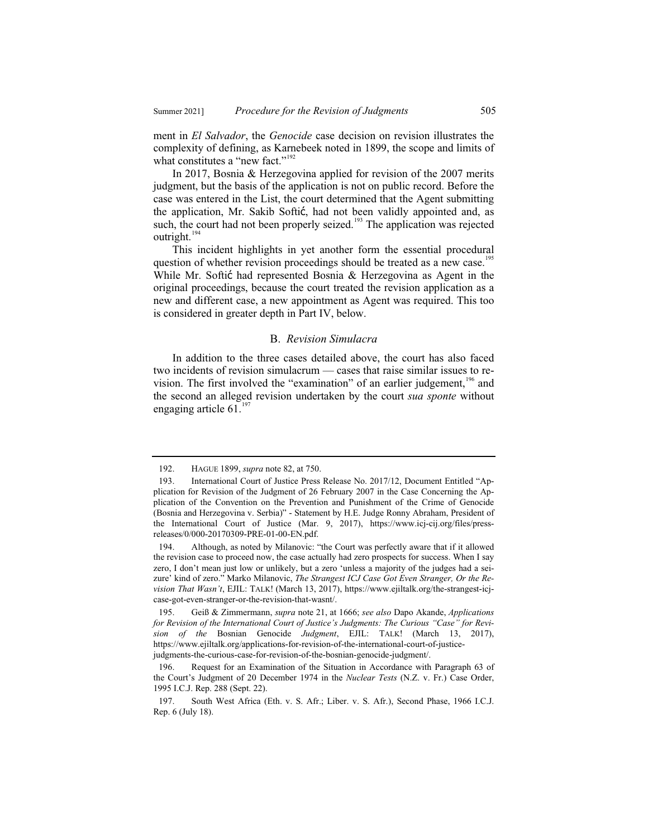ment in *El Salvador*, the *Genocide* case decision on revision illustrates the complexity of defining, as Karnebeek noted in 1899, the scope and limits of what constitutes a "new fact."<sup>192</sup>

In 2017, Bosnia & Herzegovina applied for revision of the 2007 merits judgment, but the basis of the application is not on public record. Before the case was entered in the List, the court determined that the Agent submitting the application, Mr. Sakib Softić, had not been validly appointed and, as such, the court had not been properly seized.<sup>193</sup> The application was rejected outright.<sup>194</sup>

This incident highlights in yet another form the essential procedural question of whether revision proceedings should be treated as a new case.<sup>195</sup> While Mr. Softic had represented Bosnia  $\&$  Herzegovina as Agent in the original proceedings, because the court treated the revision application as a new and different case, a new appointment as Agent was required. This too is considered in greater depth in Part IV, below.

#### B. *Revision Simulacra*

In addition to the three cases detailed above, the court has also faced two incidents of revision simulacrum — cases that raise similar issues to revision. The first involved the "examination" of an earlier judgement,<sup>196</sup> and the second an alleged revision undertaken by the court *sua sponte* without engaging article  $61<sup>1</sup>$ 

 <sup>192.</sup> HAGUE 1899, *supra* note 82, at 750.

 <sup>193.</sup> International Court of Justice Press Release No. 2017/12, Document Entitled "Application for Revision of the Judgment of 26 February 2007 in the Case Concerning the Application of the Convention on the Prevention and Punishment of the Crime of Genocide (Bosnia and Herzegovina v. Serbia)" - Statement by H.E. Judge Ronny Abraham, President of the International Court of Justice (Mar. 9, 2017), https://www.icj-cij.org/files/pressreleases/0/000-20170309-PRE-01-00-EN.pdf.

 <sup>194.</sup> Although, as noted by Milanovic: "the Court was perfectly aware that if it allowed the revision case to proceed now, the case actually had zero prospects for success. When I say zero, I don't mean just low or unlikely, but a zero 'unless a majority of the judges had a seizure' kind of zero." Marko Milanovic, *The Strangest ICJ Case Got Even Stranger, Or the Revision That Wasn't*, EJIL: TALK! (March 13, 2017), https://www.ejiltalk.org/the-strangest-icjcase-got-even-stranger-or-the-revision-that-wasnt/.

 <sup>195.</sup> Geiß & Zimmermann, *supra* note 21, at 1666; *see also* Dapo Akande, *Applications for Revision of the International Court of Justice's Judgments: The Curious "Case" for Revision of the* Bosnian Genocide *Judgment*, EJIL: TALK! (March 13, 2017), https://www.ejiltalk.org/applications-for-revision-of-the-international-court-of-justicejudgments-the-curious-case-for-revision-of-the-bosnian-genocide-judgment/.

 <sup>196.</sup> Request for an Examination of the Situation in Accordance with Paragraph 63 of the Court's Judgment of 20 December 1974 in the *Nuclear Tests* (N.Z. v. Fr.) Case Order, 1995 I.C.J. Rep. 288 (Sept. 22).

 <sup>197.</sup> South West Africa (Eth. v. S. Afr.; Liber. v. S. Afr.), Second Phase, 1966 I.C.J. Rep. 6 (July 18).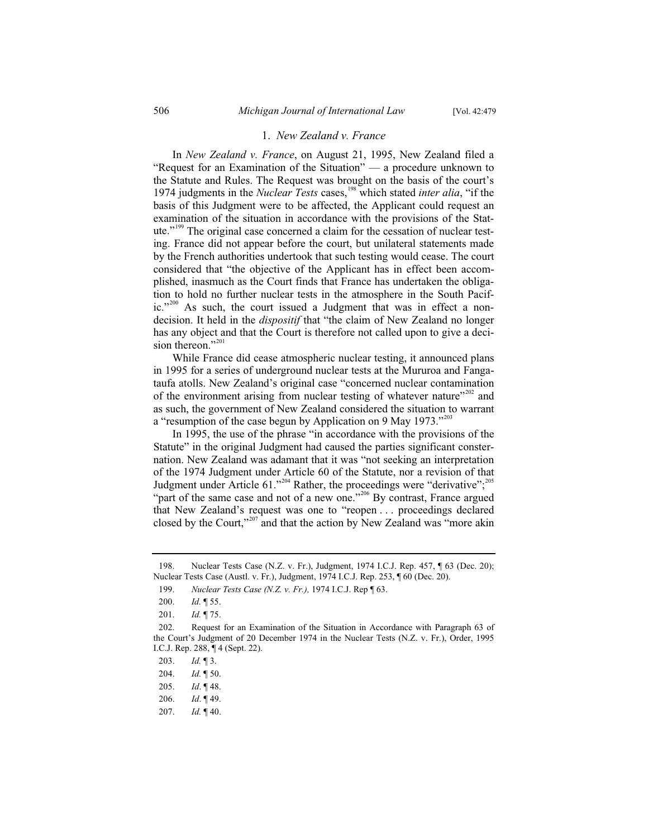#### 1. *New Zealand v. France*

In *New Zealand v. France*, on August 21, 1995, New Zealand filed a "Request for an Examination of the Situation" — a procedure unknown to the Statute and Rules. The Request was brought on the basis of the court's 1974 judgments in the *Nuclear Tests* cases,<sup>198</sup> which stated *inter alia*, "if the basis of this Judgment were to be affected, the Applicant could request an examination of the situation in accordance with the provisions of the Statute."<sup>199</sup> The original case concerned a claim for the cessation of nuclear testing. France did not appear before the court, but unilateral statements made by the French authorities undertook that such testing would cease. The court considered that "the objective of the Applicant has in effect been accomplished, inasmuch as the Court finds that France has undertaken the obligation to hold no further nuclear tests in the atmosphere in the South Pacific."<sup>200</sup> As such, the court issued a Judgment that was in effect a nondecision. It held in the *dispositif* that "the claim of New Zealand no longer has any object and that the Court is therefore not called upon to give a decision thereon."<sup>201</sup>

While France did cease atmospheric nuclear testing, it announced plans in 1995 for a series of underground nuclear tests at the Mururoa and Fangataufa atolls. New Zealand's original case "concerned nuclear contamination of the environment arising from nuclear testing of whatever nature $1202$  and as such, the government of New Zealand considered the situation to warrant a "resumption of the case begun by Application on 9 May  $1973.^{202}$ 

In 1995, the use of the phrase "in accordance with the provisions of the Statute" in the original Judgment had caused the parties significant consternation. New Zealand was adamant that it was "not seeking an interpretation of the 1974 Judgment under Article 60 of the Statute, nor a revision of that Judgment under Article 61."<sup>204</sup> Rather, the proceedings were "derivative";<sup>205</sup> "part of the same case and not of a new one."<sup>206</sup> By contrast, France argued that New Zealand's request was one to "reopen . . . proceedings declared closed by the Court,"<sup>207</sup> and that the action by New Zealand was "more akin

<sup>198.</sup> Nuclear Tests Case (N.Z. v. Fr.), Judgment, 1974 I.C.J. Rep. 457, ¶ 63 (Dec. 20); Nuclear Tests Case (Austl. v. Fr.), Judgment, 1974 I.C.J. Rep. 253, ¶ 60 (Dec. 20).

<sup>199.</sup> *Nuclear Tests Case (N.Z. v. Fr.),* 1974 I.C.J. Rep ¶ 63.

<sup>200.</sup> *Id.* ¶ 55.

<sup>201.</sup> *Id.* ¶ 75.

<sup>202.</sup> Request for an Examination of the Situation in Accordance with Paragraph 63 of the Court's Judgment of 20 December 1974 in the Nuclear Tests (N.Z. v. Fr.), Order, 1995 I.C.J. Rep. 288, ¶ 4 (Sept. 22).

<sup>203.</sup> *Id.* ¶ 3.

<sup>204.</sup> *Id.* ¶ 50.

<sup>205.</sup> *Id*. ¶ 48.

<sup>206.</sup> *Id*. ¶ 49.

<sup>207.</sup> *Id.* ¶ 40.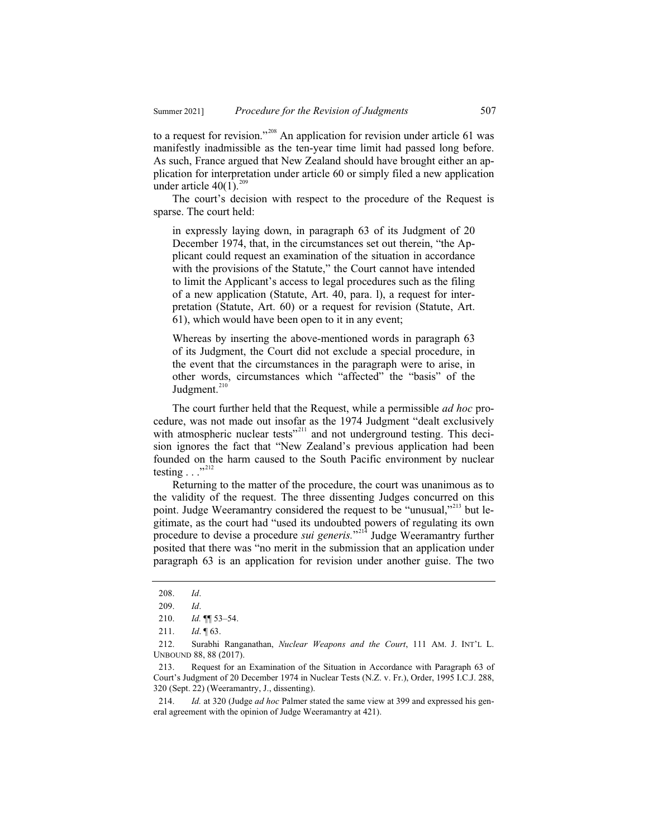to a request for revision."<sup>208</sup> An application for revision under article 61 was manifestly inadmissible as the ten-year time limit had passed long before. As such, France argued that New Zealand should have brought either an application for interpretation under article 60 or simply filed a new application under article  $40(1)$ .<sup>209</sup>

The court's decision with respect to the procedure of the Request is sparse. The court held:

in expressly laying down, in paragraph 63 of its Judgment of 20 December 1974, that, in the circumstances set out therein, "the Applicant could request an examination of the situation in accordance with the provisions of the Statute," the Court cannot have intended to limit the Applicant's access to legal procedures such as the filing of a new application (Statute, Art. 40, para. l), a request for interpretation (Statute, Art. 60) or a request for revision (Statute, Art. 61), which would have been open to it in any event;

Whereas by inserting the above-mentioned words in paragraph 63 of its Judgment, the Court did not exclude a special procedure, in the event that the circumstances in the paragraph were to arise, in other words, circumstances which "affected" the "basis" of the Judgment. $210$ 

The court further held that the Request, while a permissible *ad hoc* procedure, was not made out insofar as the 1974 Judgment "dealt exclusively with atmospheric nuclear tests<sup>"211</sup> and not underground testing. This decision ignores the fact that "New Zealand's previous application had been founded on the harm caused to the South Pacific environment by nuclear testing  $\ldots$ <sup>"212</sup>

Returning to the matter of the procedure, the court was unanimous as to the validity of the request. The three dissenting Judges concurred on this point. Judge Weeramantry considered the request to be "unusual,"<sup>213</sup> but legitimate, as the court had "used its undoubted powers of regulating its own procedure to devise a procedure *sui generis.*" <sup>214</sup> Judge Weeramantry further posited that there was "no merit in the submission that an application under paragraph 63 is an application for revision under another guise. The two

<sup>208.</sup> *Id*.

<sup>209.</sup> *Id*.

<sup>210.</sup> *Id.* ¶¶ 53–54.

<sup>211.</sup> *Id*. ¶ 63.

<sup>212.</sup> Surabhi Ranganathan, *Nuclear Weapons and the Court*, 111 AM. J. INT'L L. UNBOUND 88, 88 (2017).

<sup>213.</sup> Request for an Examination of the Situation in Accordance with Paragraph 63 of Court's Judgment of 20 December 1974 in Nuclear Tests (N.Z. v. Fr.), Order, 1995 I.C.J. 288, 320 (Sept. 22) (Weeramantry, J., dissenting).

<sup>214.</sup> *Id.* at 320 (Judge *ad hoc* Palmer stated the same view at 399 and expressed his general agreement with the opinion of Judge Weeramantry at 421).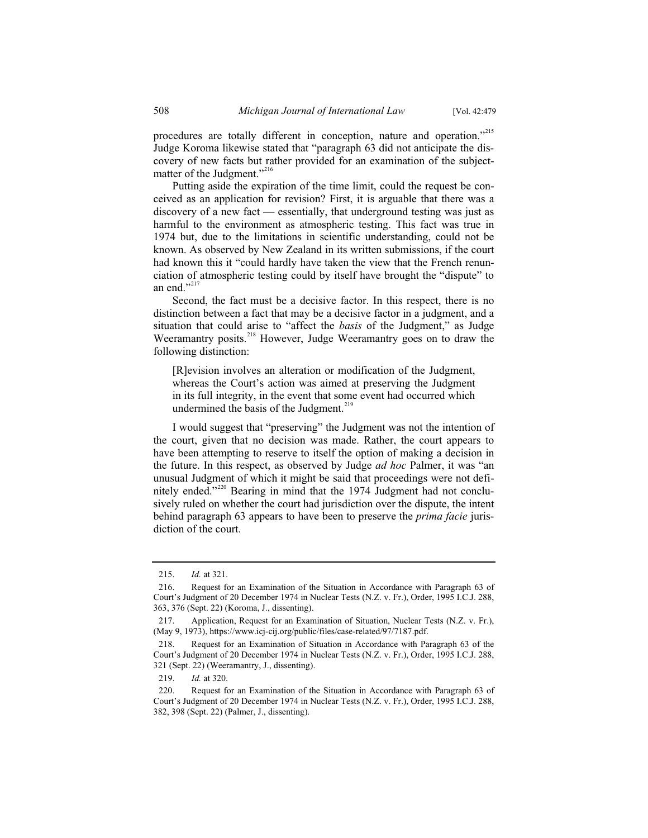procedures are totally different in conception, nature and operation."<sup>215</sup> Judge Koroma likewise stated that "paragraph 63 did not anticipate the discovery of new facts but rather provided for an examination of the subjectmatter of the Judgment."<sup>216</sup>

Putting aside the expiration of the time limit, could the request be conceived as an application for revision? First, it is arguable that there was a discovery of a new fact — essentially, that underground testing was just as harmful to the environment as atmospheric testing. This fact was true in 1974 but, due to the limitations in scientific understanding, could not be known. As observed by New Zealand in its written submissions, if the court had known this it "could hardly have taken the view that the French renunciation of atmospheric testing could by itself have brought the "dispute" to an end $"$ <sup>217</sup>

Second, the fact must be a decisive factor. In this respect, there is no distinction between a fact that may be a decisive factor in a judgment, and a situation that could arise to "affect the *basis* of the Judgment," as Judge Weeramantry posits.<sup>218</sup> However, Judge Weeramantry goes on to draw the following distinction:

[R]evision involves an alteration or modification of the Judgment, whereas the Court's action was aimed at preserving the Judgment in its full integrity, in the event that some event had occurred which undermined the basis of the Judgment.<sup>219</sup>

I would suggest that "preserving" the Judgment was not the intention of the court, given that no decision was made. Rather, the court appears to have been attempting to reserve to itself the option of making a decision in the future. In this respect, as observed by Judge *ad hoc* Palmer, it was "an unusual Judgment of which it might be said that proceedings were not definitely ended."<sup>220</sup> Bearing in mind that the 1974 Judgment had not conclusively ruled on whether the court had jurisdiction over the dispute, the intent behind paragraph 63 appears to have been to preserve the *prima facie* jurisdiction of the court.

<sup>215.</sup> *Id.* at 321.

<sup>216.</sup> Request for an Examination of the Situation in Accordance with Paragraph 63 of Court's Judgment of 20 December 1974 in Nuclear Tests (N.Z. v. Fr.), Order, 1995 I.C.J. 288, 363, 376 (Sept. 22) (Koroma, J., dissenting).

<sup>217.</sup> Application, Request for an Examination of Situation, Nuclear Tests (N.Z. v. Fr.), (May 9, 1973), https://www.icj-cij.org/public/files/case-related/97/7187.pdf.

<sup>218.</sup> Request for an Examination of Situation in Accordance with Paragraph 63 of the Court's Judgment of 20 December 1974 in Nuclear Tests (N.Z. v. Fr.), Order, 1995 I.C.J. 288, 321 (Sept. 22) (Weeramantry, J., dissenting).

<sup>219.</sup> *Id.* at 320.

<sup>220.</sup> Request for an Examination of the Situation in Accordance with Paragraph 63 of Court's Judgment of 20 December 1974 in Nuclear Tests (N.Z. v. Fr.), Order, 1995 I.C.J. 288, 382, 398 (Sept. 22) (Palmer, J., dissenting).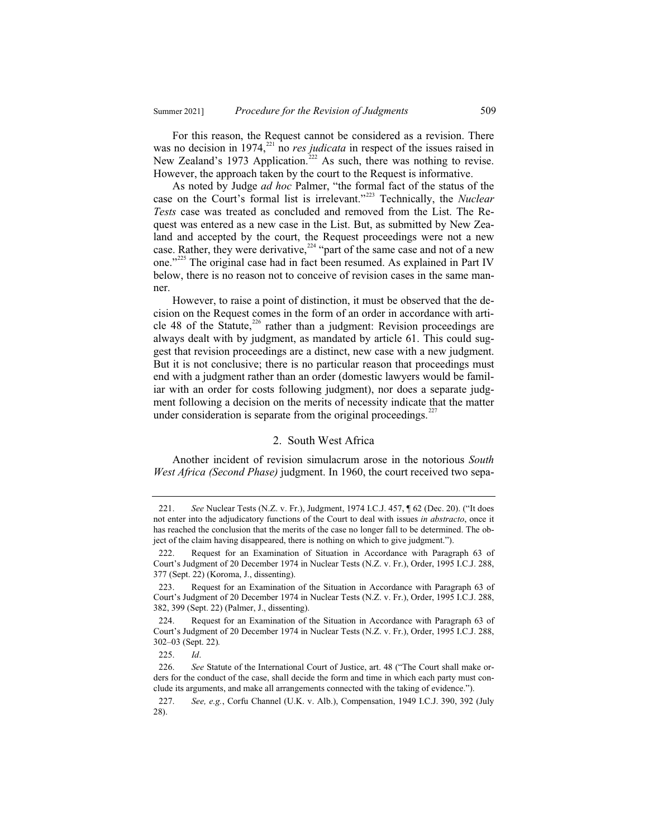For this reason, the Request cannot be considered as a revision. There was no decision in 1974,<sup>221</sup> no *res judicata* in respect of the issues raised in New Zealand's 1973 Application.<sup>222</sup> As such, there was nothing to revise. However, the approach taken by the court to the Request is informative.

As noted by Judge *ad hoc* Palmer, "the formal fact of the status of the case on the Court's formal list is irrelevant."<sup>223</sup> Technically, the *Nuclear Tests* case was treated as concluded and removed from the List. The Request was entered as a new case in the List. But, as submitted by New Zealand and accepted by the court, the Request proceedings were not a new case. Rather, they were derivative,<sup>224</sup> "part of the same case and not of a new one."<sup>225</sup> The original case had in fact been resumed. As explained in Part IV below, there is no reason not to conceive of revision cases in the same manner.

However, to raise a point of distinction, it must be observed that the decision on the Request comes in the form of an order in accordance with article 48 of the Statute,<sup>226</sup> rather than a judgment: Revision proceedings are always dealt with by judgment, as mandated by article 61. This could suggest that revision proceedings are a distinct, new case with a new judgment. But it is not conclusive; there is no particular reason that proceedings must end with a judgment rather than an order (domestic lawyers would be familiar with an order for costs following judgment), nor does a separate judgment following a decision on the merits of necessity indicate that the matter under consideration is separate from the original proceedings. $227$ 

#### 2. South West Africa

Another incident of revision simulacrum arose in the notorious *South West Africa (Second Phase)* judgment. In 1960, the court received two sepa-

<sup>221.</sup> *See* Nuclear Tests (N.Z. v. Fr.), Judgment, 1974 I.C.J. 457, ¶ 62 (Dec. 20). ("It does not enter into the adjudicatory functions of the Court to deal with issues *in abstracto*, once it has reached the conclusion that the merits of the case no longer fall to be determined. The object of the claim having disappeared, there is nothing on which to give judgment.").

<sup>222.</sup> Request for an Examination of Situation in Accordance with Paragraph 63 of Court's Judgment of 20 December 1974 in Nuclear Tests (N.Z. v. Fr.), Order, 1995 I.C.J. 288, 377 (Sept. 22) (Koroma, J., dissenting).

<sup>223.</sup> Request for an Examination of the Situation in Accordance with Paragraph 63 of Court's Judgment of 20 December 1974 in Nuclear Tests (N.Z. v. Fr.), Order, 1995 I.C.J. 288, 382, 399 (Sept. 22) (Palmer, J., dissenting).

<sup>224.</sup> Request for an Examination of the Situation in Accordance with Paragraph 63 of Court's Judgment of 20 December 1974 in Nuclear Tests (N.Z. v. Fr.), Order, 1995 I.C.J. 288, 302–03 (Sept. 22)*.* 

<sup>225.</sup> *Id*.

<sup>226.</sup> *See* Statute of the International Court of Justice, art. 48 ("The Court shall make orders for the conduct of the case, shall decide the form and time in which each party must conclude its arguments, and make all arrangements connected with the taking of evidence.").

<sup>227.</sup> *See, e.g.*, Corfu Channel (U.K. v. Alb.), Compensation, 1949 I.C.J. 390, 392 (July 28).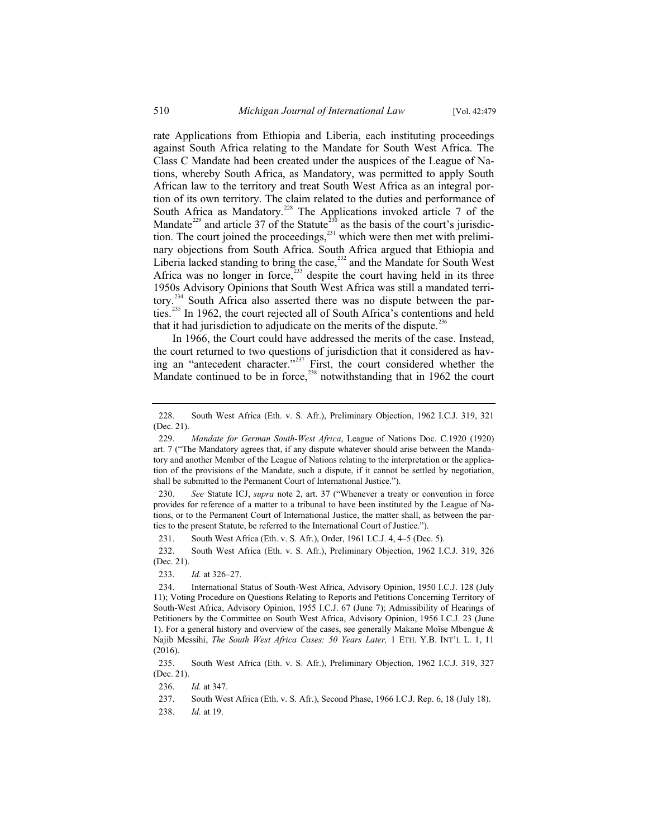rate Applications from Ethiopia and Liberia, each instituting proceedings against South Africa relating to the Mandate for South West Africa. The Class C Mandate had been created under the auspices of the League of Nations, whereby South Africa, as Mandatory, was permitted to apply South African law to the territory and treat South West Africa as an integral portion of its own territory. The claim related to the duties and performance of South Africa as Mandatory.<sup>228</sup> The Applications invoked article 7 of the Mandate<sup>229</sup> and article 37 of the Statute<sup>230</sup> as the basis of the court's jurisdiction. The court joined the proceedings, $231$  which were then met with preliminary objections from South Africa. South Africa argued that Ethiopia and Liberia lacked standing to bring the case,<sup>232</sup> and the Mandate for South West Africa was no longer in force,<sup>233</sup> despite the court having held in its three 1950s Advisory Opinions that South West Africa was still a mandated territory.<sup>234</sup> South Africa also asserted there was no dispute between the parties.<sup>235</sup> In 1962, the court rejected all of South Africa's contentions and held that it had jurisdiction to adjudicate on the merits of the dispute.<sup>236</sup>

In 1966, the Court could have addressed the merits of the case. Instead, the court returned to two questions of jurisdiction that it considered as having an "antecedent character."<sup>237</sup> First, the court considered whether the Mandate continued to be in force, $^{238}$  notwithstanding that in 1962 the court

230. *See* Statute ICJ, *supra* note 2, art. 37 ("Whenever a treaty or convention in force provides for reference of a matter to a tribunal to have been instituted by the League of Nations, or to the Permanent Court of International Justice, the matter shall, as between the parties to the present Statute, be referred to the International Court of Justice.").

231. South West Africa (Eth. v. S. Afr.), Order, 1961 I.C.J. 4, 4–5 (Dec. 5).

232. South West Africa (Eth. v. S. Afr.), Preliminary Objection, 1962 I.C.J. 319, 326 (Dec. 21).

233. *Id.* at 326–27.

235. South West Africa (Eth. v. S. Afr.), Preliminary Objection, 1962 I.C.J. 319, 327 (Dec. 21).

236. *Id.* at 347.

237. South West Africa (Eth. v. S. Afr.), Second Phase, 1966 I.C.J. Rep. 6, 18 (July 18).

238. *Id.* at 19.

<sup>228.</sup> South West Africa (Eth. v. S. Afr.), Preliminary Objection, 1962 I.C.J. 319, 321 (Dec. 21).

<sup>229.</sup> *Mandate for German South-West Africa*, League of Nations Doc. C.1920 (1920) art. 7 ("The Mandatory agrees that, if any dispute whatever should arise between the Mandatory and another Member of the League of Nations relating to the interpretation or the application of the provisions of the Mandate, such a dispute, if it cannot be settled by negotiation, shall be submitted to the Permanent Court of International Justice.").

<sup>234.</sup> International Status of South-West Africa, Advisory Opinion, 1950 I.C.J. 128 (July 11); Voting Procedure on Questions Relating to Reports and Petitions Concerning Territory of South-West Africa, Advisory Opinion, 1955 I.C.J. 67 (June 7); Admissibility of Hearings of Petitioners by the Committee on South West Africa, Advisory Opinion, 1956 I.C.J. 23 (June 1). For a general history and overview of the cases, see generally Makane Moïse Mbengue & Najib Messihi, *The South West Africa Cases: 50 Years Later,* 1 ETH. Y.B. INT'L L. 1, 11 (2016).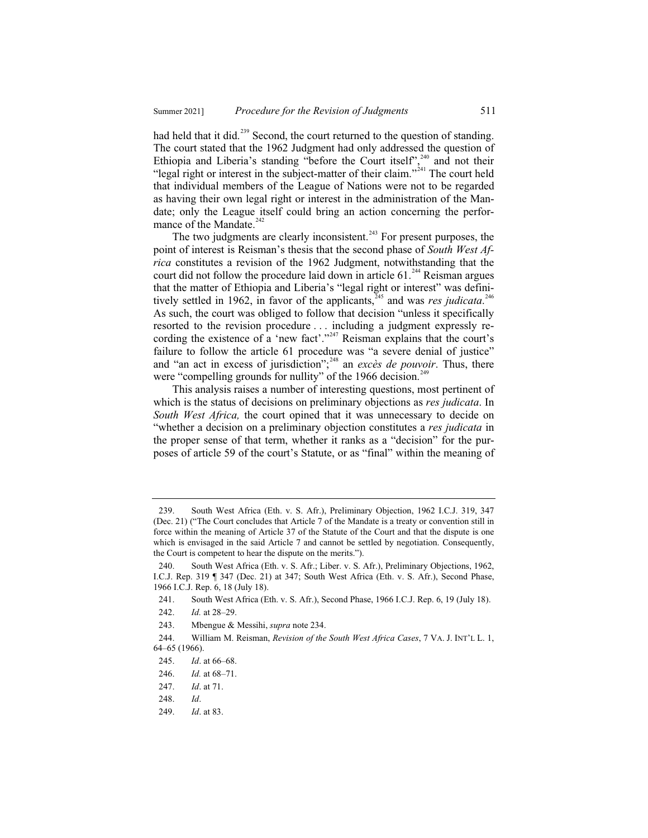had held that it did.<sup>239</sup> Second, the court returned to the question of standing. The court stated that the 1962 Judgment had only addressed the question of Ethiopia and Liberia's standing "before the Court itself", $240$  and not their "legal right or interest in the subject-matter of their claim."<sup>241</sup> The court held that individual members of the League of Nations were not to be regarded as having their own legal right or interest in the administration of the Mandate; only the League itself could bring an action concerning the performance of the Mandate.<sup>242</sup>

The two judgments are clearly inconsistent.<sup> $243$ </sup> For present purposes, the point of interest is Reisman's thesis that the second phase of *South West Africa* constitutes a revision of the 1962 Judgment, notwithstanding that the court did not follow the procedure laid down in article 61.<sup>244</sup> Reisman argues that the matter of Ethiopia and Liberia's "legal right or interest" was definitively settled in 1962, in favor of the applicants,<sup>245</sup> and was *res judicata*.<sup>246</sup> As such, the court was obliged to follow that decision "unless it specifically resorted to the revision procedure . . . including a judgment expressly recording the existence of a 'new fact'."<sup>247</sup> Reisman explains that the court's failure to follow the article 61 procedure was "a severe denial of justice" and "an act in excess of jurisdiction";<sup>248</sup> an *excès de pouvoir*. Thus, there were "compelling grounds for nullity" of the 1966 decision.<sup>249</sup>

This analysis raises a number of interesting questions, most pertinent of which is the status of decisions on preliminary objections as *res judicata*. In *South West Africa,* the court opined that it was unnecessary to decide on "whether a decision on a preliminary objection constitutes a *res judicata* in the proper sense of that term, whether it ranks as a "decision" for the purposes of article 59 of the court's Statute, or as "final" within the meaning of

<sup>239.</sup> South West Africa (Eth. v. S. Afr.), Preliminary Objection, 1962 I.C.J. 319, 347 (Dec. 21) ("The Court concludes that Article 7 of the Mandate is a treaty or convention still in force within the meaning of Article 37 of the Statute of the Court and that the dispute is one which is envisaged in the said Article 7 and cannot be settled by negotiation. Consequently, the Court is competent to hear the dispute on the merits.").

<sup>240.</sup> South West Africa (Eth. v. S. Afr.; Liber. v. S. Afr.), Preliminary Objections, 1962, I.C.J. Rep. 319 ¶ 347 (Dec. 21) at 347; South West Africa (Eth. v. S. Afr.), Second Phase, 1966 I.C.J. Rep. 6, 18 (July 18).

<sup>241.</sup> South West Africa (Eth. v. S. Afr.), Second Phase, 1966 I.C.J. Rep. 6, 19 (July 18).

<sup>242.</sup> *Id.* at 28–29.

<sup>243.</sup> Mbengue & Messihi, *supra* note 234.

<sup>244.</sup> William M. Reisman, *Revision of the South West Africa Cases*, 7 VA. J. INT'L L. 1, 64–65 (1966).

<sup>245.</sup> *Id*. at 66–68.

<sup>246.</sup> *Id.* at 68–71.

<sup>247.</sup> *Id*. at 71.

<sup>248.</sup> *Id*.

<sup>249.</sup> *Id*. at 83.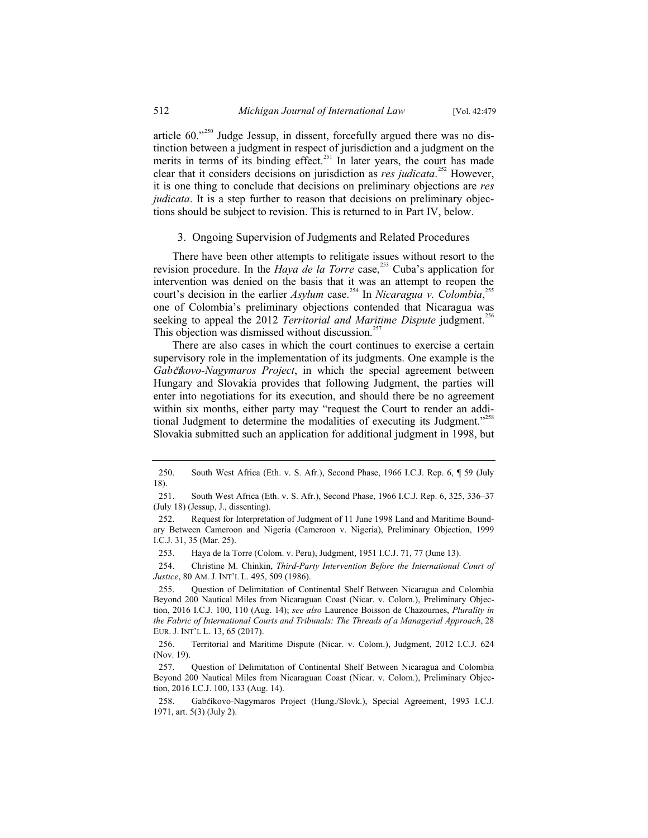article  $60.^{^{1250}}$  Judge Jessup, in dissent, forcefully argued there was no distinction between a judgment in respect of jurisdiction and a judgment on the merits in terms of its binding effect.<sup>251</sup> In later years, the court has made clear that it considers decisions on jurisdiction as *res judicata*. <sup>252</sup> However, it is one thing to conclude that decisions on preliminary objections are *res judicata*. It is a step further to reason that decisions on preliminary objections should be subject to revision. This is returned to in Part IV, below.

#### 3. Ongoing Supervision of Judgments and Related Procedures

There have been other attempts to relitigate issues without resort to the revision procedure. In the *Haya de la Torre* case,<sup>253</sup> Cuba's application for intervention was denied on the basis that it was an attempt to reopen the court's decision in the earlier *Asylum* case.<sup>254</sup> In *Nicaragua v. Colombia*,<sup>255</sup> one of Colombia's preliminary objections contended that Nicaragua was seeking to appeal the 2012 *Territorial and Maritime Dispute* judgment.<sup>2</sup> This objection was dismissed without discussion.<sup>25</sup>

There are also cases in which the court continues to exercise a certain supervisory role in the implementation of its judgments. One example is the *Gabčíkovo-Nagymaros Project*, in which the special agreement between Hungary and Slovakia provides that following Judgment, the parties will enter into negotiations for its execution, and should there be no agreement within six months, either party may "request the Court to render an additional Judgment to determine the modalities of executing its Judgment."<sup>258</sup> Slovakia submitted such an application for additional judgment in 1998, but

254. Christine M. Chinkin, *Third-Party Intervention Before the International Court of Justice*, 80 AM. J. INT'L L. 495, 509 (1986).

<sup>250.</sup> South West Africa (Eth. v. S. Afr.), Second Phase, 1966 I.C.J. Rep. 6, ¶ 59 (July 18).

<sup>251.</sup> South West Africa (Eth. v. S. Afr.), Second Phase, 1966 I.C.J. Rep. 6, 325, 336–37 (July 18) (Jessup, J., dissenting).

<sup>252.</sup> Request for Interpretation of Judgment of 11 June 1998 Land and Maritime Boundary Between Cameroon and Nigeria (Cameroon v. Nigeria), Preliminary Objection, 1999 I.C.J. 31, 35 (Mar. 25).

<sup>253.</sup> Haya de la Torre (Colom. v. Peru), Judgment, 1951 I.C.J. 71, 77 (June 13).

<sup>255.</sup> Question of Delimitation of Continental Shelf Between Nicaragua and Colombia Beyond 200 Nautical Miles from Nicaraguan Coast (Nicar. v. Colom.), Preliminary Objection, 2016 I.C.J. 100, 110 (Aug. 14); *see also* Laurence Boisson de Chazournes, *Plurality in the Fabric of International Courts and Tribunals: The Threads of a Managerial Approach*, 28 EUR. J. INT'L L. 13, 65 (2017).

<sup>256.</sup> Territorial and Maritime Dispute (Nicar. v. Colom.), Judgment, 2012 I.C.J. 624 (Nov. 19).

<sup>257.</sup> Question of Delimitation of Continental Shelf Between Nicaragua and Colombia Beyond 200 Nautical Miles from Nicaraguan Coast (Nicar. v. Colom.), Preliminary Objection, 2016 I.C.J. 100, 133 (Aug. 14).

<sup>258.</sup> Gabčíkovo-Nagymaros Project (Hung./Slovk.), Special Agreement, 1993 I.C.J. 1971, art. 5(3) (July 2).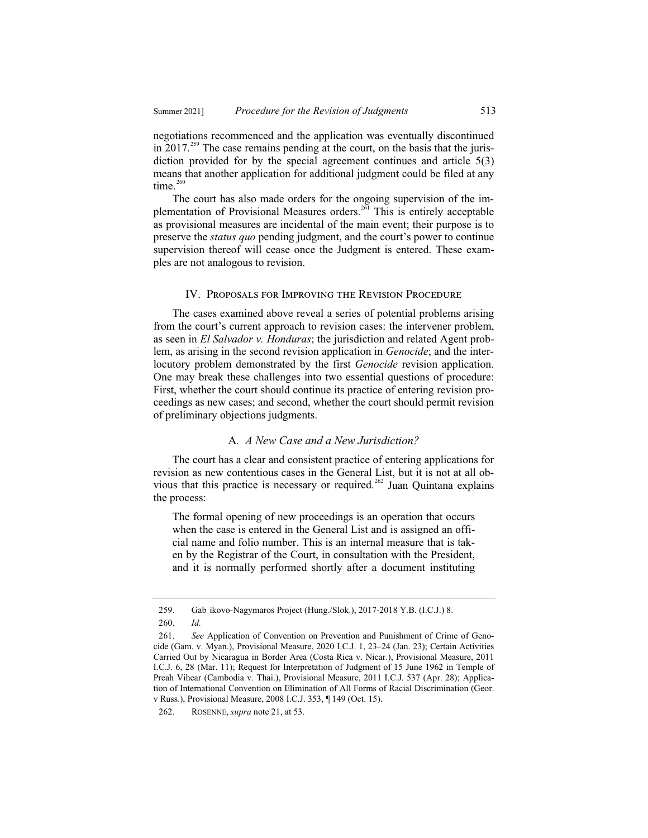negotiations recommenced and the application was eventually discontinued in  $2017^{259}$  The case remains pending at the court, on the basis that the jurisdiction provided for by the special agreement continues and article 5(3) means that another application for additional judgment could be filed at any time $260$ 

The court has also made orders for the ongoing supervision of the implementation of Provisional Measures orders.<sup>261</sup> This is entirely acceptable as provisional measures are incidental of the main event; their purpose is to preserve the *status quo* pending judgment, and the court's power to continue supervision thereof will cease once the Judgment is entered. These examples are not analogous to revision.

#### IV. Proposals for Improving the Revision Procedure

The cases examined above reveal a series of potential problems arising from the court's current approach to revision cases: the intervener problem, as seen in *El Salvador v. Honduras*; the jurisdiction and related Agent problem, as arising in the second revision application in *Genocide*; and the interlocutory problem demonstrated by the first *Genocide* revision application. One may break these challenges into two essential questions of procedure: First, whether the court should continue its practice of entering revision proceedings as new cases; and second, whether the court should permit revision of preliminary objections judgments.

#### A*. A New Case and a New Jurisdiction?*

The court has a clear and consistent practice of entering applications for revision as new contentious cases in the General List, but it is not at all obvious that this practice is necessary or required.<sup>262</sup> Juan Quintana explains the process:

The formal opening of new proceedings is an operation that occurs when the case is entered in the General List and is assigned an official name and folio number. This is an internal measure that is taken by the Registrar of the Court, in consultation with the President, and it is normally performed shortly after a document instituting

<sup>259.</sup> Gab íkovo-Nagymaros Project (Hung./Slok.), 2017-2018 Y.B. (I.C.J.) 8. 260. *Id.*

<sup>261.</sup> *See* Application of Convention on Prevention and Punishment of Crime of Genocide (Gam. v. Myan.), Provisional Measure, 2020 I.C.J. 1, 23–24 (Jan. 23); Certain Activities Carried Out by Nicaragua in Border Area (Costa Rica v. Nicar.), Provisional Measure, 2011 I.C.J. 6, 28 (Mar. 11); Request for Interpretation of Judgment of 15 June 1962 in Temple of Preah Vihear (Cambodia v. Thai.), Provisional Measure, 2011 I.C.J. 537 (Apr. 28); Application of International Convention on Elimination of All Forms of Racial Discrimination (Geor. v Russ.), Provisional Measure, 2008 I.C.J. 353, ¶ 149 (Oct. 15).

<sup>262.</sup> ROSENNE, *supra* note 21, at 53.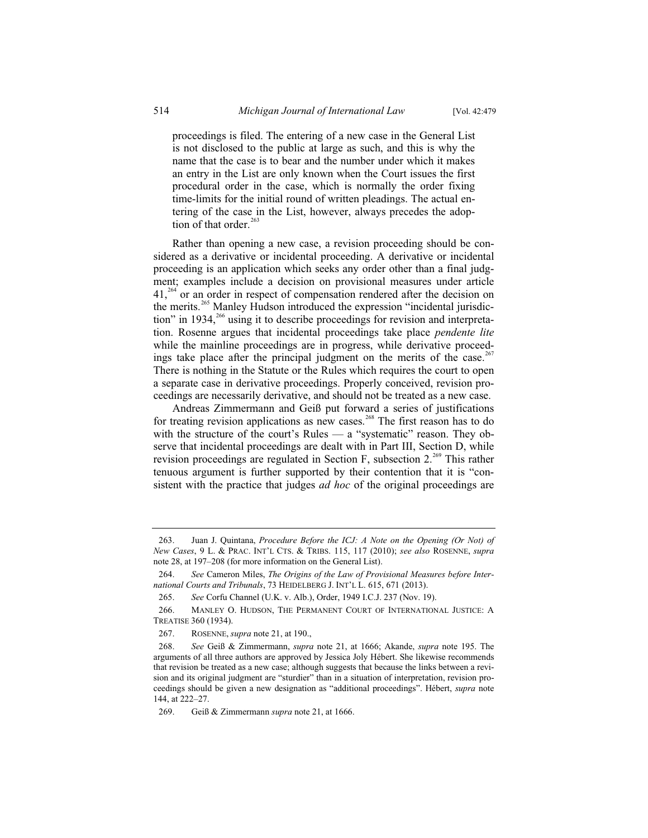proceedings is filed. The entering of a new case in the General List is not disclosed to the public at large as such, and this is why the name that the case is to bear and the number under which it makes an entry in the List are only known when the Court issues the first procedural order in the case, which is normally the order fixing time-limits for the initial round of written pleadings. The actual entering of the case in the List, however, always precedes the adoption of that order. $263$ 

Rather than opening a new case, a revision proceeding should be considered as a derivative or incidental proceeding. A derivative or incidental proceeding is an application which seeks any order other than a final judgment; examples include a decision on provisional measures under article  $41<sup>264</sup>$  or an order in respect of compensation rendered after the decision on the merits.<sup>265</sup> Manley Hudson introduced the expression "incidental jurisdiction" in 1934,<sup>266</sup> using it to describe proceedings for revision and interpretation. Rosenne argues that incidental proceedings take place *pendente lite*  while the mainline proceedings are in progress, while derivative proceedings take place after the principal judgment on the merits of the case.<sup>267</sup> There is nothing in the Statute or the Rules which requires the court to open a separate case in derivative proceedings. Properly conceived, revision proceedings are necessarily derivative, and should not be treated as a new case.

Andreas Zimmermann and Geiß put forward a series of justifications for treating revision applications as new cases.<sup>268</sup> The first reason has to do with the structure of the court's Rules — a "systematic" reason. They observe that incidental proceedings are dealt with in Part III, Section D, while revision proceedings are regulated in Section F, subsection  $2^{269}$ . This rather tenuous argument is further supported by their contention that it is "consistent with the practice that judges *ad hoc* of the original proceedings are

<sup>263.</sup> Juan J. Quintana, *Procedure Before the ICJ: A Note on the Opening (Or Not) of New Cases*, 9 L. & PRAC. INT'L CTS.&TRIBS. 115, 117 (2010); *see also* ROSENNE, *supra*  note 28, at 197–208 (for more information on the General List).

<sup>264.</sup> *See* Cameron Miles, *The Origins of the Law of Provisional Measures before International Courts and Tribunals*, 73 HEIDELBERG J. INT'L L. 615, 671 (2013).

<sup>265.</sup> *See* Corfu Channel (U.K. v. Alb.), Order, 1949 I.C.J. 237 (Nov. 19).

<sup>266.</sup> MANLEY O. HUDSON, THE PERMANENT COURT OF INTERNATIONAL JUSTICE: A TREATISE 360 (1934).

<sup>267.</sup> ROSENNE, *supra* note 21, at 190.,

<sup>268.</sup> *See* Geiß & Zimmermann, *supra* note 21, at 1666; Akande, *supra* note 195. The arguments of all three authors are approved by Jessica Joly Hébert. She likewise recommends that revision be treated as a new case; although suggests that because the links between a revision and its original judgment are "sturdier" than in a situation of interpretation, revision proceedings should be given a new designation as "additional proceedings". Hébert, *supra* note 144, at 222–27.

<sup>269.</sup> Geiß & Zimmermann *supra* note 21, at 1666.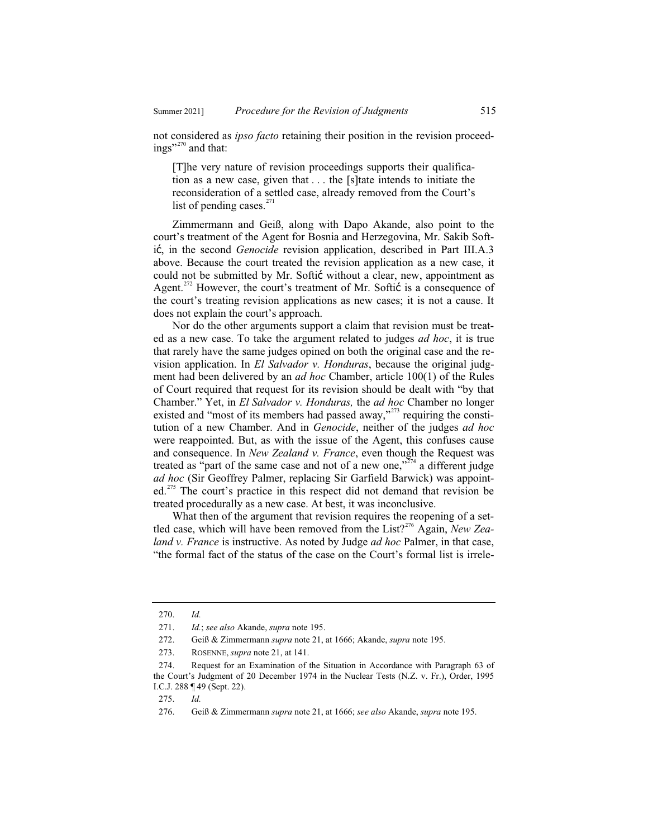not considered as *ipso facto* retaining their position in the revision proceedings"<sup>270</sup> and that:

[T]he very nature of revision proceedings supports their qualification as a new case, given that . . . the [s]tate intends to initiate the reconsideration of a settled case, already removed from the Court's list of pending cases. $^{271}$ 

Zimmermann and Geiß, along with Dapo Akande, also point to the court's treatment of the Agent for Bosnia and Herzegovina, Mr. Sakib Softić, in the second *Genocide* revision application, described in Part III.A.3 above. Because the court treated the revision application as a new case, it could not be submitted by Mr. Softić without a clear, new, appointment as Agent.<sup>272</sup> However, the court's treatment of Mr. Softi $\acute{\text{c}}$  is a consequence of the court's treating revision applications as new cases; it is not a cause. It does not explain the court's approach.

Nor do the other arguments support a claim that revision must be treated as a new case. To take the argument related to judges *ad hoc*, it is true that rarely have the same judges opined on both the original case and the revision application. In *El Salvador v. Honduras*, because the original judgment had been delivered by an *ad hoc* Chamber, article 100(1) of the Rules of Court required that request for its revision should be dealt with "by that Chamber." Yet, in *El Salvador v. Honduras,* the *ad hoc* Chamber no longer existed and "most of its members had passed away,"<sup>273</sup> requiring the constitution of a new Chamber. And in *Genocide*, neither of the judges *ad hoc* were reappointed. But, as with the issue of the Agent, this confuses cause and consequence. In *New Zealand v. France*, even though the Request was treated as "part of the same case and not of a new one,"<sup> $274$ </sup> a different judge *ad hoc* (Sir Geoffrey Palmer, replacing Sir Garfield Barwick) was appointed.<sup>275</sup> The court's practice in this respect did not demand that revision be treated procedurally as a new case. At best, it was inconclusive.

What then of the argument that revision requires the reopening of a settled case, which will have been removed from the List?<sup>276</sup> Again, *New Zealand v. France* is instructive. As noted by Judge *ad hoc* Palmer, in that case, "the formal fact of the status of the case on the Court's formal list is irrele-

<sup>270.</sup> *Id.*

<sup>271.</sup> *Id.*; *see also* Akande, *supra* note 195.

<sup>272.</sup> Geiß & Zimmermann *supra* note 21, at 1666; Akande, *supra* note 195.

<sup>273.</sup> ROSENNE, *supra* note 21, at 141.

<sup>274.</sup> Request for an Examination of the Situation in Accordance with Paragraph 63 of the Court's Judgment of 20 December 1974 in the Nuclear Tests (N.Z. v. Fr.), Order, 1995 I.C.J. 288 ¶ 49 (Sept. 22).

<sup>275.</sup> *Id.*

<sup>276.</sup> Geiß & Zimmermann *supra* note 21, at 1666; *see also* Akande, *supra* note 195.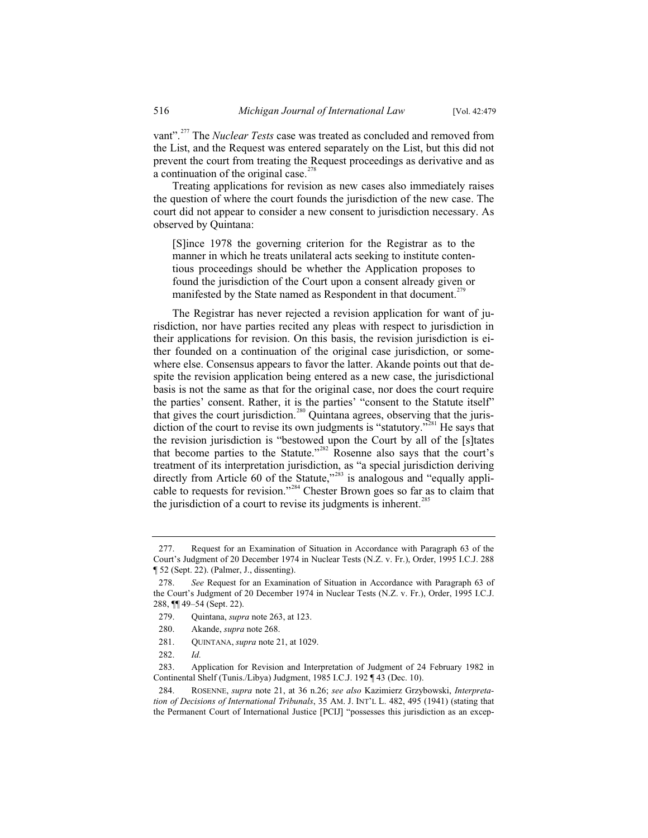vant".<sup>277</sup> The *Nuclear Tests* case was treated as concluded and removed from the List, and the Request was entered separately on the List, but this did not prevent the court from treating the Request proceedings as derivative and as a continuation of the original case. $278$ 

Treating applications for revision as new cases also immediately raises the question of where the court founds the jurisdiction of the new case. The court did not appear to consider a new consent to jurisdiction necessary. As observed by Quintana:

[S]ince 1978 the governing criterion for the Registrar as to the manner in which he treats unilateral acts seeking to institute contentious proceedings should be whether the Application proposes to found the jurisdiction of the Court upon a consent already given or manifested by the State named as Respondent in that document.<sup>279</sup>

The Registrar has never rejected a revision application for want of jurisdiction, nor have parties recited any pleas with respect to jurisdiction in their applications for revision. On this basis, the revision jurisdiction is either founded on a continuation of the original case jurisdiction, or somewhere else. Consensus appears to favor the latter. Akande points out that despite the revision application being entered as a new case, the jurisdictional basis is not the same as that for the original case, nor does the court require the parties' consent. Rather, it is the parties' "consent to the Statute itself" that gives the court jurisdiction.<sup>280</sup> Quintana agrees, observing that the jurisdiction of the court to revise its own judgments is "statutory."<sup>281</sup> He says that the revision jurisdiction is "bestowed upon the Court by all of the [s]tates that become parties to the Statute."<sup>282</sup> Rosenne also says that the court's treatment of its interpretation jurisdiction, as "a special jurisdiction deriving directly from Article 60 of the Statute,"<sup>283</sup> is analogous and "equally applicable to requests for revision."<sup>284</sup> Chester Brown goes so far as to claim that the jurisdiction of a court to revise its judgments is inherent.<sup>285</sup>

<sup>277.</sup> Request for an Examination of Situation in Accordance with Paragraph 63 of the Court's Judgment of 20 December 1974 in Nuclear Tests (N.Z. v. Fr.), Order, 1995 I.C.J. 288 ¶ 52 (Sept. 22). (Palmer, J., dissenting).

<sup>278.</sup> *See* Request for an Examination of Situation in Accordance with Paragraph 63 of the Court's Judgment of 20 December 1974 in Nuclear Tests (N.Z. v. Fr.), Order, 1995 I.C.J. 288, ¶¶ 49–54 (Sept. 22).

<sup>279.</sup> Quintana, *supra* note 263, at 123.

<sup>280.</sup> Akande, *supra* note 268.

<sup>281.</sup> QUINTANA, *supra* note 21, at 1029.

<sup>282.</sup> *Id.*

<sup>283.</sup> Application for Revision and Interpretation of Judgment of 24 February 1982 in Continental Shelf (Tunis./Libya) Judgment, 1985 I.C.J. 192 ¶ 43 (Dec. 10).

<sup>284.</sup> ROSENNE, *supra* note 21, at 36 n.26; *see also* Kazimierz Grzybowski, *Interpretation of Decisions of International Tribunals*, 35 AM. J. INT'L L. 482, 495 (1941) (stating that the Permanent Court of International Justice [PCIJ] "possesses this jurisdiction as an excep-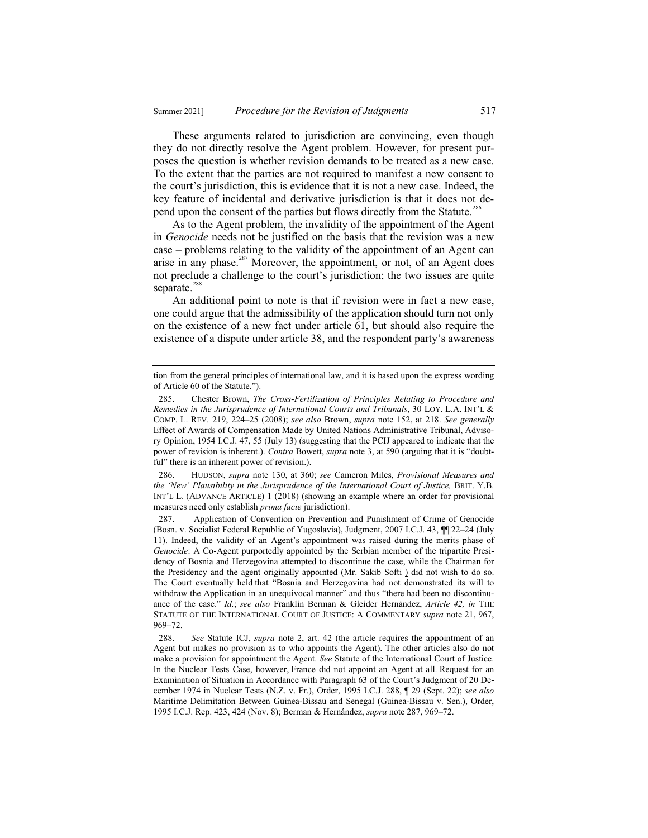These arguments related to jurisdiction are convincing, even though they do not directly resolve the Agent problem. However, for present purposes the question is whether revision demands to be treated as a new case. To the extent that the parties are not required to manifest a new consent to the court's jurisdiction, this is evidence that it is not a new case. Indeed, the key feature of incidental and derivative jurisdiction is that it does not depend upon the consent of the parties but flows directly from the Statute.<sup>286</sup>

As to the Agent problem, the invalidity of the appointment of the Agent in *Genocide* needs not be justified on the basis that the revision was a new case – problems relating to the validity of the appointment of an Agent can arise in any phase.<sup>287</sup> Moreover, the appointment, or not, of an Agent does not preclude a challenge to the court's jurisdiction; the two issues are quite separate.<sup>288</sup>

An additional point to note is that if revision were in fact a new case, one could argue that the admissibility of the application should turn not only on the existence of a new fact under article 61, but should also require the existence of a dispute under article 38, and the respondent party's awareness

286. HUDSON, *supra* note 130, at 360; *see* Cameron Miles, *Provisional Measures and the 'New' Plausibility in the Jurisprudence of the International Court of Justice,* BRIT. Y.B. INT'L L. (ADVANCE ARTICLE) 1 (2018) (showing an example where an order for provisional measures need only establish *prima facie* jurisdiction).

287. Application of Convention on Prevention and Punishment of Crime of Genocide (Bosn. v. Socialist Federal Republic of Yugoslavia), Judgment, 2007 I.C.J. 43, ¶¶ 22–24 (July 11). Indeed, the validity of an Agent's appointment was raised during the merits phase of *Genocide*: A Co-Agent purportedly appointed by the Serbian member of the tripartite Presidency of Bosnia and Herzegovina attempted to discontinue the case, while the Chairman for the Presidency and the agent originally appointed (Mr. Sakib Softi ) did not wish to do so. The Court eventually held that "Bosnia and Herzegovina had not demonstrated its will to withdraw the Application in an unequivocal manner" and thus "there had been no discontinuance of the case." *Id.*; *see also* Franklin Berman & Gleider Hernández, *Article 42, in* THE STATUTE OF THE INTERNATIONAL COURT OF JUSTICE: A COMMENTARY *supra* note 21, 967, 969–72.

tion from the general principles of international law, and it is based upon the express wording of Article 60 of the Statute.").

<sup>285.</sup> Chester Brown, *The Cross-Fertilization of Principles Relating to Procedure and Remedies in the Jurisprudence of International Courts and Tribunals*, 30 LOY. L.A. INT'L & COMP. L. REV. 219, 224–25 (2008); *see also* Brown, *supra* note 152, at 218. *See generally* Effect of Awards of Compensation Made by United Nations Administrative Tribunal, Advisory Opinion, 1954 I.C.J. 47, 55 (July 13) (suggesting that the PCIJ appeared to indicate that the power of revision is inherent.). *Contra* Bowett, *supra* note 3, at 590 (arguing that it is "doubtful" there is an inherent power of revision.).

<sup>288.</sup> *See* Statute ICJ, *supra* note 2, art. 42 (the article requires the appointment of an Agent but makes no provision as to who appoints the Agent). The other articles also do not make a provision for appointment the Agent. *See* Statute of the International Court of Justice. In the Nuclear Tests Case, however, France did not appoint an Agent at all. Request for an Examination of Situation in Accordance with Paragraph 63 of the Court's Judgment of 20 December 1974 in Nuclear Tests (N.Z. v. Fr.), Order, 1995 I.C.J. 288, ¶ 29 (Sept. 22); *see also* Maritime Delimitation Between Guinea-Bissau and Senegal (Guinea-Bissau v. Sen.), Order, 1995 I.C.J. Rep. 423, 424 (Nov. 8); Berman & Hernández, *supra* note 287, 969–72.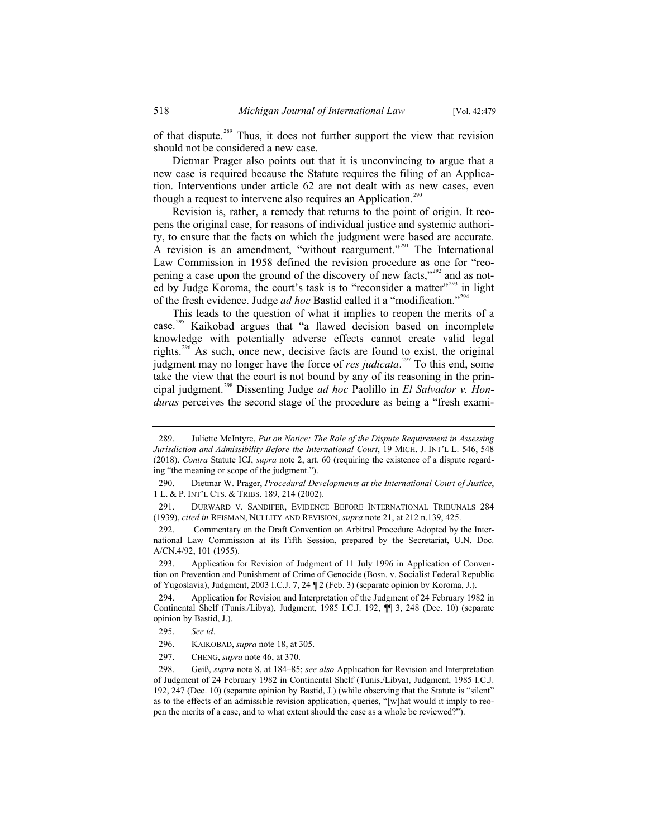of that dispute.<sup>289</sup> Thus, it does not further support the view that revision should not be considered a new case.

Dietmar Prager also points out that it is unconvincing to argue that a new case is required because the Statute requires the filing of an Application. Interventions under article 62 are not dealt with as new cases, even though a request to intervene also requires an Application.<sup>290</sup>

Revision is, rather, a remedy that returns to the point of origin. It reopens the original case, for reasons of individual justice and systemic authority, to ensure that the facts on which the judgment were based are accurate. A revision is an amendment, "without reargument."<sup>291</sup> The International Law Commission in 1958 defined the revision procedure as one for "reopening a case upon the ground of the discovery of new facts,"<sup>292</sup> and as noted by Judge Koroma, the court's task is to "reconsider a matter"<sup>293</sup> in light of the fresh evidence. Judge *ad hoc* Bastid called it a "modification."<sup>294</sup>

This leads to the question of what it implies to reopen the merits of a case.<sup>295</sup> Kaikobad argues that "a flawed decision based on incomplete knowledge with potentially adverse effects cannot create valid legal rights.<sup>296</sup> As such, once new, decisive facts are found to exist, the original judgment may no longer have the force of *res judicata*. <sup>297</sup> To this end, some take the view that the court is not bound by any of its reasoning in the principal judgment.<sup>298</sup> Dissenting Judge *ad hoc* Paolillo in *El Salvador v. Honduras* perceives the second stage of the procedure as being a "fresh exami-

<sup>289.</sup> Juliette McIntyre, *Put on Notice: The Role of the Dispute Requirement in Assessing Jurisdiction and Admissibility Before the International Court*, 19 MICH. J. INT'L L. 546, 548 (2018). *Contra* Statute ICJ, *supra* note 2, art. 60 (requiring the existence of a dispute regarding "the meaning or scope of the judgment.").

<sup>290.</sup> Dietmar W. Prager, *Procedural Developments at the International Court of Justice*, 1 L. & P. INT'L CTS.&TRIBS. 189, 214 (2002).

<sup>291.</sup> DURWARD V. SANDIFER, EVIDENCE BEFORE INTERNATIONAL TRIBUNALS 284 (1939), *cited in* REISMAN, NULLITY AND REVISION, *supra* note 21, at 212 n.139, 425.

<sup>292.</sup> Commentary on the Draft Convention on Arbitral Procedure Adopted by the International Law Commission at its Fifth Session, prepared by the Secretariat, U.N. Doc. A/CN.4/92, 101 (1955).

<sup>293.</sup> Application for Revision of Judgment of 11 July 1996 in Application of Convention on Prevention and Punishment of Crime of Genocide (Bosn. v. Socialist Federal Republic of Yugoslavia), Judgment, 2003 I.C.J. 7, 24 ¶ 2 (Feb. 3) (separate opinion by Koroma, J.).

<sup>294.</sup> Application for Revision and Interpretation of the Judgment of 24 February 1982 in Continental Shelf (Tunis./Libya), Judgment, 1985 I.C.J. 192, ¶¶ 3, 248 (Dec. 10) (separate opinion by Bastid, J.).

<sup>295.</sup> *See id*.

<sup>296.</sup> KAIKOBAD, *supra* note 18, at 305.

<sup>297.</sup> CHENG, *supra* note 46, at 370.

<sup>298.</sup> Geiß, *supra* note 8, at 184–85; *see also* Application for Revision and Interpretation of Judgment of 24 February 1982 in Continental Shelf (Tunis./Libya), Judgment, 1985 I.C.J. 192, 247 (Dec. 10) (separate opinion by Bastid, J.) (while observing that the Statute is "silent" as to the effects of an admissible revision application, queries, "[w]hat would it imply to reopen the merits of a case, and to what extent should the case as a whole be reviewed?").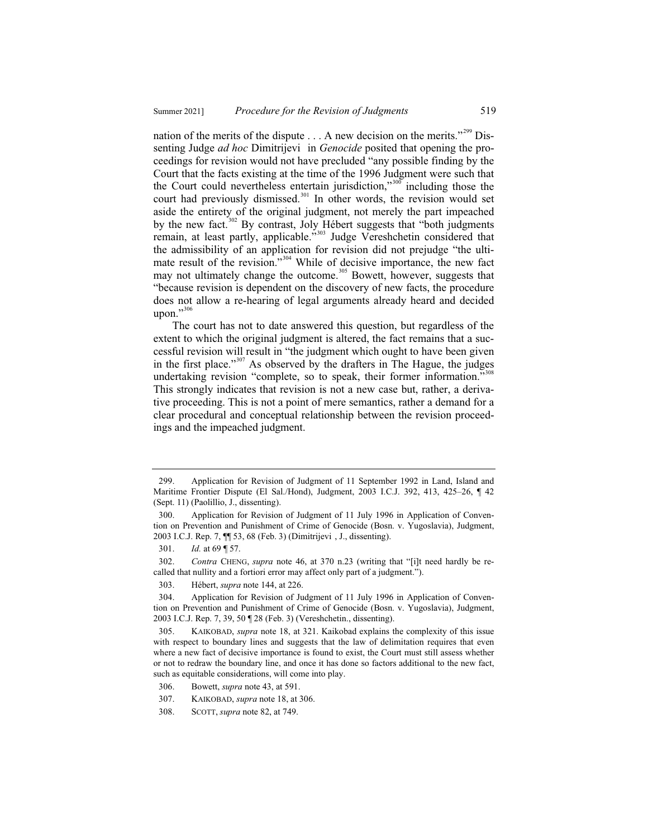nation of the merits of the dispute  $\dots$  A new decision on the merits."<sup>299</sup> Dissenting Judge *ad hoc* Dimitrijevi in *Genocide* posited that opening the proceedings for revision would not have precluded "any possible finding by the Court that the facts existing at the time of the 1996 Judgment were such that the Court could nevertheless entertain jurisdiction," $300$  including those the court had previously dismissed.<sup>301</sup> In other words, the revision would set aside the entirety of the original judgment, not merely the part impeached by the new fact.<sup>302</sup> By contrast, Joly Hébert suggests that "both judgments remain, at least partly, applicable."<sup>303</sup> Judge Vereshchetin considered that the admissibility of an application for revision did not prejudge "the ultimate result of the revision."<sup>304</sup> While of decisive importance, the new fact may not ultimately change the outcome.<sup>305</sup> Bowett, however, suggests that "because revision is dependent on the discovery of new facts, the procedure does not allow a re-hearing of legal arguments already heard and decided upon." $306$ 

The court has not to date answered this question, but regardless of the extent to which the original judgment is altered, the fact remains that a successful revision will result in "the judgment which ought to have been given in the first place."<sup>307</sup> As observed by the drafters in The Hague, the judges undertaking revision "complete, so to speak, their former information."<sup>308</sup> This strongly indicates that revision is not a new case but, rather, a derivative proceeding. This is not a point of mere semantics, rather a demand for a clear procedural and conceptual relationship between the revision proceedings and the impeached judgment.

<sup>299.</sup> Application for Revision of Judgment of 11 September 1992 in Land, Island and Maritime Frontier Dispute (El Sal./Hond), Judgment, 2003 I.C.J. 392, 413, 425–26, ¶ 42 (Sept. 11) (Paolillio, J., dissenting).

<sup>300.</sup> Application for Revision of Judgment of 11 July 1996 in Application of Convention on Prevention and Punishment of Crime of Genocide (Bosn. v. Yugoslavia), Judgment, 2003 I.C.J. Rep. 7, ¶¶ 53, 68 (Feb. 3) (Dimitrijevi , J., dissenting).

<sup>301.</sup> *Id.* at 69 ¶ 57.

<sup>302.</sup> *Contra* CHENG, *supra* note 46, at 370 n.23 (writing that "[i]t need hardly be recalled that nullity and a fortiori error may affect only part of a judgment.").

<sup>303.</sup> Hébert, *supra* note 144, at 226.

<sup>304.</sup> Application for Revision of Judgment of 11 July 1996 in Application of Convention on Prevention and Punishment of Crime of Genocide (Bosn. v. Yugoslavia), Judgment, 2003 I.C.J. Rep. 7, 39, 50 ¶ 28 (Feb. 3) (Vereshchetin., dissenting).

<sup>305.</sup> KAIKOBAD, *supra* note 18, at 321. Kaikobad explains the complexity of this issue with respect to boundary lines and suggests that the law of delimitation requires that even where a new fact of decisive importance is found to exist, the Court must still assess whether or not to redraw the boundary line, and once it has done so factors additional to the new fact, such as equitable considerations, will come into play.

<sup>306.</sup> Bowett, *supra* note 43, at 591.

<sup>307.</sup> KAIKOBAD, *supra* note 18, at 306.

<sup>308.</sup> SCOTT, *supra* note 82, at 749.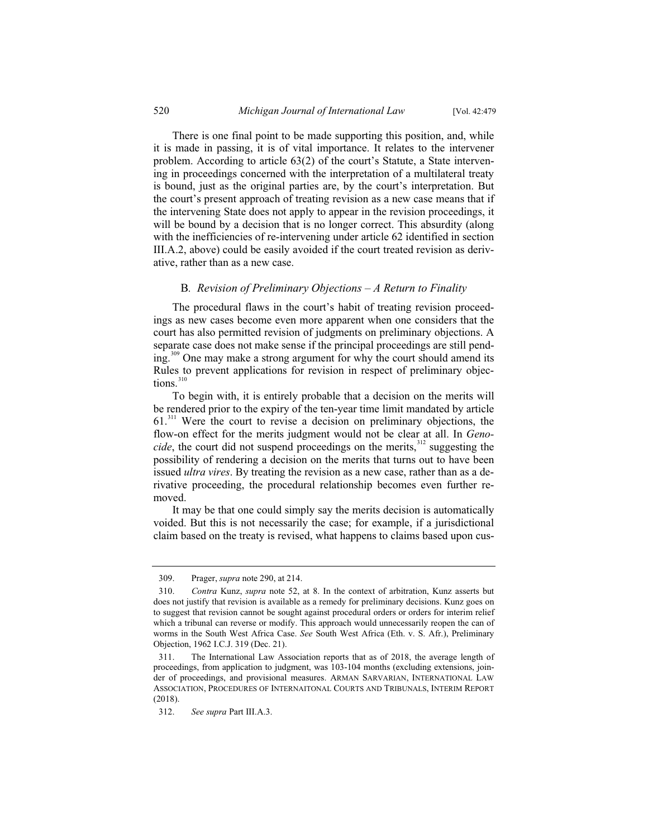There is one final point to be made supporting this position, and, while it is made in passing, it is of vital importance. It relates to the intervener problem. According to article 63(2) of the court's Statute, a State intervening in proceedings concerned with the interpretation of a multilateral treaty is bound, just as the original parties are, by the court's interpretation. But the court's present approach of treating revision as a new case means that if the intervening State does not apply to appear in the revision proceedings, it will be bound by a decision that is no longer correct. This absurdity (along with the inefficiencies of re-intervening under article 62 identified in section III.A.2, above) could be easily avoided if the court treated revision as derivative, rather than as a new case.

#### B*. Revision of Preliminary Objections – A Return to Finality*

The procedural flaws in the court's habit of treating revision proceedings as new cases become even more apparent when one considers that the court has also permitted revision of judgments on preliminary objections. A separate case does not make sense if the principal proceedings are still pending.<sup>309</sup> One may make a strong argument for why the court should amend its Rules to prevent applications for revision in respect of preliminary objections.<sup>310</sup>

To begin with, it is entirely probable that a decision on the merits will be rendered prior to the expiry of the ten-year time limit mandated by article  $61$ <sup>311</sup> Were the court to revise a decision on preliminary objections, the flow-on effect for the merits judgment would not be clear at all. In *Genocide*, the court did not suspend proceedings on the merits,<sup>312</sup> suggesting the possibility of rendering a decision on the merits that turns out to have been issued *ultra vires*. By treating the revision as a new case, rather than as a derivative proceeding, the procedural relationship becomes even further removed.

It may be that one could simply say the merits decision is automatically voided. But this is not necessarily the case; for example, if a jurisdictional claim based on the treaty is revised, what happens to claims based upon cus-

<sup>309.</sup> Prager, *supra* note 290, at 214.

<sup>310.</sup> *Contra* Kunz, *supra* note 52, at 8. In the context of arbitration, Kunz asserts but does not justify that revision is available as a remedy for preliminary decisions. Kunz goes on to suggest that revision cannot be sought against procedural orders or orders for interim relief which a tribunal can reverse or modify. This approach would unnecessarily reopen the can of worms in the South West Africa Case. *See* South West Africa (Eth. v. S. Afr.), Preliminary Objection, 1962 I.C.J. 319 (Dec. 21).

<sup>311.</sup> The International Law Association reports that as of 2018, the average length of proceedings, from application to judgment, was 103-104 months (excluding extensions, joinder of proceedings, and provisional measures. ARMAN SARVARIAN, INTERNATIONAL LAW ASSOCIATION, PROCEDURES OF INTERNAITONAL COURTS AND TRIBUNALS, INTERIM REPORT (2018).

<sup>312.</sup> *See supra* Part III.A.3.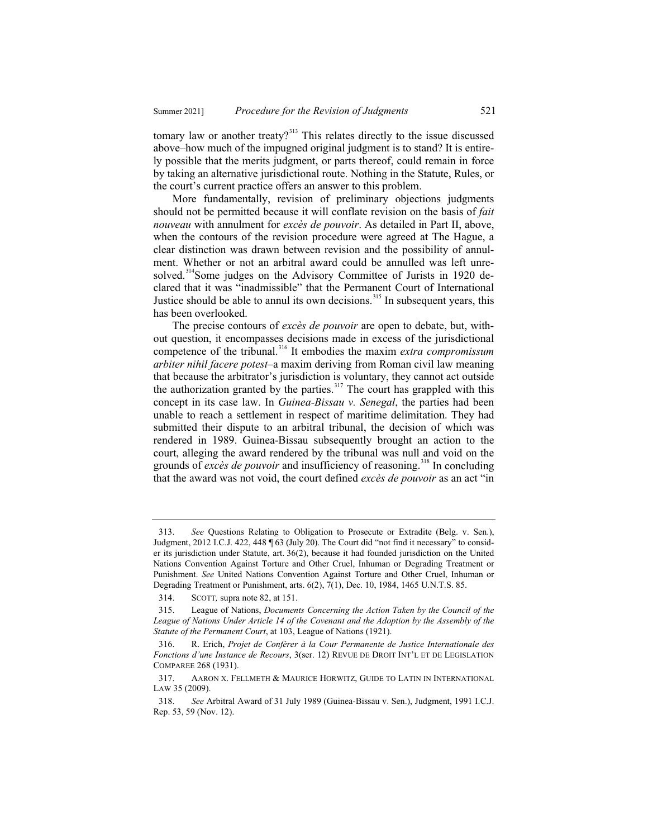tomary law or another treaty?<sup>313</sup> This relates directly to the issue discussed above–how much of the impugned original judgment is to stand? It is entirely possible that the merits judgment, or parts thereof, could remain in force by taking an alternative jurisdictional route. Nothing in the Statute, Rules, or the court's current practice offers an answer to this problem.

More fundamentally, revision of preliminary objections judgments should not be permitted because it will conflate revision on the basis of *fait nouveau* with annulment for *excès de pouvoir*. As detailed in Part II, above, when the contours of the revision procedure were agreed at The Hague, a clear distinction was drawn between revision and the possibility of annulment. Whether or not an arbitral award could be annulled was left unresolved.<sup>314</sup>Some judges on the Advisory Committee of Jurists in 1920 declared that it was "inadmissible" that the Permanent Court of International Justice should be able to annul its own decisions.<sup>315</sup> In subsequent years, this has been overlooked.

The precise contours of *excès de pouvoir* are open to debate, but, without question, it encompasses decisions made in excess of the jurisdictional competence of the tribunal.<sup>316</sup> It embodies the maxim *extra compromissum arbiter nihil facere potest*–a maxim deriving from Roman civil law meaning that because the arbitrator's jurisdiction is voluntary, they cannot act outside the authorization granted by the parties.<sup>317</sup> The court has grappled with this concept in its case law. In *Guinea-Bissau v. Senegal*, the parties had been unable to reach a settlement in respect of maritime delimitation. They had submitted their dispute to an arbitral tribunal, the decision of which was rendered in 1989. Guinea-Bissau subsequently brought an action to the court, alleging the award rendered by the tribunal was null and void on the grounds of *excès de pouvoir* and insufficiency of reasoning.<sup>318</sup> In concluding that the award was not void, the court defined *excès de pouvoir* as an act "in

<sup>313.</sup> *See* Questions Relating to Obligation to Prosecute or Extradite (Belg. v. Sen.), Judgment, 2012 I.C.J. 422, 448 ¶ 63 (July 20). The Court did "not find it necessary" to consider its jurisdiction under Statute, art. 36(2), because it had founded jurisdiction on the United Nations Convention Against Torture and Other Cruel, Inhuman or Degrading Treatment or Punishment. *See* United Nations Convention Against Torture and Other Cruel, Inhuman or Degrading Treatment or Punishment, arts. 6(2), 7(1), Dec. 10, 1984, 1465 U.N.T.S. 85.

<sup>314.</sup> SCOTT*,* supra note 82, at 151.

<sup>315.</sup> League of Nations, *Documents Concerning the Action Taken by the Council of the*  League of Nations Under Article 14 of the Covenant and the Adoption by the Assembly of the *Statute of the Permanent Court*, at 103, League of Nations (1921).

<sup>316.</sup> R. Erich, *Projet de Conférer à la Cour Permanente de Justice Internationale des Fonctions d'une Instance de Recours*, 3(ser. 12) REVUE DE DROIT INT'L ET DE LEGISLATION COMPAREE 268 (1931).

<sup>317.</sup> AARON X. FELLMETH & MAURICE HORWITZ, GUIDE TO LATIN IN INTERNATIONAL LAW 35 (2009).

<sup>318.</sup> *See* Arbitral Award of 31 July 1989 (Guinea-Bissau v. Sen.), Judgment, 1991 I.C.J. Rep. 53, 59 (Nov. 12).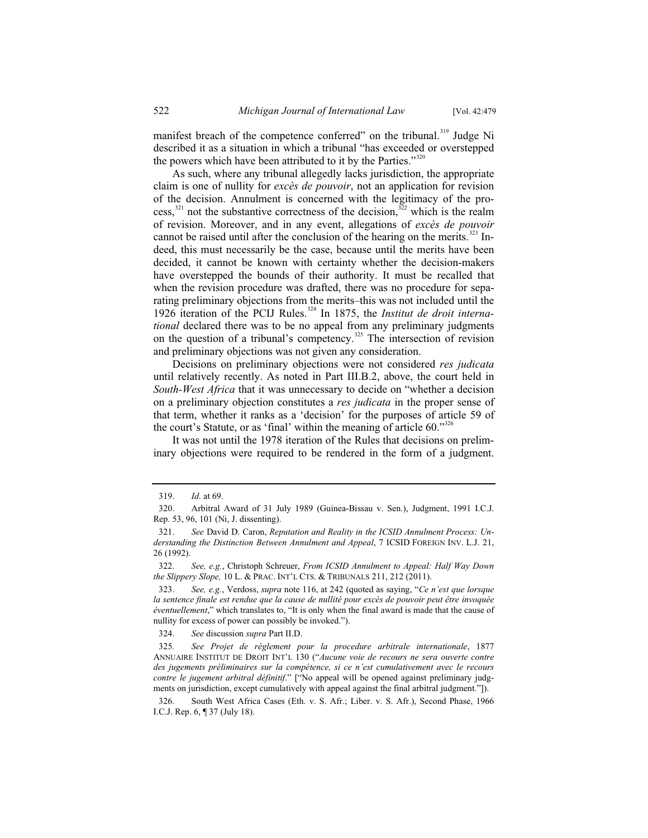manifest breach of the competence conferred" on the tribunal.<sup>319</sup> Judge Ni described it as a situation in which a tribunal "has exceeded or overstepped the powers which have been attributed to it by the Parties." $320$ 

As such, where any tribunal allegedly lacks jurisdiction, the appropriate claim is one of nullity for *excès de pouvoir*, not an application for revision of the decision. Annulment is concerned with the legitimacy of the process,<sup>321</sup> not the substantive correctness of the decision,<sup>322</sup> which is the realm of revision. Moreover, and in any event, allegations of *excès de pouvoir* cannot be raised until after the conclusion of the hearing on the merits.<sup>323</sup> Indeed, this must necessarily be the case, because until the merits have been decided, it cannot be known with certainty whether the decision-makers have overstepped the bounds of their authority. It must be recalled that when the revision procedure was drafted, there was no procedure for separating preliminary objections from the merits–this was not included until the 1926 iteration of the PCIJ Rules.<sup>324</sup> In 1875, the *Institut de droit international* declared there was to be no appeal from any preliminary judgments on the question of a tribunal's competency.<sup>325</sup> The intersection of revision and preliminary objections was not given any consideration.

Decisions on preliminary objections were not considered *res judicata* until relatively recently. As noted in Part III.B.2, above, the court held in *South-West Africa* that it was unnecessary to decide on "whether a decision on a preliminary objection constitutes a *res judicata* in the proper sense of that term, whether it ranks as a 'decision' for the purposes of article 59 of the court's Statute, or as 'final' within the meaning of article  $60$ ."<sup>326</sup>

It was not until the 1978 iteration of the Rules that decisions on preliminary objections were required to be rendered in the form of a judgment.

324. *See* discussion *supra* Part II.D.

<sup>319.</sup> *Id.* at 69.

<sup>320.</sup> Arbitral Award of 31 July 1989 (Guinea-Bissau v. Sen.), Judgment, 1991 I.C.J. Rep. 53, 96, 101 (Ni, J. dissenting).

<sup>321.</sup> *See* David D. Caron, *Reputation and Reality in the ICSID Annulment Process: Understanding the Distinction Between Annulment and Appeal*, 7 ICSID FOREIGN INV. L.J. 21, 26 (1992).

<sup>322.</sup> *See, e.g.*, Christoph Schreuer, *From ICSID Annulment to Appeal: Half Way Down the Slippery Slope,* 10 L. & PRAC. INT'L CTS.&TRIBUNALS 211, 212 (2011).

<sup>323.</sup> *See, e.g.*, Verdoss, *supra* note 116, at 242 (quoted as saying, "*Ce n'est que lorsque la sentence finale est rendue que la cause de nullité pour excès de pouvoir peut être invoquée éventuellement*," which translates to, "It is only when the final award is made that the cause of nullity for excess of power can possibly be invoked.").

<sup>325</sup>*. See Projet de règlement pour la procedure arbitrale internationale*, 1877 ANNUAIRE INSTITUT DE DROIT INT'L 130 ("*Aucune voie de recours ne sera ouverte contre des jugements préliminaires sur la compétence, si ce n'est cumulativement avec le recours contre le jugement arbitral définitif*." ["No appeal will be opened against preliminary judgments on jurisdiction, except cumulatively with appeal against the final arbitral judgment."]).

<sup>326.</sup> South West Africa Cases (Eth. v. S. Afr.; Liber. v. S. Afr.), Second Phase, 1966 I.C.J. Rep. 6, ¶ 37 (July 18).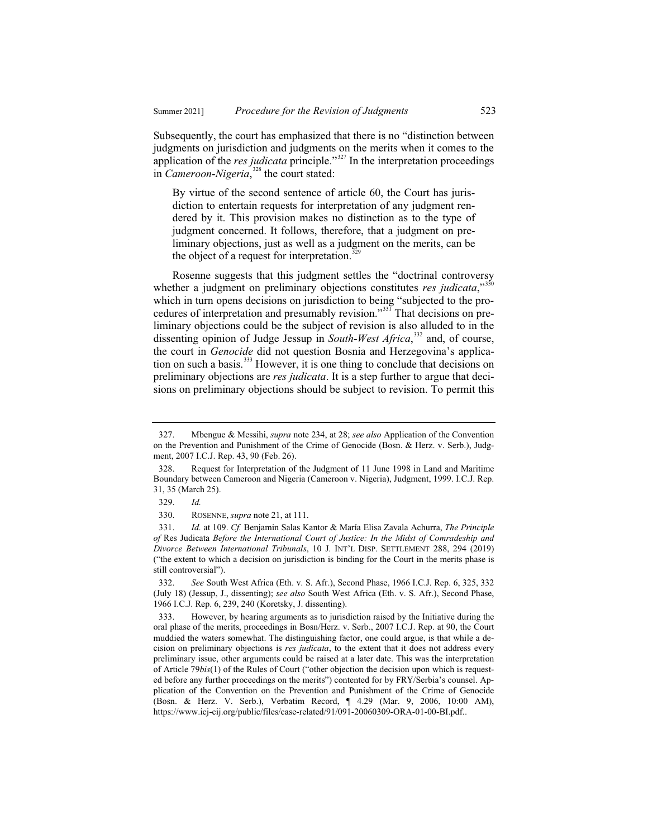Subsequently, the court has emphasized that there is no "distinction between judgments on jurisdiction and judgments on the merits when it comes to the application of the *res judicata* principle."<sup>327</sup> In the interpretation proceedings in *Cameroon-Nigeria*,<sup>328</sup> the court stated:

By virtue of the second sentence of article 60, the Court has jurisdiction to entertain requests for interpretation of any judgment rendered by it. This provision makes no distinction as to the type of judgment concerned. It follows, therefore, that a judgment on preliminary objections, just as well as a judgment on the merits, can be the object of a request for interpretation.<sup>3</sup>

Rosenne suggests that this judgment settles the "doctrinal controversy whether a judgment on preliminary objections constitutes *res judicata*,"<sup>330</sup> which in turn opens decisions on jurisdiction to being "subjected to the procedures of interpretation and presumably revision."<sup>331</sup> That decisions on preliminary objections could be the subject of revision is also alluded to in the dissenting opinion of Judge Jessup in *South-West Africa*, <sup>332</sup> and, of course, the court in *Genocide* did not question Bosnia and Herzegovina's application on such a basis.<sup>333</sup> However, it is one thing to conclude that decisions on preliminary objections are *res judicata*. It is a step further to argue that decisions on preliminary objections should be subject to revision. To permit this

<sup>327.</sup> Mbengue & Messihi, *supra* note 234, at 28; *see also* Application of the Convention on the Prevention and Punishment of the Crime of Genocide (Bosn. & Herz. v. Serb.), Judgment, 2007 I.C.J. Rep. 43, 90 (Feb. 26).

<sup>328.</sup> Request for Interpretation of the Judgment of 11 June 1998 in Land and Maritime Boundary between Cameroon and Nigeria (Cameroon v. Nigeria), Judgment, 1999. I.C.J. Rep. 31, 35 (March 25).

<sup>329.</sup> *Id.*

<sup>330.</sup> ROSENNE, *supra* note 21, at 111.

<sup>331.</sup> *Id.* at 109. *Cf.* Benjamin Salas Kantor & María Elisa Zavala Achurra, *The Principle of* Res Judicata *Before the International Court of Justice: In the Midst of Comradeship and Divorce Between International Tribunals*, 10 J. INT'L DISP. SETTLEMENT 288, 294 (2019) ("the extent to which a decision on jurisdiction is binding for the Court in the merits phase is still controversial").

<sup>332.</sup> *See* South West Africa (Eth. v. S. Afr.), Second Phase, 1966 I.C.J. Rep. 6, 325, 332 (July 18) (Jessup, J., dissenting); *see also* South West Africa (Eth. v. S. Afr.), Second Phase, 1966 I.C.J. Rep. 6, 239, 240 (Koretsky, J. dissenting).

<sup>333.</sup> However, by hearing arguments as to jurisdiction raised by the Initiative during the oral phase of the merits, proceedings in Bosn/Herz. v. Serb., 2007 I.C.J. Rep. at 90, the Court muddied the waters somewhat. The distinguishing factor, one could argue, is that while a decision on preliminary objections is *res judicata*, to the extent that it does not address every preliminary issue, other arguments could be raised at a later date. This was the interpretation of Article 79*bis*(1) of the Rules of Court ("other objection the decision upon which is requested before any further proceedings on the merits") contented for by FRY/Serbia's counsel. Application of the Convention on the Prevention and Punishment of the Crime of Genocide (Bosn. & Herz. V. Serb.), Verbatim Record, ¶ 4.29 (Mar. 9, 2006, 10:00 AM), https://www.icj-cij.org/public/files/case-related/91/091-20060309-ORA-01-00-BI.pdf..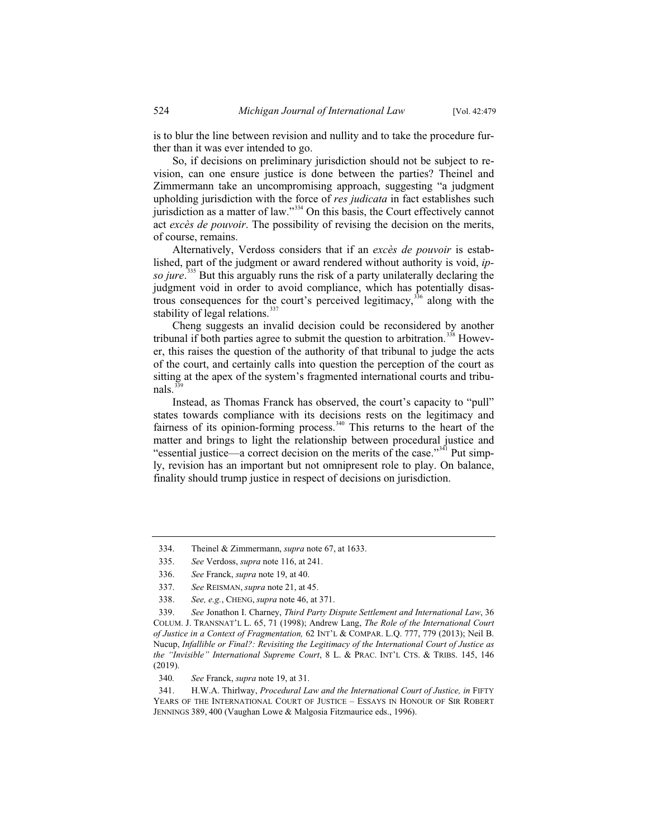is to blur the line between revision and nullity and to take the procedure further than it was ever intended to go.

So, if decisions on preliminary jurisdiction should not be subject to revision, can one ensure justice is done between the parties? Theinel and Zimmermann take an uncompromising approach, suggesting "a judgment upholding jurisdiction with the force of *res judicata* in fact establishes such jurisdiction as a matter of law."<sup>334</sup> On this basis, the Court effectively cannot act *excès de pouvoir*. The possibility of revising the decision on the merits, of course, remains.

Alternatively, Verdoss considers that if an *excès de pouvoir* is established, part of the judgment or award rendered without authority is void, *ipso jure*. <sup>335</sup> But this arguably runs the risk of a party unilaterally declaring the judgment void in order to avoid compliance, which has potentially disastrous consequences for the court's perceived legitimacy,  $336$  along with the stability of legal relations.<sup>337</sup>

Cheng suggests an invalid decision could be reconsidered by another tribunal if both parties agree to submit the question to arbitration.<sup>338</sup> However, this raises the question of the authority of that tribunal to judge the acts of the court, and certainly calls into question the perception of the court as sitting at the apex of the system's fragmented international courts and tribu $nals<sup>3</sup>$ 

Instead, as Thomas Franck has observed, the court's capacity to "pull" states towards compliance with its decisions rests on the legitimacy and fairness of its opinion-forming process.<sup>340</sup> This returns to the heart of the matter and brings to light the relationship between procedural justice and "essential justice—a correct decision on the merits of the case."<sup>341</sup> Put simply, revision has an important but not omnipresent role to play. On balance, finality should trump justice in respect of decisions on jurisdiction.

<sup>334.</sup> Theinel & Zimmermann, *supra* note 67, at 1633.

<sup>335.</sup> *See* Verdoss, *supra* note 116, at 241.

<sup>336.</sup> *See* Franck, *supra* note 19, at 40.

<sup>337.</sup> *See* REISMAN, *supra* note 21, at 45.

<sup>338.</sup> *See, e.g.*, CHENG, *supra* note 46, at 371.

<sup>339.</sup> *See* Jonathon I. Charney, *Third Party Dispute Settlement and International Law*, 36 COLUM. J. TRANSNAT'L L. 65, 71 (1998); Andrew Lang, *The Role of the International Court of Justice in a Context of Fragmentation,* 62 INT'L & COMPAR. L.Q. 777, 779 (2013); Neil B. Nucup, *Infallible or Final?: Revisiting the Legitimacy of the International Court of Justice as the "Invisible" International Supreme Court*, 8 L. & PRAC. INT'L CTS.&TRIBS. 145, 146 (2019).

<sup>340</sup>*. See* Franck, *supra* note 19, at 31.

<sup>341.</sup> H.W.A. Thirlway, *Procedural Law and the International Court of Justice, in* FIFTY YEARS OF THE INTERNATIONAL COURT OF JUSTICE – ESSAYS IN HONOUR OF SIR ROBERT JENNINGS 389, 400 (Vaughan Lowe & Malgosia Fitzmaurice eds., 1996).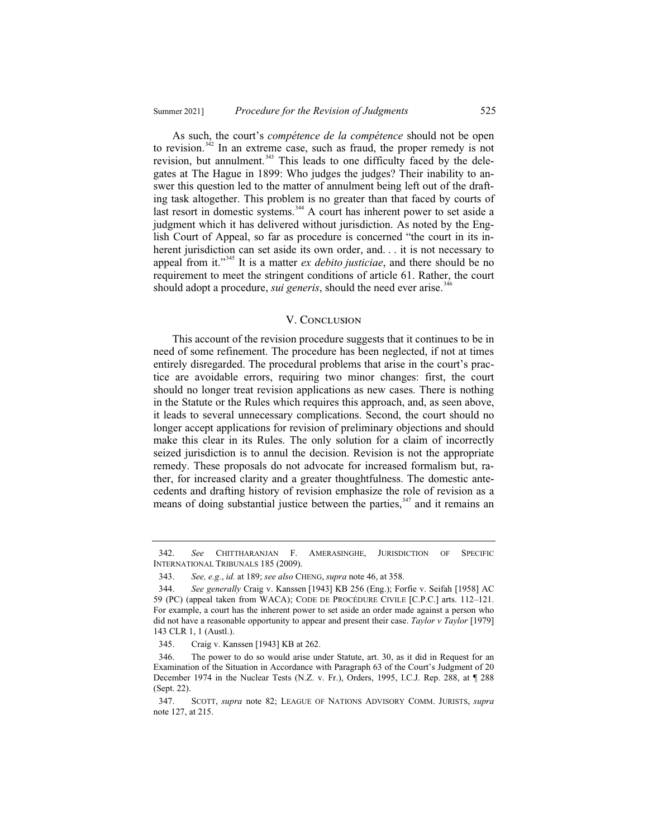As such, the court's *compétence de la compétence* should not be open to revision.<sup> $342$ </sup> In an extreme case, such as fraud, the proper remedy is not revision, but annulment.<sup>343</sup> This leads to one difficulty faced by the delegates at The Hague in 1899: Who judges the judges? Their inability to answer this question led to the matter of annulment being left out of the drafting task altogether. This problem is no greater than that faced by courts of last resort in domestic systems.<sup>344</sup> A court has inherent power to set aside a judgment which it has delivered without jurisdiction. As noted by the English Court of Appeal, so far as procedure is concerned "the court in its inherent jurisdiction can set aside its own order, and. . . it is not necessary to appeal from it."<sup>345</sup> It is a matter *ex debito justiciae*, and there should be no requirement to meet the stringent conditions of article 61. Rather, the court should adopt a procedure, *sui generis*, should the need ever arise.<sup>346</sup>

#### V. Conclusion

This account of the revision procedure suggests that it continues to be in need of some refinement. The procedure has been neglected, if not at times entirely disregarded. The procedural problems that arise in the court's practice are avoidable errors, requiring two minor changes: first, the court should no longer treat revision applications as new cases. There is nothing in the Statute or the Rules which requires this approach, and, as seen above, it leads to several unnecessary complications. Second, the court should no longer accept applications for revision of preliminary objections and should make this clear in its Rules. The only solution for a claim of incorrectly seized jurisdiction is to annul the decision. Revision is not the appropriate remedy. These proposals do not advocate for increased formalism but, rather, for increased clarity and a greater thoughtfulness. The domestic antecedents and drafting history of revision emphasize the role of revision as a means of doing substantial justice between the parties,  $347$  and it remains an

<sup>342.</sup> *See* CHITTHARANJAN F. AMERASINGHE, JURISDICTION OF SPECIFIC INTERNATIONAL TRIBUNALS 185 (2009).

<sup>343.</sup> *See, e.g.*, *id.* at 189; *see also* CHENG, *supra* note 46, at 358.

<sup>344.</sup> *See generally* Craig v. Kanssen [1943] KB 256 (Eng.); Forfie v. Seifah [1958] AC 59 (PC) (appeal taken from WACA); CODE DE PROCÉDURE CIVILE [C.P.C.] arts. 112–121. For example, a court has the inherent power to set aside an order made against a person who did not have a reasonable opportunity to appear and present their case. *Taylor v Taylor* [1979] 143 CLR 1, 1 (Austl.).

<sup>345.</sup> Craig v. Kanssen [1943] KB at 262.

<sup>346.</sup> The power to do so would arise under Statute, art. 30, as it did in Request for an Examination of the Situation in Accordance with Paragraph 63 of the Court's Judgment of 20 December 1974 in the Nuclear Tests (N.Z. v. Fr.), Orders, 1995, I.C.J. Rep. 288, at ¶ 288 (Sept. 22).

<sup>347.</sup> SCOTT, *supra* note 82; LEAGUE OF NATIONS ADVISORY COMM. JURISTS, *supra*  note 127, at 215.